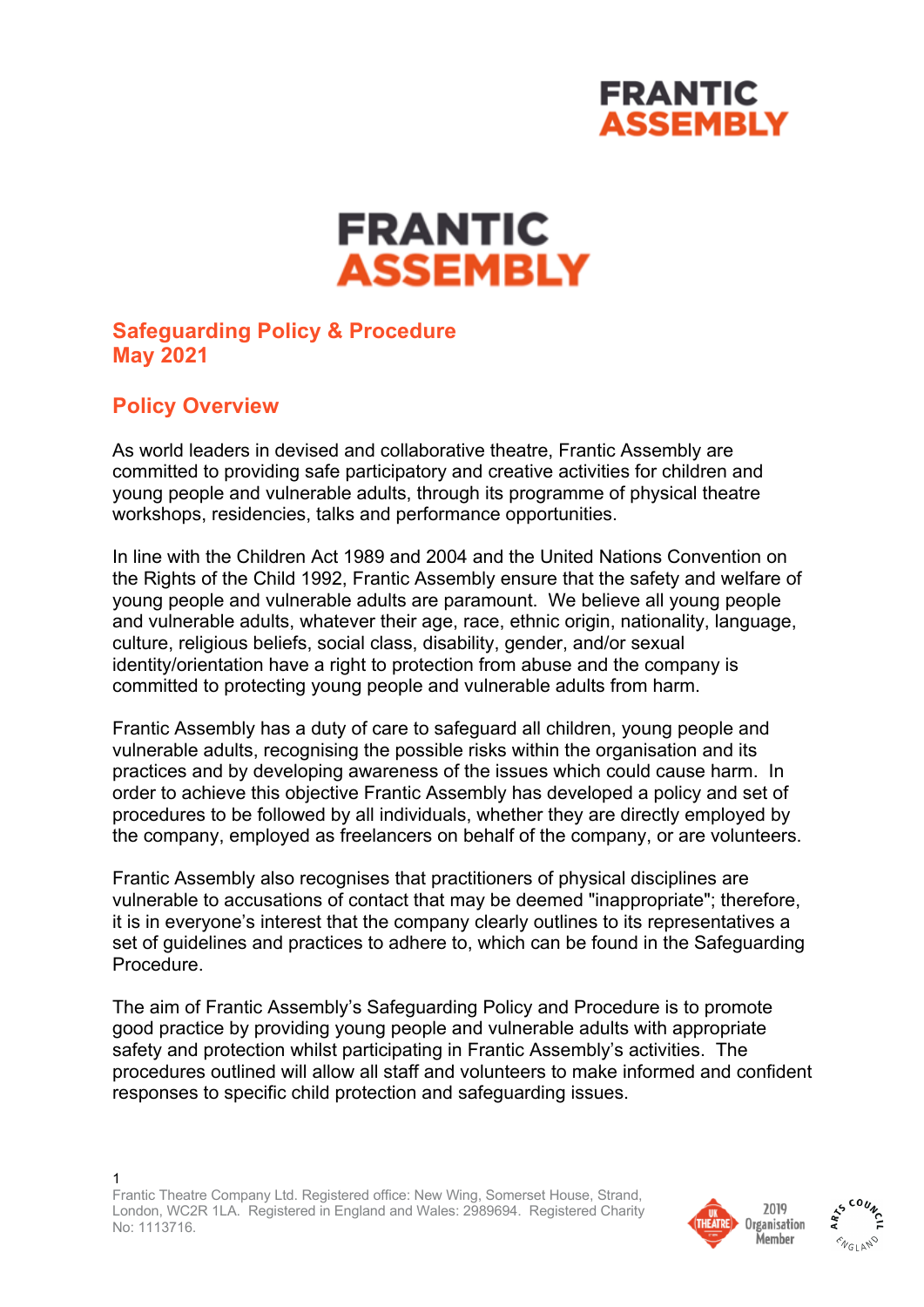## **FRANTIC ASSEMBLY**

# **FRANTIC ASSEMBLY**

## **Safeguarding Policy & Procedure May 2021**

## **Policy Overview**

As world leaders in devised and collaborative theatre, Frantic Assembly are committed to providing safe participatory and creative activities for children and young people and vulnerable adults, through its programme of physical theatre workshops, residencies, talks and performance opportunities.

In line with the Children Act 1989 and 2004 and the United Nations Convention on the Rights of the Child 1992, Frantic Assembly ensure that the safety and welfare of young people and vulnerable adults are paramount. We believe all young people and vulnerable adults, whatever their age, race, ethnic origin, nationality, language, culture, religious beliefs, social class, disability, gender, and/or sexual identity/orientation have a right to protection from abuse and the company is committed to protecting young people and vulnerable adults from harm.

Frantic Assembly has a duty of care to safeguard all children, young people and vulnerable adults, recognising the possible risks within the organisation and its practices and by developing awareness of the issues which could cause harm. In order to achieve this objective Frantic Assembly has developed a policy and set of procedures to be followed by all individuals, whether they are directly employed by the company, employed as freelancers on behalf of the company, or are volunteers.

Frantic Assembly also recognises that practitioners of physical disciplines are vulnerable to accusations of contact that may be deemed "inappropriate"; therefore, it is in everyone's interest that the company clearly outlines to its representatives a set of guidelines and practices to adhere to, which can be found in the Safeguarding Procedure.

The aim of Frantic Assembly's Safeguarding Policy and Procedure is to promote good practice by providing young people and vulnerable adults with appropriate safety and protection whilst participating in Frantic Assembly's activities. The procedures outlined will allow all staff and volunteers to make informed and confident responses to specific child protection and safeguarding issues.



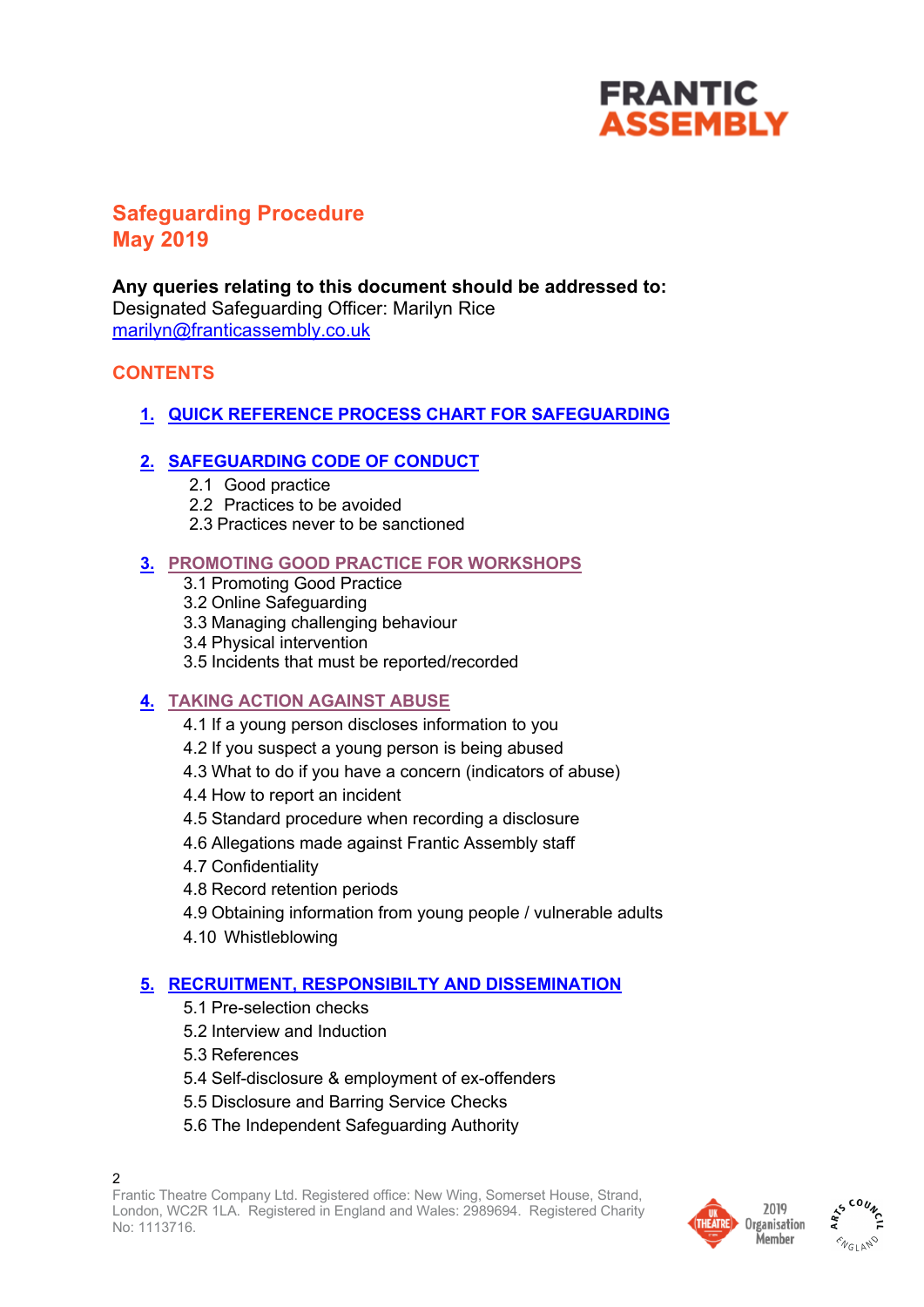## **FRANTIC ASSEMBLY**

## **Safeguarding Procedure May 2019**

**Any queries relating to this document should be addressed to:** Designated Safeguarding Officer: Marilyn Rice marilyn@franticassembly.co.uk

## **CONTENTS**

**1. QUICK REFERENCE PROCESS CHART FOR SAFEGUARDING**

## **2. SAFEGUARDING CODE OF CONDUCT**

- 2.1 Good practice
- 2.2 Practices to be avoided
- 2.3 Practices never to be sanctioned

## **3. PROMOTING GOOD PRACTICE FOR WORKSHOPS**

- 3.1 Promoting Good Practice
- 3.2 Online Safeguarding
- 3.3 Managing challenging behaviour
- 3.4 Physical intervention
- 3.5 Incidents that must be reported/recorded

## **4. TAKING ACTION AGAINST ABUSE**

- 4.1 If a young person discloses information to you
- 4.2 If you suspect a young person is being abused
- 4.3 What to do if you have a concern (indicators of abuse)
- 4.4 How to report an incident
- 4.5 Standard procedure when recording a disclosure
- 4.6 Allegations made against Frantic Assembly staff
- 4.7 Confidentiality
- 4.8 Record retention periods
- 4.9 Obtaining information from young people / vulnerable adults
- 4.10 Whistleblowing

#### **5. RECRUITMENT, RESPONSIBILTY AND DISSEMINATION**

- 5.1 Pre-selection checks
- 5.2 Interview and Induction
- 5.3 References
- 5.4 Self-disclosure & employment of ex-offenders
- 5.5 Disclosure and Barring Service Checks
- 5.6 The Independent Safeguarding Authority



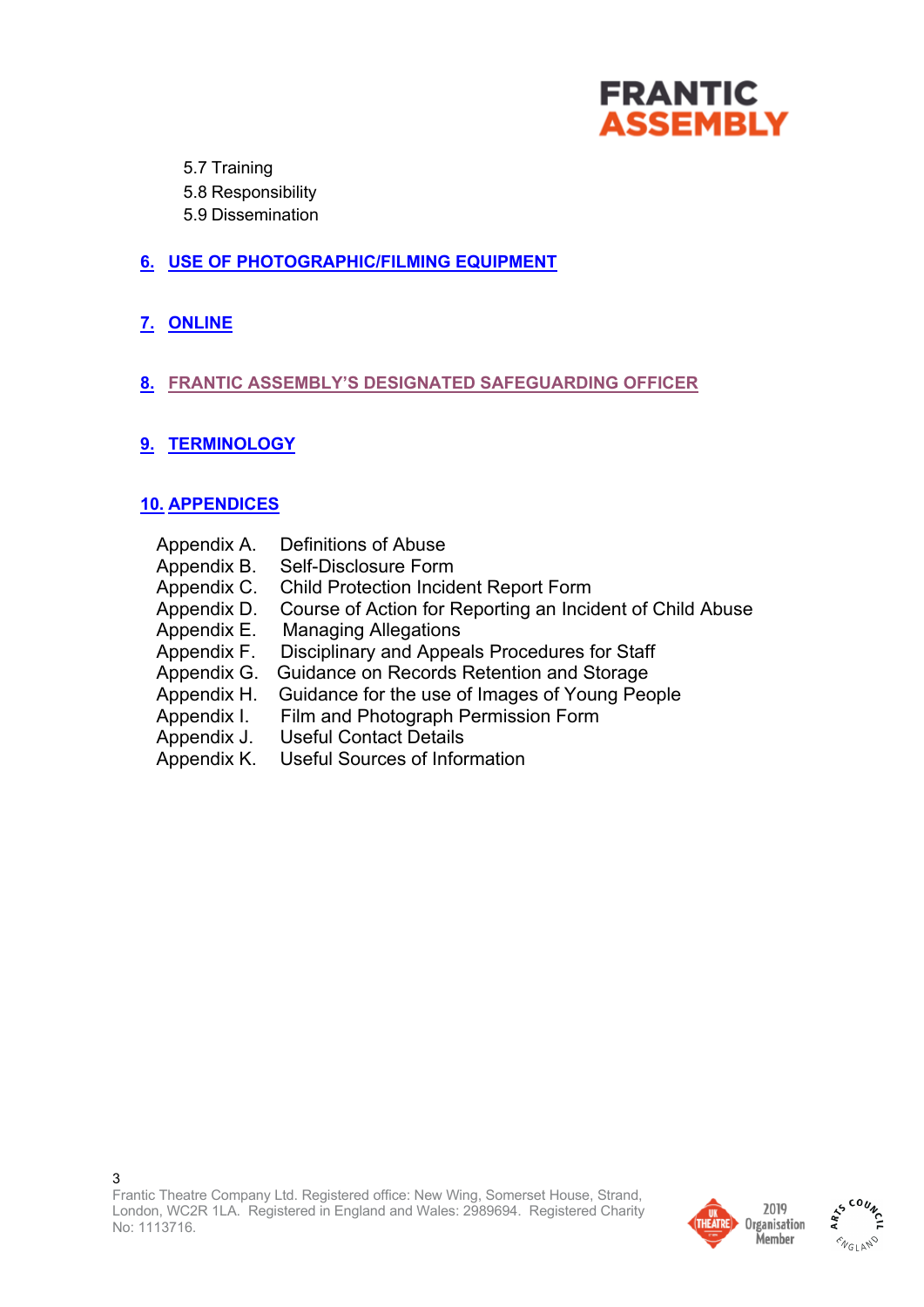

5.7 Training

- 5.8 Responsibility
- 5.9 Dissemination

## **6. USE OF PHOTOGRAPHIC/FILMING EQUIPMENT**

**7. ONLINE**

## **8. FRANTIC ASSEMBLY'S DESIGNATED SAFEGUARDING OFFICER**

**9. TERMINOLOGY**

## **10. APPENDICES**

| Appendix A. | Definitions of Abuse                                      |
|-------------|-----------------------------------------------------------|
| Appendix B. | Self-Disclosure Form                                      |
| Appendix C. | <b>Child Protection Incident Report Form</b>              |
| Appendix D. | Course of Action for Reporting an Incident of Child Abuse |
| Appendix E. | <b>Managing Allegations</b>                               |
| Appendix F. | Disciplinary and Appeals Procedures for Staff             |
| Appendix G. | Guidance on Records Retention and Storage                 |
| Appendix H. | Guidance for the use of Images of Young People            |
| Appendix I. | Film and Photograph Permission Form                       |
| Appendix J. | <b>Useful Contact Details</b>                             |
| Appendix K. | <b>Useful Sources of Information</b>                      |



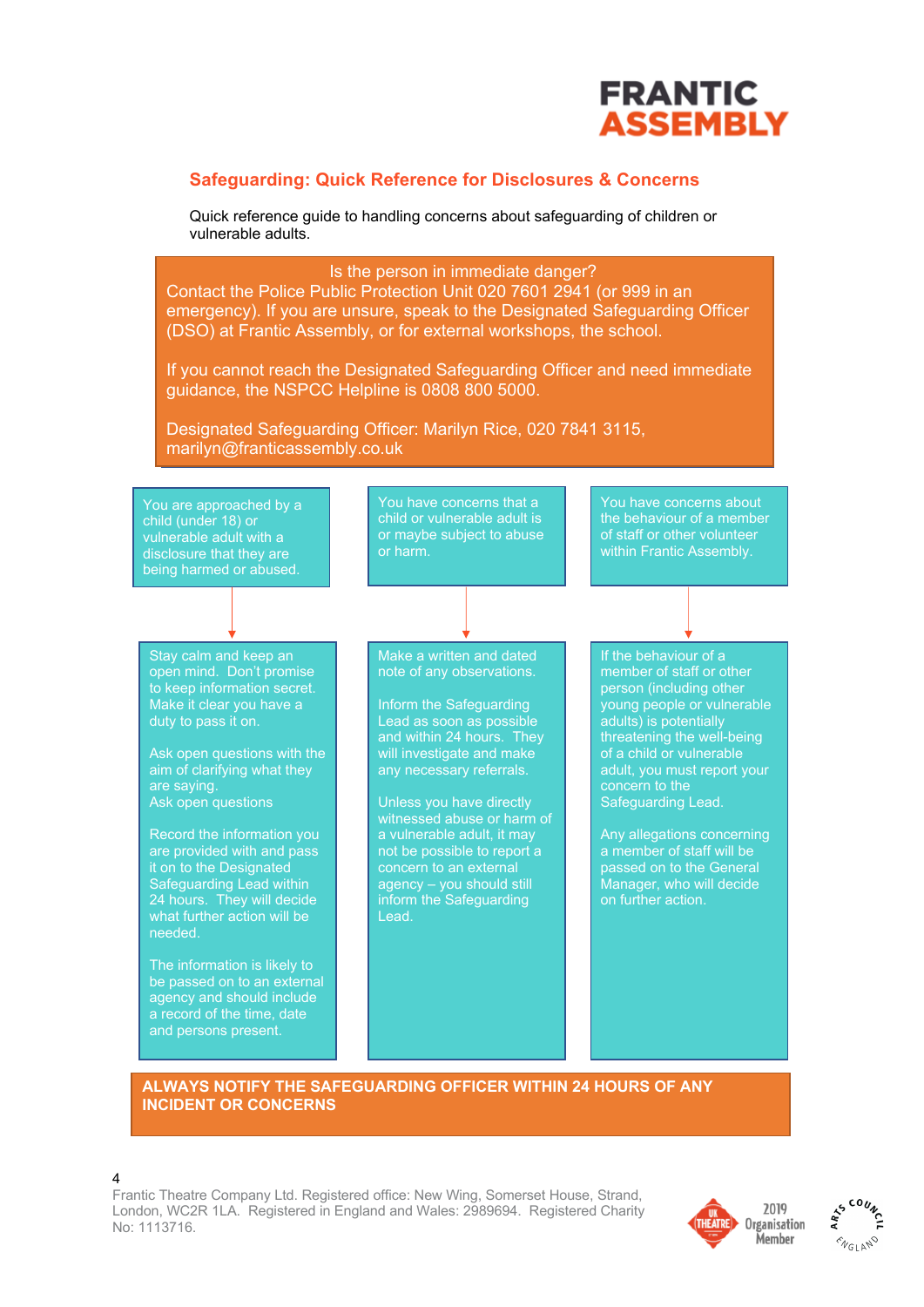

#### **Safeguarding: Quick Reference for Disclosures & Concerns**

Quick reference guide to handling concerns about safeguarding of children or vulnerable adults.



#### **ALWAYS NOTIFY THE SAFEGUARDING OFFICER WITHIN 24 HOURS OF ANY**  $\blacksquare$ **OR CONCERNS. INCIDENT OR CONCERNS**

4

Frantic Theatre Company Ltd. Registered office: New Wing, Somerset House, Strand, London, WC2R 1LA. Registered in England and Wales: 2989694. Registered Charity No: 1113716.



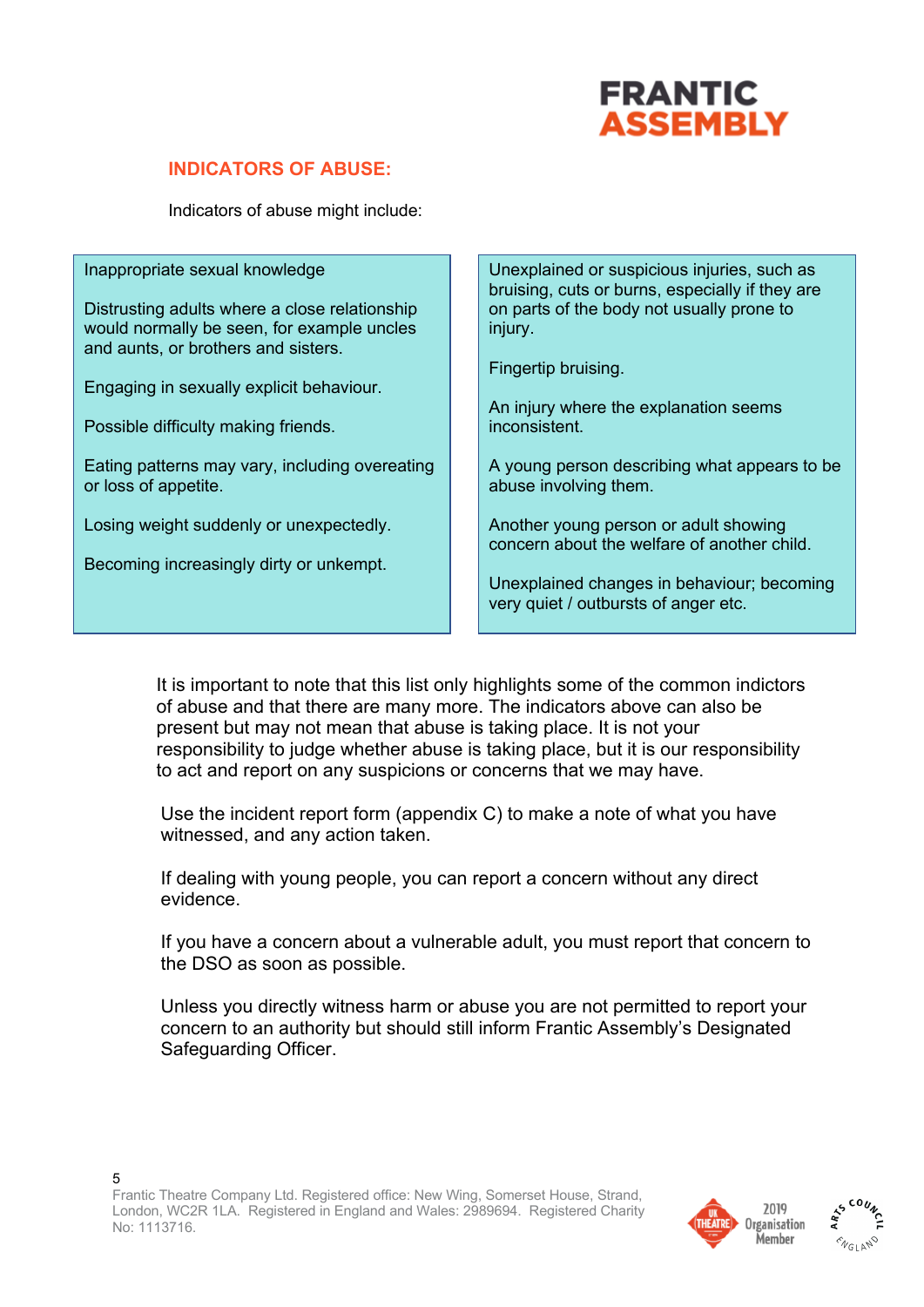

### **INDICATORS OF ABUSE:**

Indicators of abuse might include:

Inappropriate sexual knowledge

Distrusting adults where a close relationship would normally be seen, for example uncles and aunts, or brothers and sisters.

Engaging in sexually explicit behaviour.

Possible difficulty making friends.

Eating patterns may vary, including overeating or loss of appetite.

Losing weight suddenly or unexpectedly.

Becoming increasingly dirty or unkempt.

Unexplained or suspicious injuries, such as bruising, cuts or burns, especially if they are on parts of the body not usually prone to injury.

Fingertip bruising.

An injury where the explanation seems inconsistent.

A young person describing what appears to be abuse involving them.

Another young person or adult showing concern about the welfare of another child.

Unexplained changes in behaviour; becoming very quiet / outbursts of anger etc.

It is important to note that this list only highlights some of the common indictors of abuse and that there are many more. The indicators above can also be present but may not mean that abuse is taking place. It is not your responsibility to judge whether abuse is taking place, but it is our responsibility to act and report on any suspicions or concerns that we may have.

Use the incident report form (appendix C) to make a note of what you have witnessed, and any action taken.

If dealing with young people, you can report a concern without any direct evidence.

If you have a concern about a vulnerable adult, you must report that concern to the DSO as soon as possible.

Unless you directly witness harm or abuse you are not permitted to report your concern to an authority but should still inform Frantic Assembly's Designated Safeguarding Officer.



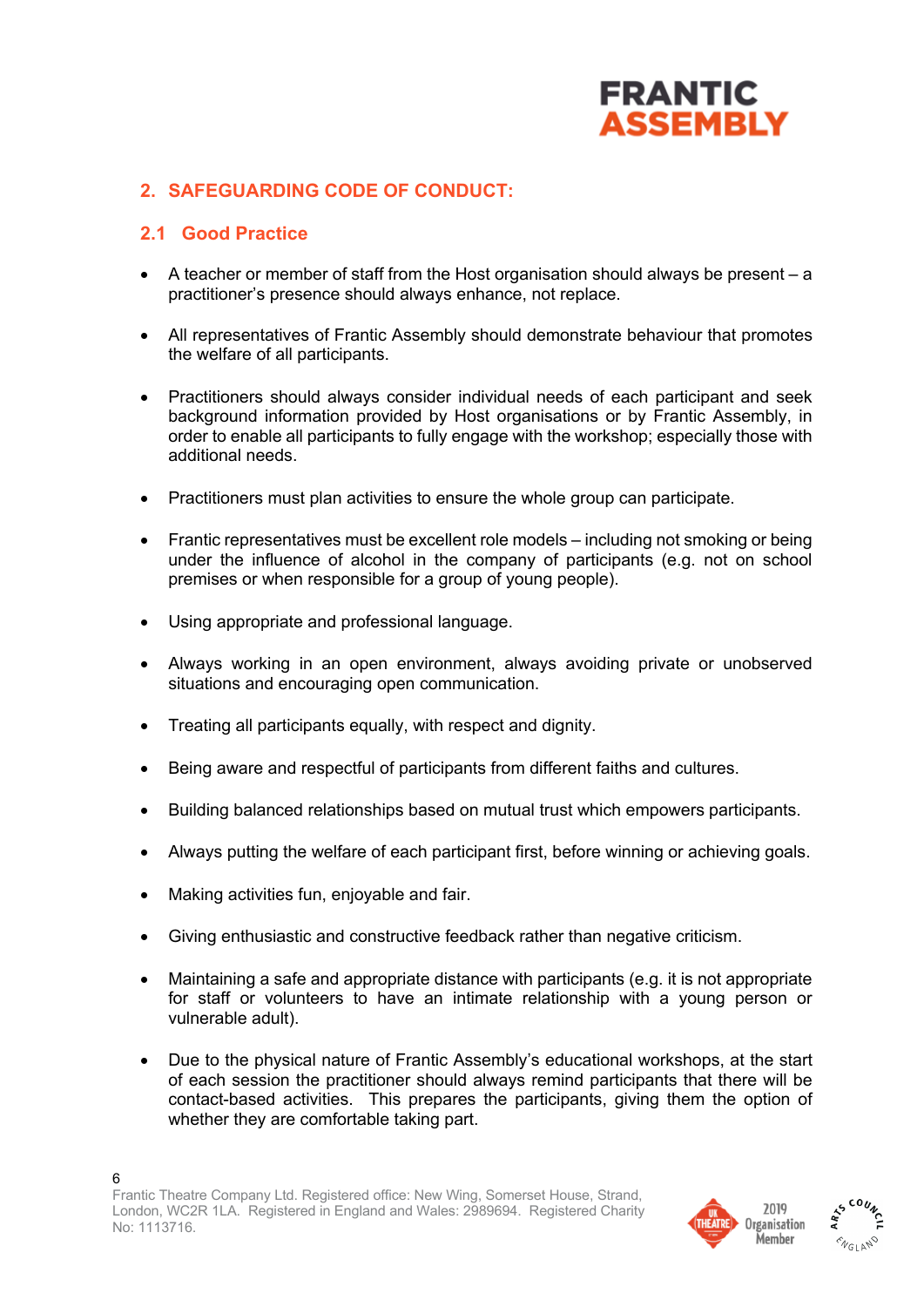

## **2. SAFEGUARDING CODE OF CONDUCT:**

### **2.1 Good Practice**

- A teacher or member of staff from the Host organisation should always be present a practitioner's presence should always enhance, not replace.
- All representatives of Frantic Assembly should demonstrate behaviour that promotes the welfare of all participants.
- Practitioners should always consider individual needs of each participant and seek background information provided by Host organisations or by Frantic Assembly, in order to enable all participants to fully engage with the workshop; especially those with additional needs.
- Practitioners must plan activities to ensure the whole group can participate.
- Frantic representatives must be excellent role models including not smoking or being under the influence of alcohol in the company of participants (e.g. not on school premises or when responsible for a group of young people).
- Using appropriate and professional language.
- Always working in an open environment, always avoiding private or unobserved situations and encouraging open communication.
- Treating all participants equally, with respect and dignity.
- Being aware and respectful of participants from different faiths and cultures.
- Building balanced relationships based on mutual trust which empowers participants.
- Always putting the welfare of each participant first, before winning or achieving goals.
- Making activities fun, enjoyable and fair.
- Giving enthusiastic and constructive feedback rather than negative criticism.
- Maintaining a safe and appropriate distance with participants (e.g. it is not appropriate for staff or volunteers to have an intimate relationship with a young person or vulnerable adult).
- Due to the physical nature of Frantic Assembly's educational workshops, at the start of each session the practitioner should always remind participants that there will be contact-based activities. This prepares the participants, giving them the option of whether they are comfortable taking part.



**MELANO** 

#### 6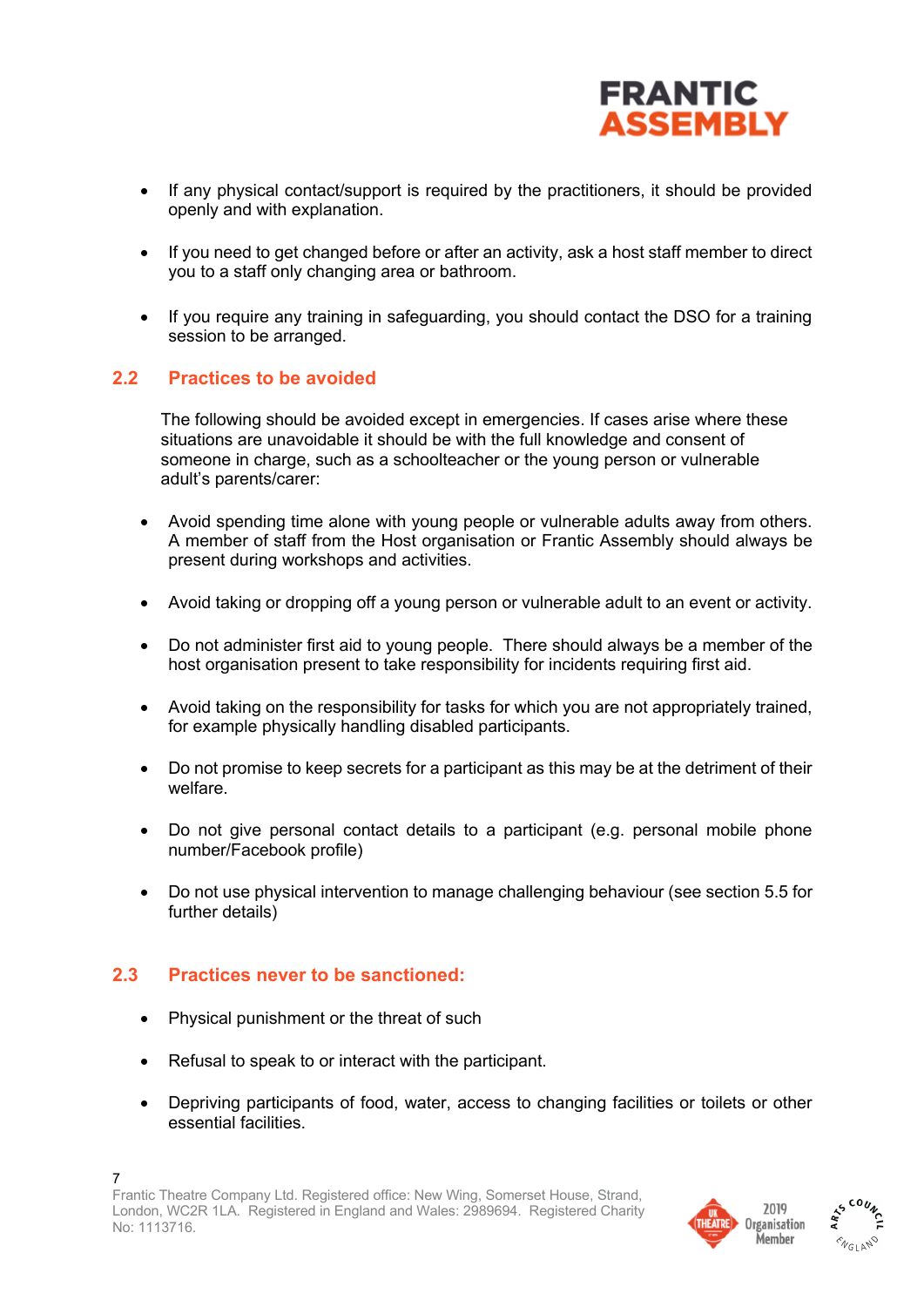

- If any physical contact/support is required by the practitioners, it should be provided openly and with explanation.
- If you need to get changed before or after an activity, ask a host staff member to direct you to a staff only changing area or bathroom.
- If you require any training in safeguarding, you should contact the DSO for a training session to be arranged.

#### **2.2 Practices to be avoided**

The following should be avoided except in emergencies. If cases arise where these situations are unavoidable it should be with the full knowledge and consent of someone in charge, such as a schoolteacher or the young person or vulnerable adult's parents/carer:

- Avoid spending time alone with young people or vulnerable adults away from others. A member of staff from the Host organisation or Frantic Assembly should always be present during workshops and activities.
- Avoid taking or dropping off a young person or vulnerable adult to an event or activity.
- Do not administer first aid to young people. There should always be a member of the host organisation present to take responsibility for incidents requiring first aid.
- Avoid taking on the responsibility for tasks for which you are not appropriately trained, for example physically handling disabled participants.
- Do not promise to keep secrets for a participant as this may be at the detriment of their welfare.
- Do not give personal contact details to a participant (e.g. personal mobile phone number/Facebook profile)
- Do not use physical intervention to manage challenging behaviour (see section 5.5 for further details)

#### **2.3 Practices never to be sanctioned:**

- Physical punishment or the threat of such
- Refusal to speak to or interact with the participant.
- Depriving participants of food, water, access to changing facilities or toilets or other essential facilities.



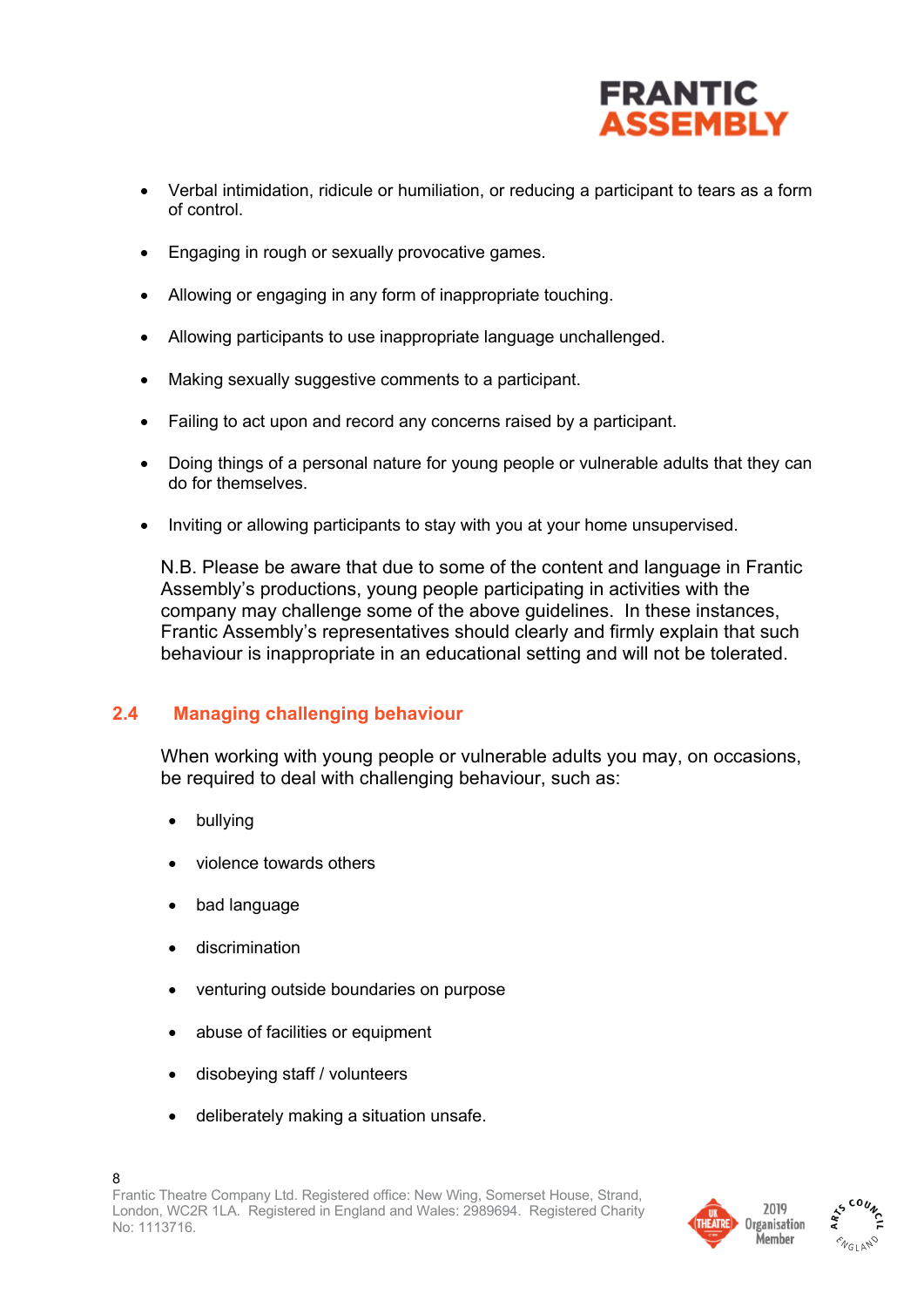

- Verbal intimidation, ridicule or humiliation, or reducing a participant to tears as a form of control.
- Engaging in rough or sexually provocative games.
- Allowing or engaging in any form of inappropriate touching.
- Allowing participants to use inappropriate language unchallenged.
- Making sexually suggestive comments to a participant.
- Failing to act upon and record any concerns raised by a participant.
- Doing things of a personal nature for young people or vulnerable adults that they can do for themselves.
- Inviting or allowing participants to stay with you at your home unsupervised.

N.B. Please be aware that due to some of the content and language in Frantic Assembly's productions, young people participating in activities with the company may challenge some of the above guidelines. In these instances, Frantic Assembly's representatives should clearly and firmly explain that such behaviour is inappropriate in an educational setting and will not be tolerated.

## **2.4 Managing challenging behaviour**

When working with young people or vulnerable adults you may, on occasions, be required to deal with challenging behaviour, such as:

- bullying
- violence towards others
- bad language
- discrimination
- venturing outside boundaries on purpose
- abuse of facilities or equipment
- disobeying staff / volunteers
- deliberately making a situation unsafe.



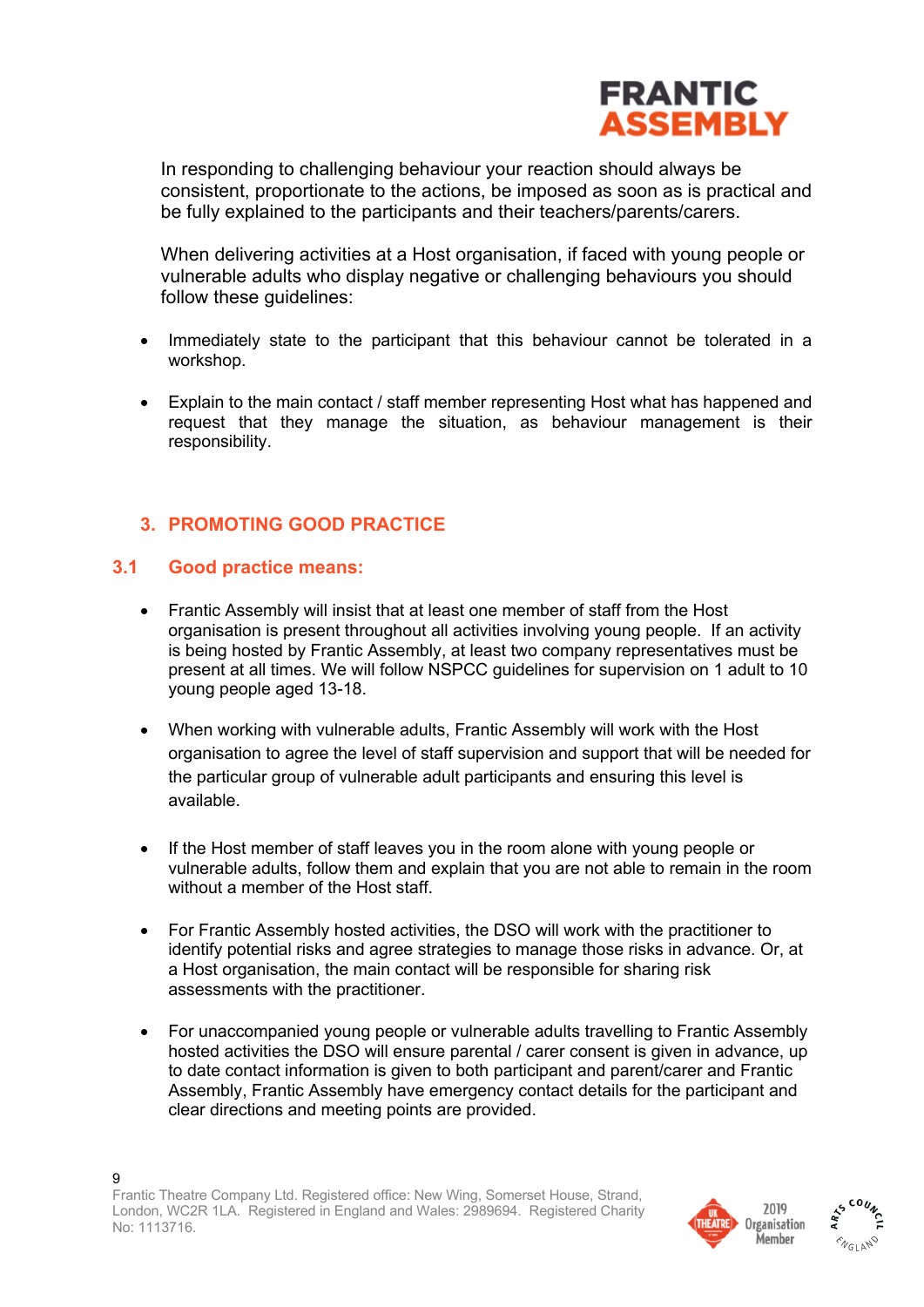

In responding to challenging behaviour your reaction should always be consistent, proportionate to the actions, be imposed as soon as is practical and be fully explained to the participants and their teachers/parents/carers.

When delivering activities at a Host organisation, if faced with young people or vulnerable adults who display negative or challenging behaviours you should follow these guidelines:

- Immediately state to the participant that this behaviour cannot be tolerated in a workshop.
- Explain to the main contact / staff member representing Host what has happened and request that they manage the situation, as behaviour management is their responsibility.

## **3. PROMOTING GOOD PRACTICE**

#### **3.1 Good practice means:**

9

- Frantic Assembly will insist that at least one member of staff from the Host organisation is present throughout all activities involving young people. If an activity is being hosted by Frantic Assembly, at least two company representatives must be present at all times. We will follow NSPCC guidelines for supervision on 1 adult to 10 young people aged 13-18.
- When working with vulnerable adults, Frantic Assembly will work with the Host organisation to agree the level of staff supervision and support that will be needed for the particular group of vulnerable adult participants and ensuring this level is available.
- If the Host member of staff leaves you in the room alone with young people or vulnerable adults, follow them and explain that you are not able to remain in the room without a member of the Host staff.
- For Frantic Assembly hosted activities, the DSO will work with the practitioner to identify potential risks and agree strategies to manage those risks in advance. Or, at a Host organisation, the main contact will be responsible for sharing risk assessments with the practitioner.
- For unaccompanied young people or vulnerable adults travelling to Frantic Assembly hosted activities the DSO will ensure parental / carer consent is given in advance, up to date contact information is given to both participant and parent/carer and Frantic Assembly, Frantic Assembly have emergency contact details for the participant and clear directions and meeting points are provided.



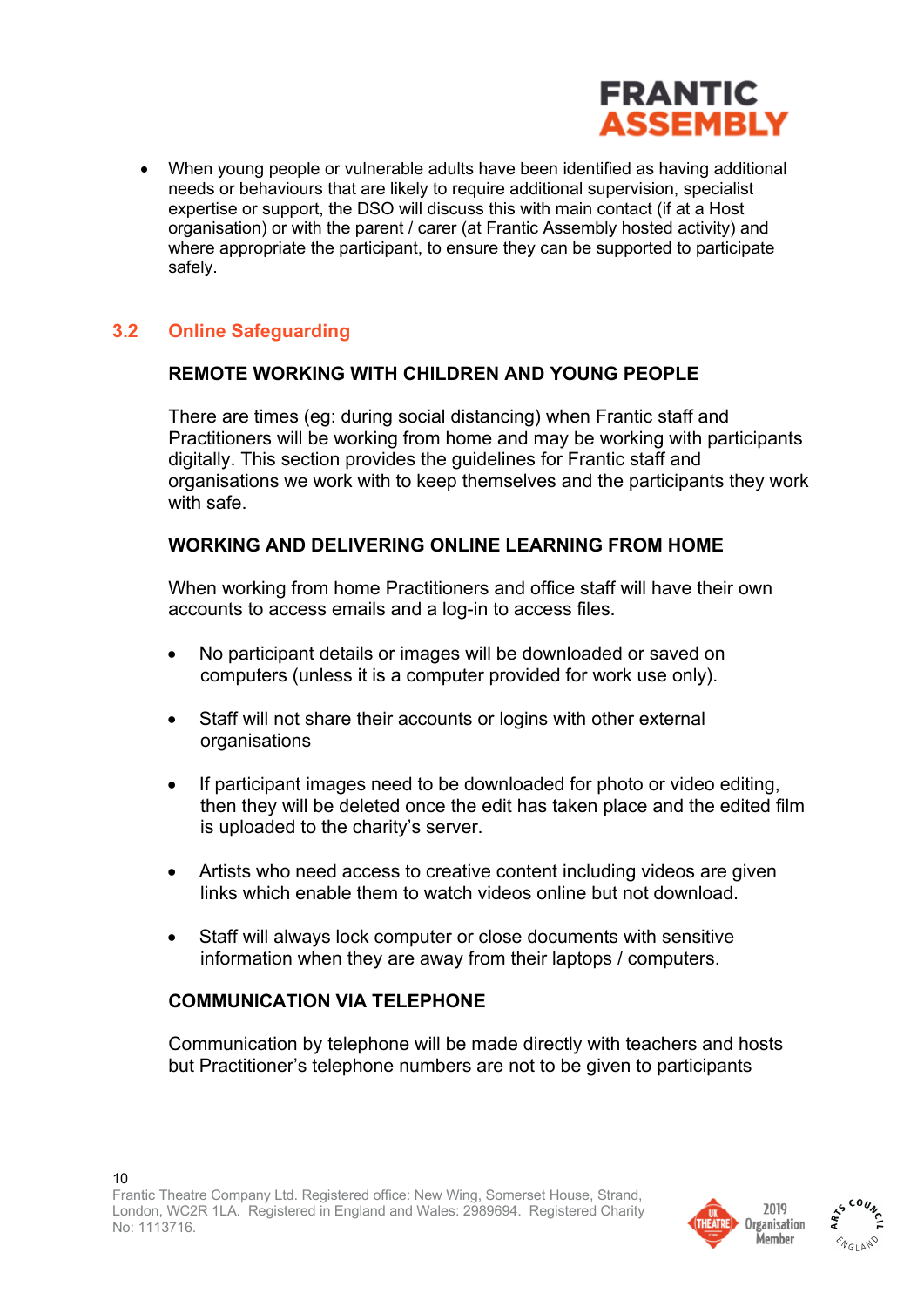

• When young people or vulnerable adults have been identified as having additional needs or behaviours that are likely to require additional supervision, specialist expertise or support, the DSO will discuss this with main contact (if at a Host organisation) or with the parent / carer (at Frantic Assembly hosted activity) and where appropriate the participant, to ensure they can be supported to participate safely.

## **3.2 Online Safeguarding**

### **REMOTE WORKING WITH CHILDREN AND YOUNG PEOPLE**

There are times (eg: during social distancing) when Frantic staff and Practitioners will be working from home and may be working with participants digitally. This section provides the guidelines for Frantic staff and organisations we work with to keep themselves and the participants they work with safe.

#### **WORKING AND DELIVERING ONLINE LEARNING FROM HOME**

When working from home Practitioners and office staff will have their own accounts to access emails and a log-in to access files.

- No participant details or images will be downloaded or saved on computers (unless it is a computer provided for work use only).
- Staff will not share their accounts or logins with other external organisations
- If participant images need to be downloaded for photo or video editing, then they will be deleted once the edit has taken place and the edited film is uploaded to the charity's server.
- Artists who need access to creative content including videos are given links which enable them to watch videos online but not download.
- Staff will always lock computer or close documents with sensitive information when they are away from their laptops / computers.

## **COMMUNICATION VIA TELEPHONE**

Communication by telephone will be made directly with teachers and hosts but Practitioner's telephone numbers are not to be given to participants



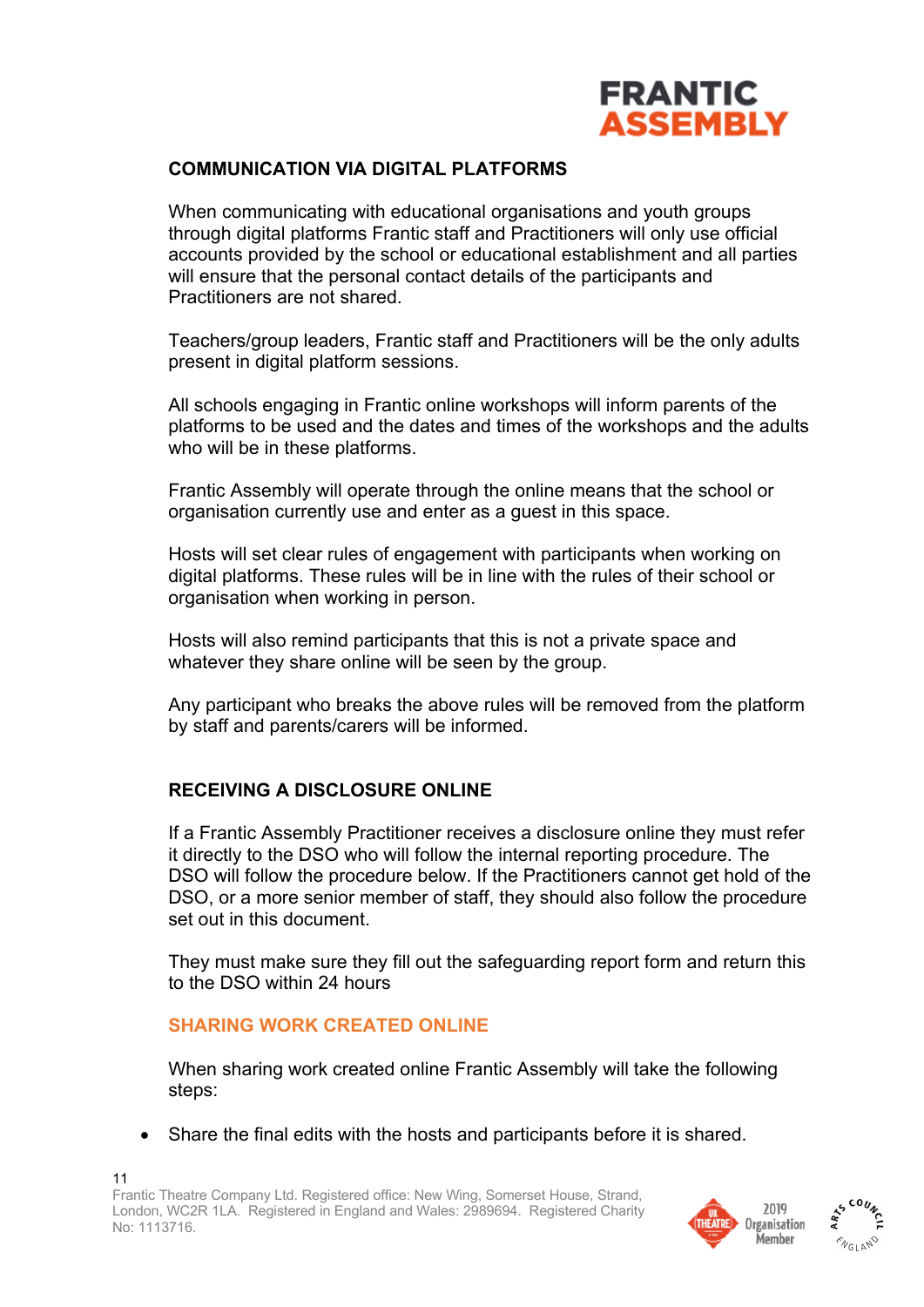

#### **COMMUNICATION VIA DIGITAL PLATFORMS**

When communicating with educational organisations and youth groups through digital platforms Frantic staff and Practitioners will only use official accounts provided by the school or educational establishment and all parties will ensure that the personal contact details of the participants and Practitioners are not shared.

Teachers/group leaders, Frantic staff and Practitioners will be the only adults present in digital platform sessions.

All schools engaging in Frantic online workshops will inform parents of the platforms to be used and the dates and times of the workshops and the adults who will be in these platforms.

Frantic Assembly will operate through the online means that the school or organisation currently use and enter as a guest in this space.

Hosts will set clear rules of engagement with participants when working on digital platforms. These rules will be in line with the rules of their school or organisation when working in person.

Hosts will also remind participants that this is not a private space and whatever they share online will be seen by the group.

Any participant who breaks the above rules will be removed from the platform by staff and parents/carers will be informed.

## **RECEIVING A DISCLOSURE ONLINE**

If a Frantic Assembly Practitioner receives a disclosure online they must refer it directly to the DSO who will follow the internal reporting procedure. The DSO will follow the procedure below. If the Practitioners cannot get hold of the DSO, or a more senior member of staff, they should also follow the procedure set out in this document.

They must make sure they fill out the safeguarding report form and return this to the DSO within 24 hours

#### **SHARING WORK CREATED ONLINE**

When sharing work created online Frantic Assembly will take the following steps:

• Share the final edits with the hosts and participants before it is shared.



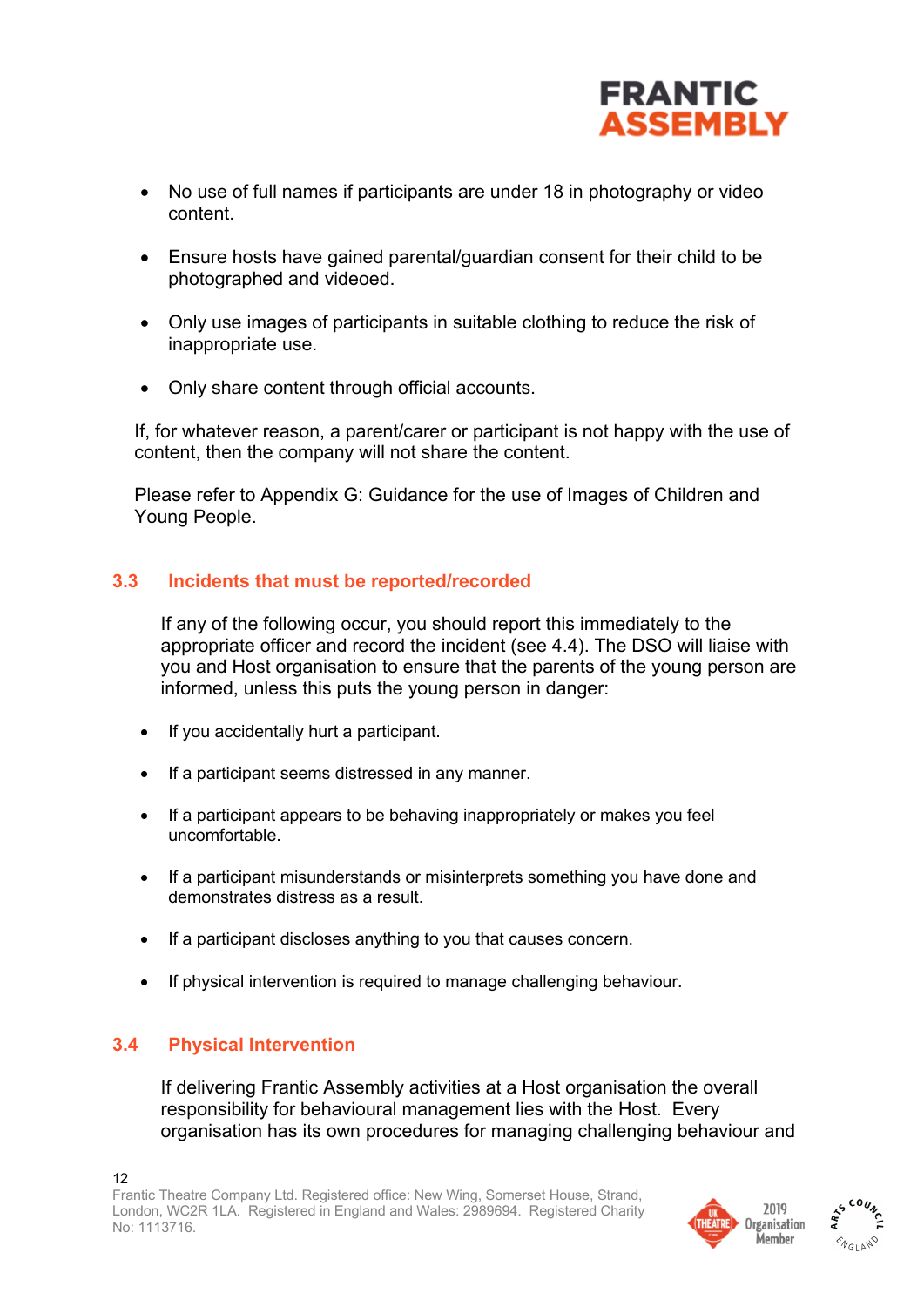

- No use of full names if participants are under 18 in photography or video content.
- Ensure hosts have gained parental/guardian consent for their child to be photographed and videoed.
- Only use images of participants in suitable clothing to reduce the risk of inappropriate use.
- Only share content through official accounts.

If, for whatever reason, a parent/carer or participant is not happy with the use of content, then the company will not share the content.

Please refer to Appendix G: Guidance for the use of Images of Children and Young People.

#### **3.3 Incidents that must be reported/recorded**

If any of the following occur, you should report this immediately to the appropriate officer and record the incident (see 4.4). The DSO will liaise with you and Host organisation to ensure that the parents of the young person are informed, unless this puts the young person in danger:

- If you accidentally hurt a participant.
- If a participant seems distressed in any manner.
- If a participant appears to be behaving inappropriately or makes you feel uncomfortable.
- If a participant misunderstands or misinterprets something you have done and demonstrates distress as a result.
- If a participant discloses anything to you that causes concern.
- If physical intervention is required to manage challenging behaviour.

#### **3.4 Physical Intervention**

If delivering Frantic Assembly activities at a Host organisation the overall responsibility for behavioural management lies with the Host. Every organisation has its own procedures for managing challenging behaviour and



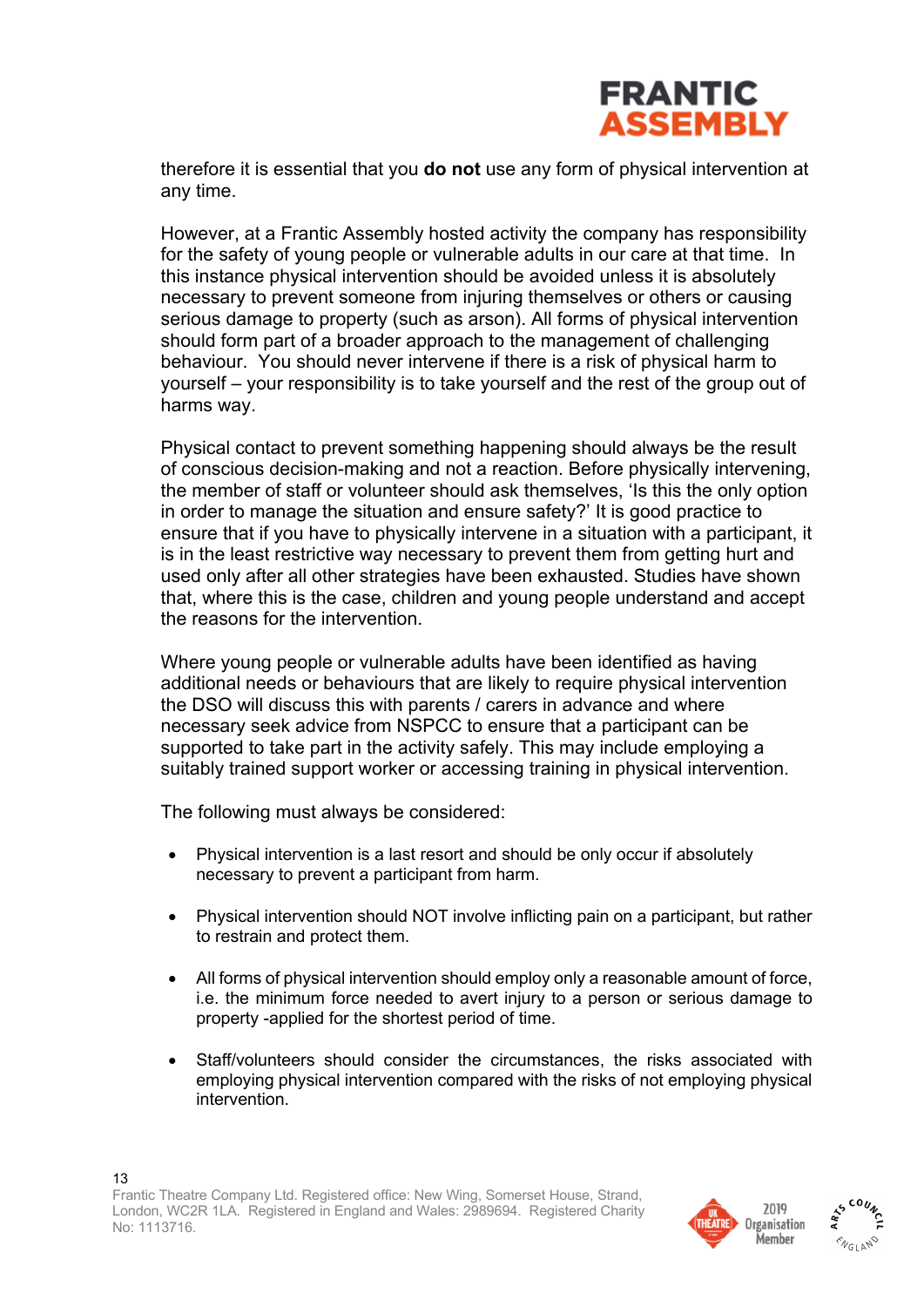

therefore it is essential that you **do not** use any form of physical intervention at any time.

However, at a Frantic Assembly hosted activity the company has responsibility for the safety of young people or vulnerable adults in our care at that time. In this instance physical intervention should be avoided unless it is absolutely necessary to prevent someone from injuring themselves or others or causing serious damage to property (such as arson). All forms of physical intervention should form part of a broader approach to the management of challenging behaviour. You should never intervene if there is a risk of physical harm to yourself – your responsibility is to take yourself and the rest of the group out of harms way.

Physical contact to prevent something happening should always be the result of conscious decision-making and not a reaction. Before physically intervening, the member of staff or volunteer should ask themselves, 'Is this the only option in order to manage the situation and ensure safety?' It is good practice to ensure that if you have to physically intervene in a situation with a participant, it is in the least restrictive way necessary to prevent them from getting hurt and used only after all other strategies have been exhausted. Studies have shown that, where this is the case, children and young people understand and accept the reasons for the intervention.

Where young people or vulnerable adults have been identified as having additional needs or behaviours that are likely to require physical intervention the DSO will discuss this with parents / carers in advance and where necessary seek advice from NSPCC to ensure that a participant can be supported to take part in the activity safely. This may include employing a suitably trained support worker or accessing training in physical intervention.

The following must always be considered:

- Physical intervention is a last resort and should be only occur if absolutely necessary to prevent a participant from harm.
- Physical intervention should NOT involve inflicting pain on a participant, but rather to restrain and protect them.
- All forms of physical intervention should employ only a reasonable amount of force, i.e. the minimum force needed to avert injury to a person or serious damage to property -applied for the shortest period of time.
- Staff/volunteers should consider the circumstances, the risks associated with employing physical intervention compared with the risks of not employing physical intervention.



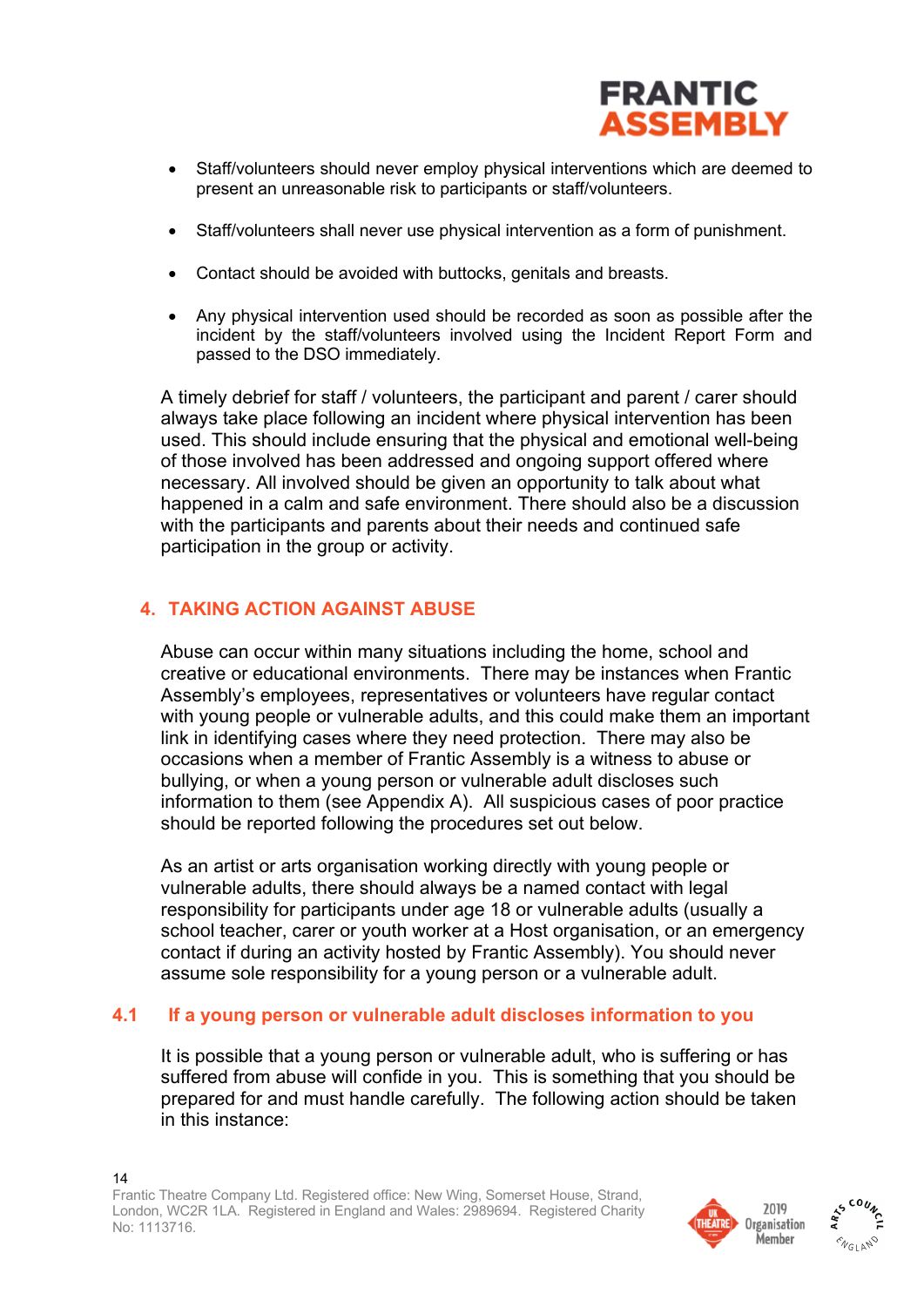

- Staff/volunteers should never employ physical interventions which are deemed to present an unreasonable risk to participants or staff/volunteers.
- Staff/volunteers shall never use physical intervention as a form of punishment.
- Contact should be avoided with buttocks, genitals and breasts.
- Any physical intervention used should be recorded as soon as possible after the incident by the staff/volunteers involved using the Incident Report Form and passed to the DSO immediately.

A timely debrief for staff / volunteers, the participant and parent / carer should always take place following an incident where physical intervention has been used. This should include ensuring that the physical and emotional well-being of those involved has been addressed and ongoing support offered where necessary. All involved should be given an opportunity to talk about what happened in a calm and safe environment. There should also be a discussion with the participants and parents about their needs and continued safe participation in the group or activity.

## **4. TAKING ACTION AGAINST ABUSE**

Abuse can occur within many situations including the home, school and creative or educational environments. There may be instances when Frantic Assembly's employees, representatives or volunteers have regular contact with young people or vulnerable adults, and this could make them an important link in identifying cases where they need protection. There may also be occasions when a member of Frantic Assembly is a witness to abuse or bullying, or when a young person or vulnerable adult discloses such information to them (see Appendix A). All suspicious cases of poor practice should be reported following the procedures set out below.

As an artist or arts organisation working directly with young people or vulnerable adults, there should always be a named contact with legal responsibility for participants under age 18 or vulnerable adults (usually a school teacher, carer or youth worker at a Host organisation, or an emergency contact if during an activity hosted by Frantic Assembly). You should never assume sole responsibility for a young person or a vulnerable adult.

#### **4.1 If a young person or vulnerable adult discloses information to you**

It is possible that a young person or vulnerable adult, who is suffering or has suffered from abuse will confide in you. This is something that you should be prepared for and must handle carefully. The following action should be taken in this instance:



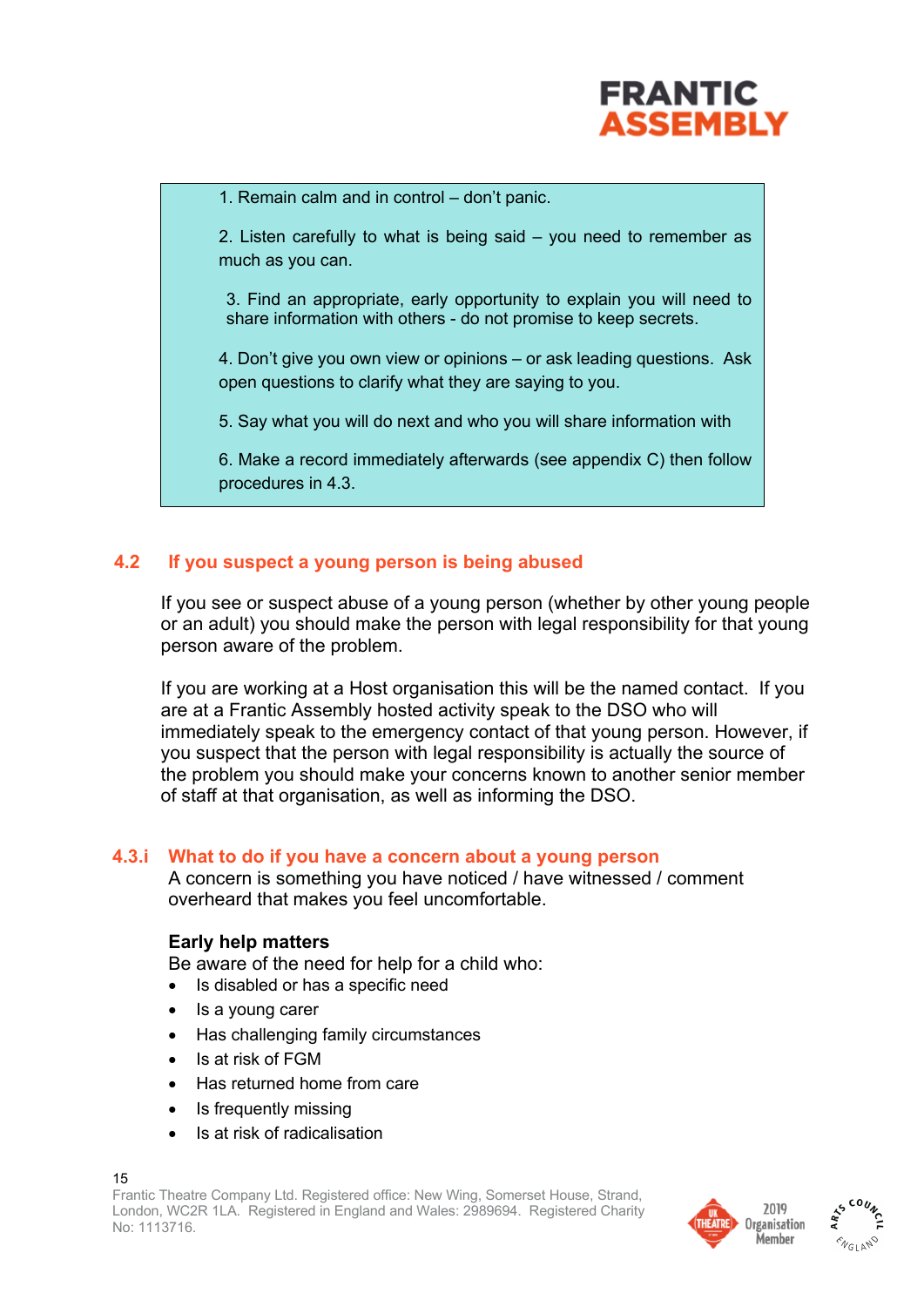

1. Remain calm and in control – don't panic.

2. Listen carefully to what is being said – you need to remember as much as you can.

3. Find an appropriate, early opportunity to explain you will need to share information with others - do not promise to keep secrets.

4. Don't give you own view or opinions – or ask leading questions. Ask open questions to clarify what they are saying to you.

5. Say what you will do next and who you will share information with

6. Make a record immediately afterwards (see appendix C) then follow procedures in 4.3.

## **4.2 If you suspect a young person is being abused**

If you see or suspect abuse of a young person (whether by other young people or an adult) you should make the person with legal responsibility for that young person aware of the problem.

If you are working at a Host organisation this will be the named contact. If you are at a Frantic Assembly hosted activity speak to the DSO who will immediately speak to the emergency contact of that young person. However, if you suspect that the person with legal responsibility is actually the source of the problem you should make your concerns known to another senior member of staff at that organisation, as well as informing the DSO.

#### **4.3.i What to do if you have a concern about a young person**

A concern is something you have noticed / have witnessed / comment overheard that makes you feel uncomfortable.

#### **Early help matters**

Be aware of the need for help for a child who:

- Is disabled or has a specific need
- Is a young carer
- Has challenging family circumstances
- Is at risk of FGM
- Has returned home from care
- Is frequently missing
- Is at risk of radicalisation



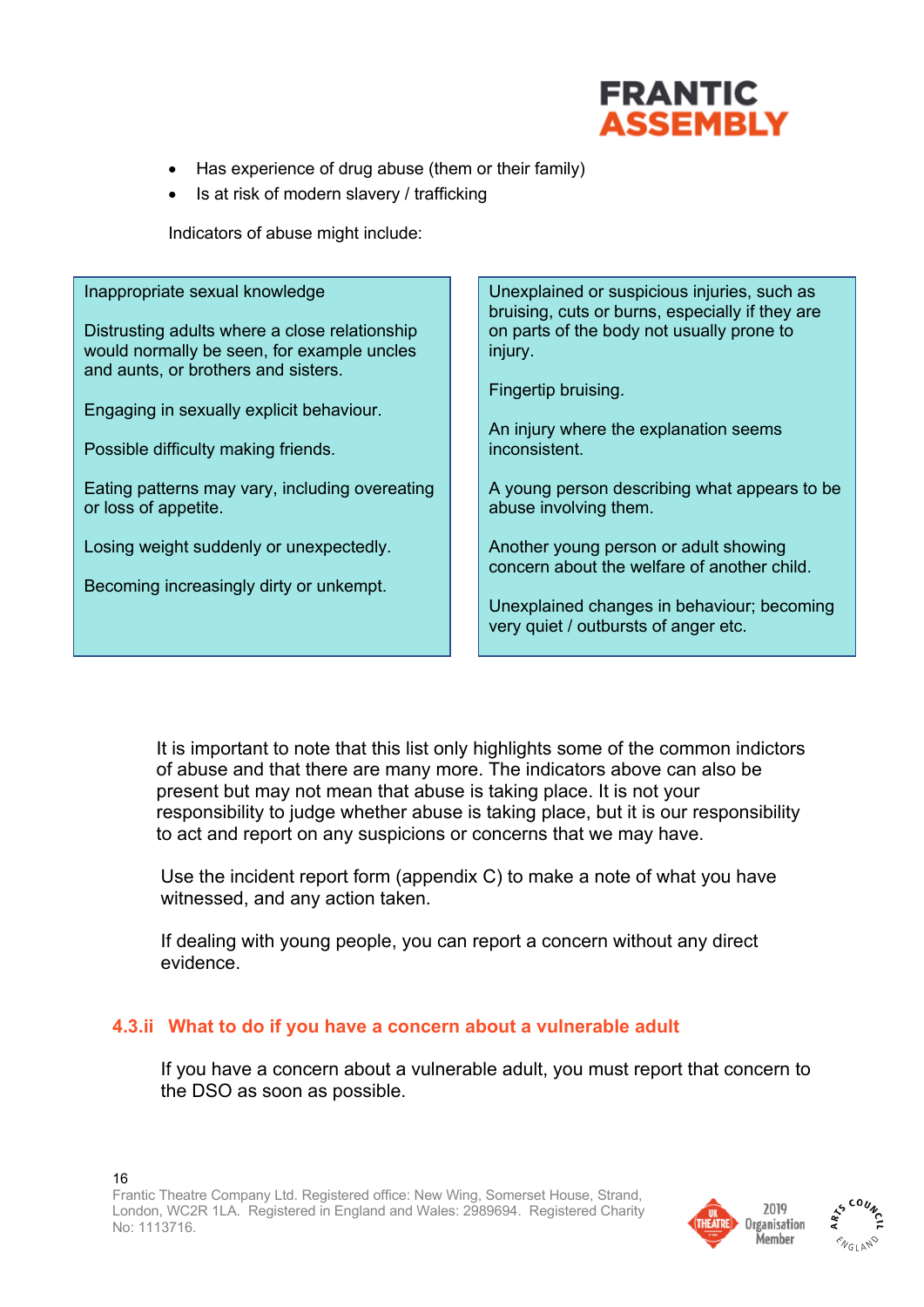

- Has experience of drug abuse (them or their family)
- Is at risk of modern slavery / trafficking

Indicators of abuse might include:

| Inappropriate sexual knowledge                                         | Unexplained or suspicious injuries, such as<br>bruising, cuts or burns, especially if they are |
|------------------------------------------------------------------------|------------------------------------------------------------------------------------------------|
| Distrusting adults where a close relationship                          | on parts of the body not usually prone to                                                      |
| would normally be seen, for example uncles                             | injury.                                                                                        |
| and aunts, or brothers and sisters.                                    |                                                                                                |
|                                                                        | Fingertip bruising.                                                                            |
| Engaging in sexually explicit behaviour.                               |                                                                                                |
|                                                                        | An injury where the explanation seems                                                          |
| Possible difficulty making friends.                                    | inconsistent.                                                                                  |
|                                                                        |                                                                                                |
| Eating patterns may vary, including overeating<br>or loss of appetite. | A young person describing what appears to be<br>abuse involving them.                          |
|                                                                        |                                                                                                |
| Losing weight suddenly or unexpectedly.                                | Another young person or adult showing                                                          |
|                                                                        | concern about the welfare of another child.                                                    |
| Becoming increasingly dirty or unkempt.                                |                                                                                                |
|                                                                        | Unexplained changes in behaviour; becoming                                                     |
|                                                                        | very quiet / outbursts of anger etc.                                                           |
|                                                                        |                                                                                                |

It is important to note that this list only highlights some of the common indictors of abuse and that there are many more. The indicators above can also be present but may not mean that abuse is taking place. It is not your responsibility to judge whether abuse is taking place, but it is our responsibility to act and report on any suspicions or concerns that we may have.

Use the incident report form (appendix C) to make a note of what you have witnessed, and any action taken.

If dealing with young people, you can report a concern without any direct evidence.

#### **4.3.ii What to do if you have a concern about a vulnerable adult**

If you have a concern about a vulnerable adult, you must report that concern to the DSO as soon as possible.



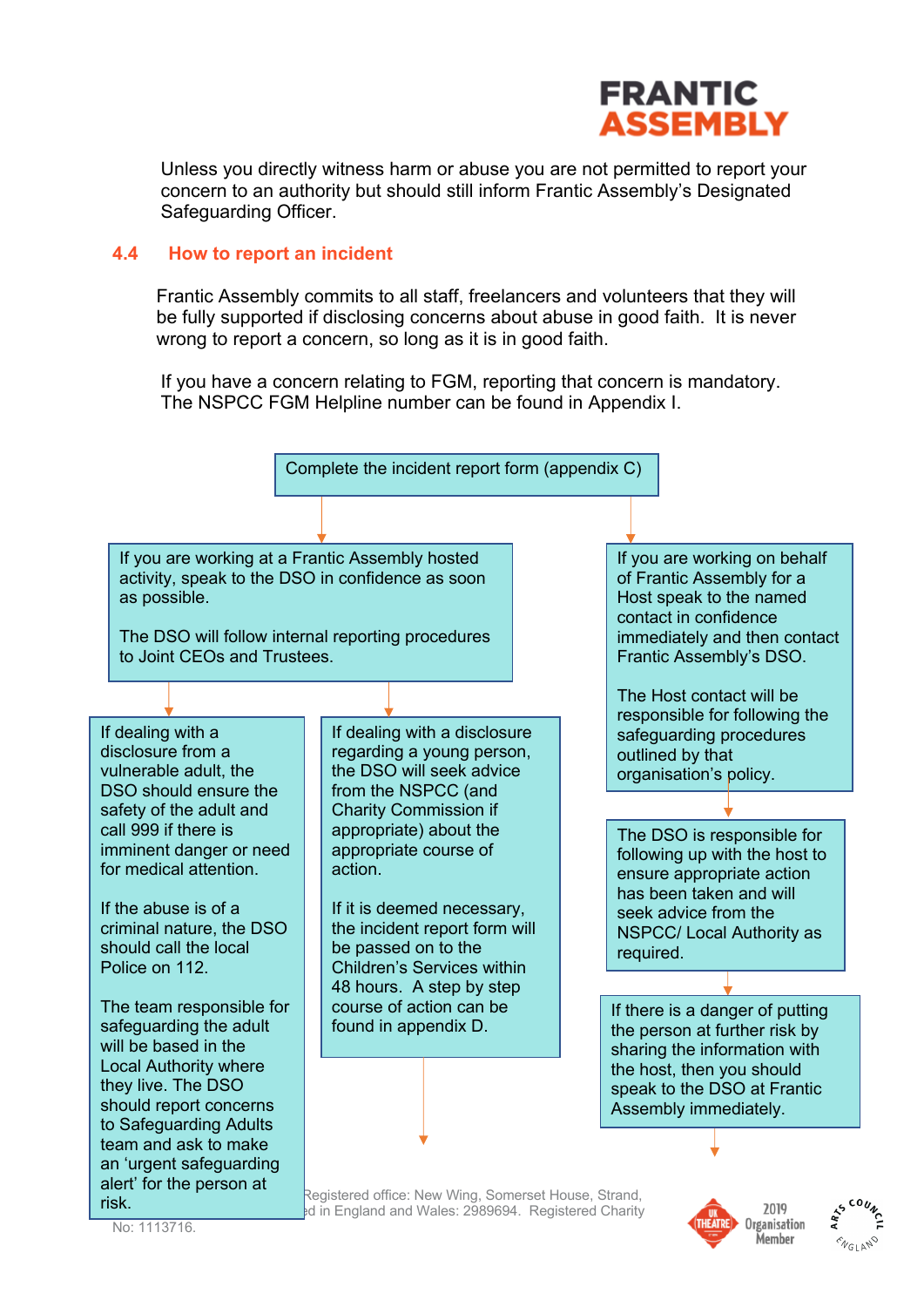

Member

Unless you directly witness harm or abuse you are not permitted to report your concern to an authority but should still inform Frantic Assembly's Designated Safeguarding Officer.

#### **4.4 How to report an incident**

Frantic Assembly commits to all staff, freelancers and volunteers that they will be fully supported if disclosing concerns about abuse in good faith. It is never wrong to report a concern, so long as it is in good faith.

If you have a concern relating to FGM, reporting that concern is mandatory. The NSPCC FGM Helpline number can be found in Appendix I.



No: 1113716.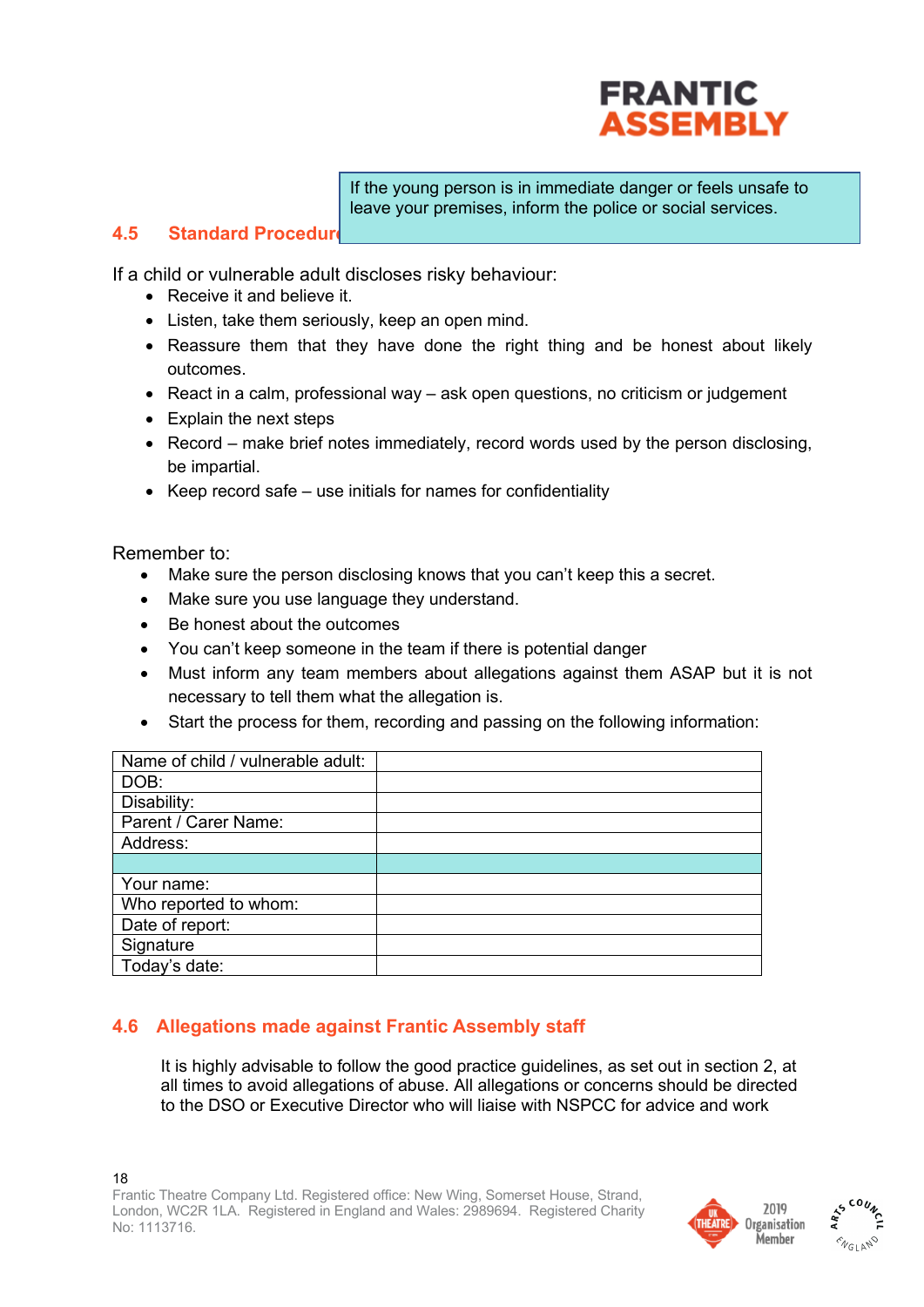

If the young person is in immediate danger or feels unsafe to leave your premises, inform the police or social services.

#### **4.5 Standard Procedure**

If a child or vulnerable adult discloses risky behaviour:

- Receive it and believe it.
- Listen, take them seriously, keep an open mind.
- Reassure them that they have done the right thing and be honest about likely outcomes.
- React in a calm, professional way ask open questions, no criticism or judgement
- Explain the next steps
- Record make brief notes immediately, record words used by the person disclosing, be impartial.
- Keep record safe use initials for names for confidentiality

Remember to:

- Make sure the person disclosing knows that you can't keep this a secret.
- Make sure you use language they understand.
- Be honest about the outcomes
- You can't keep someone in the team if there is potential danger
- Must inform any team members about allegations against them ASAP but it is not necessary to tell them what the allegation is.
- Start the process for them, recording and passing on the following information:

| Name of child / vulnerable adult: |  |
|-----------------------------------|--|
| DOB:                              |  |
| Disability:                       |  |
| Parent / Carer Name:              |  |
| Address:                          |  |
|                                   |  |
| Your name:                        |  |
| Who reported to whom:             |  |
| Date of report:                   |  |
| Signature                         |  |
| Today's date:                     |  |

## **4.6 Allegations made against Frantic Assembly staff**

It is highly advisable to follow the good practice guidelines, as set out in section 2, at all times to avoid allegations of abuse. All allegations or concerns should be directed to the DSO or Executive Director who will liaise with NSPCC for advice and work



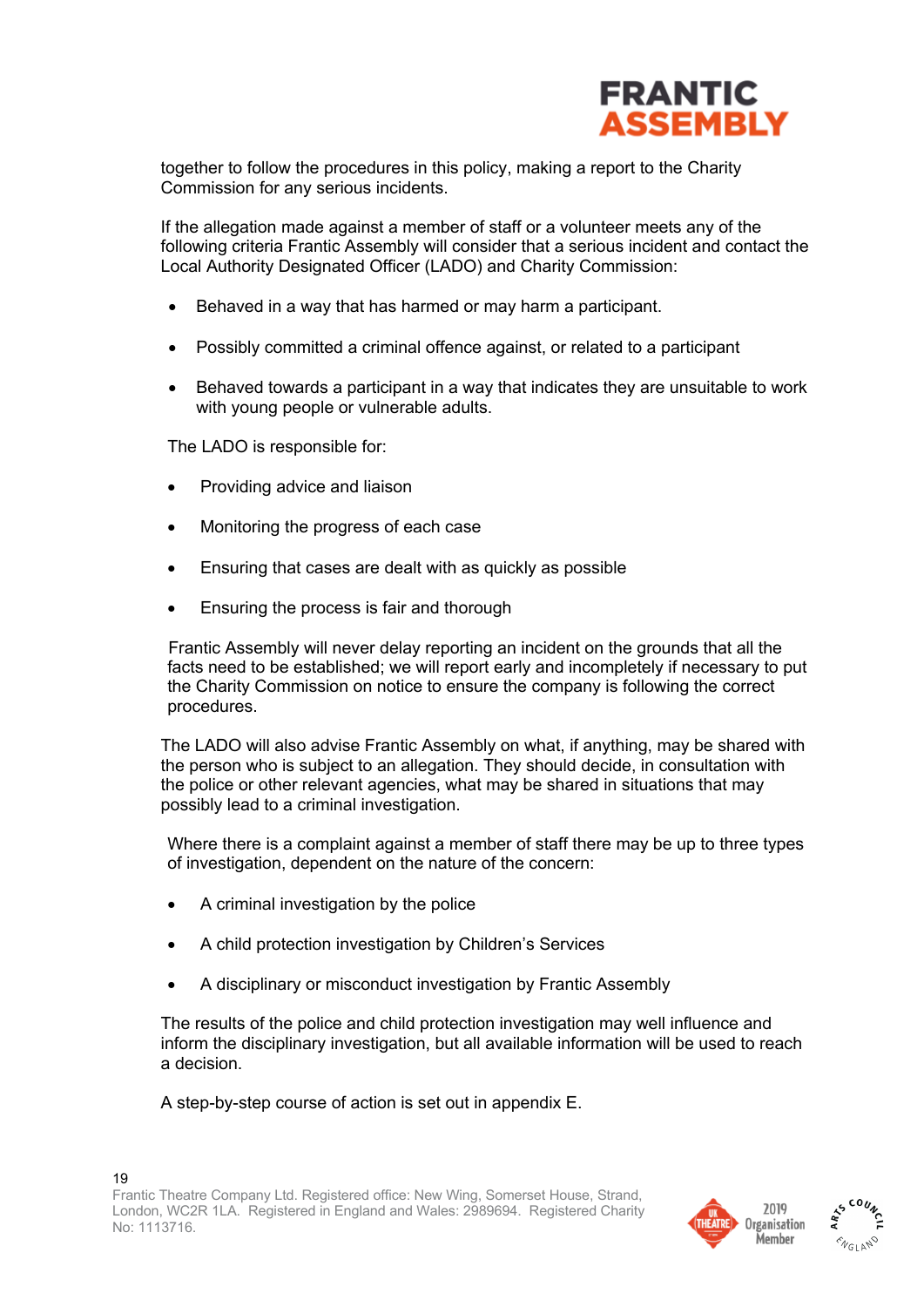

together to follow the procedures in this policy, making a report to the Charity Commission for any serious incidents.

If the allegation made against a member of staff or a volunteer meets any of the following criteria Frantic Assembly will consider that a serious incident and contact the Local Authority Designated Officer (LADO) and Charity Commission:

- Behaved in a way that has harmed or may harm a participant.
- Possibly committed a criminal offence against, or related to a participant
- Behaved towards a participant in a way that indicates they are unsuitable to work with young people or vulnerable adults.

The LADO is responsible for:

- Providing advice and liaison
- Monitoring the progress of each case
- Ensuring that cases are dealt with as quickly as possible
- Ensuring the process is fair and thorough

Frantic Assembly will never delay reporting an incident on the grounds that all the facts need to be established; we will report early and incompletely if necessary to put the Charity Commission on notice to ensure the company is following the correct procedures.

The LADO will also advise Frantic Assembly on what, if anything, may be shared with the person who is subject to an allegation. They should decide, in consultation with the police or other relevant agencies, what may be shared in situations that may possibly lead to a criminal investigation.

Where there is a complaint against a member of staff there may be up to three types of investigation, dependent on the nature of the concern:

- A criminal investigation by the police
- A child protection investigation by Children's Services
- A disciplinary or misconduct investigation by Frantic Assembly

The results of the police and child protection investigation may well influence and inform the disciplinary investigation, but all available information will be used to reach a decision.

A step-by-step course of action is set out in appendix E.



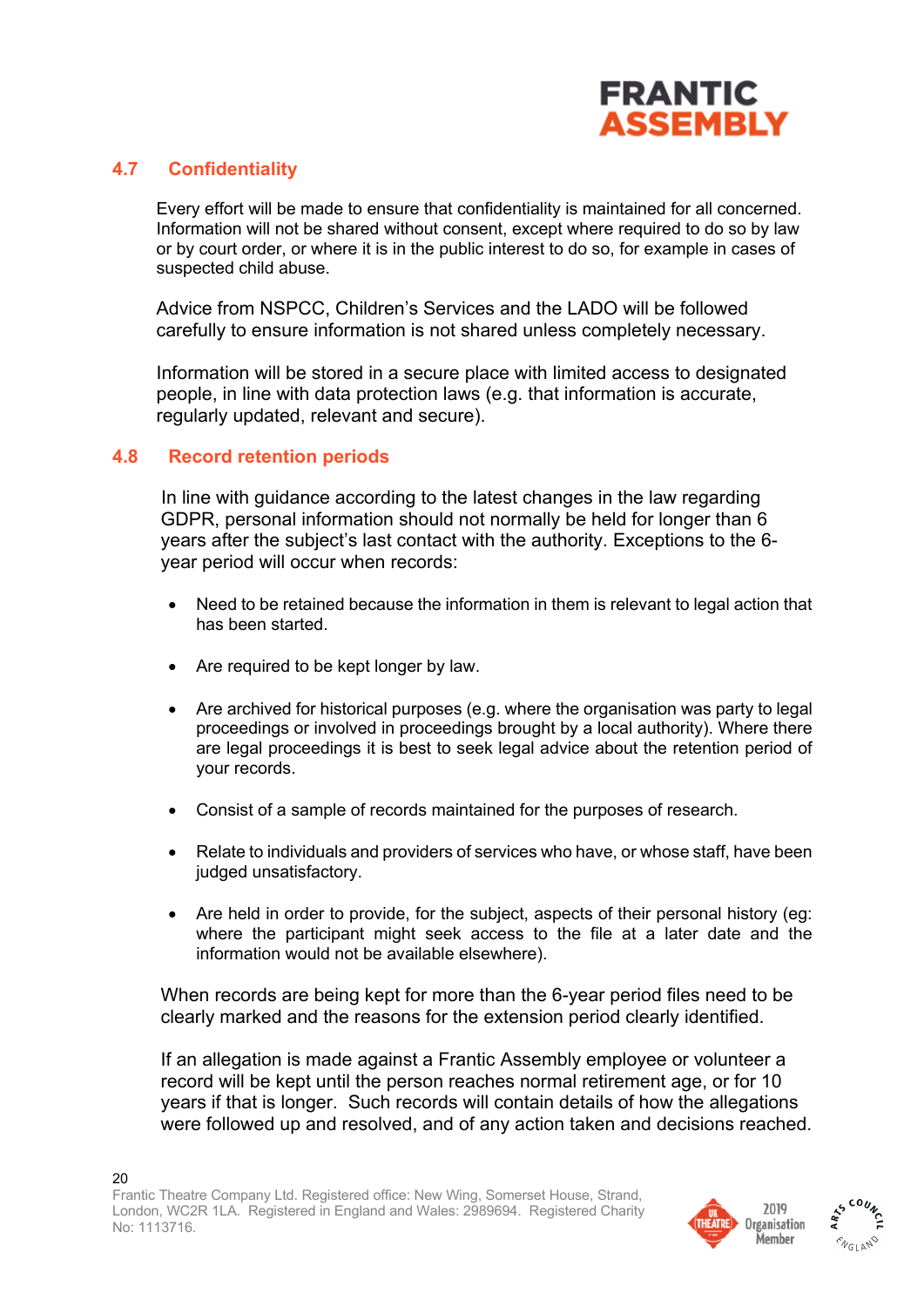

#### **4.7 Confidentiality**

Every effort will be made to ensure that confidentiality is maintained for all concerned. Information will not be shared without consent, except where required to do so by law or by court order, or where it is in the public interest to do so, for example in cases of suspected child abuse.

Advice from NSPCC, Children's Services and the LADO will be followed carefully to ensure information is not shared unless completely necessary.

Information will be stored in a secure place with limited access to designated people, in line with data protection laws (e.g. that information is accurate, regularly updated, relevant and secure).

#### **4.8 Record retention periods**

In line with guidance according to the latest changes in the law regarding GDPR, personal information should not normally be held for longer than 6 years after the subject's last contact with the authority. Exceptions to the 6 year period will occur when records:

- Need to be retained because the information in them is relevant to legal action that has been started.
- Are required to be kept longer by law.
- Are archived for historical purposes (e.g. where the organisation was party to legal proceedings or involved in proceedings brought by a local authority). Where there are legal proceedings it is best to seek legal advice about the retention period of your records.
- Consist of a sample of records maintained for the purposes of research.
- Relate to individuals and providers of services who have, or whose staff, have been judged unsatisfactory.
- Are held in order to provide, for the subject, aspects of their personal history (eg: where the participant might seek access to the file at a later date and the information would not be available elsewhere).

When records are being kept for more than the 6-year period files need to be clearly marked and the reasons for the extension period clearly identified.

If an allegation is made against a Frantic Assembly employee or volunteer a record will be kept until the person reaches normal retirement age, or for 10 years if that is longer. Such records will contain details of how the allegations were followed up and resolved, and of any action taken and decisions reached.



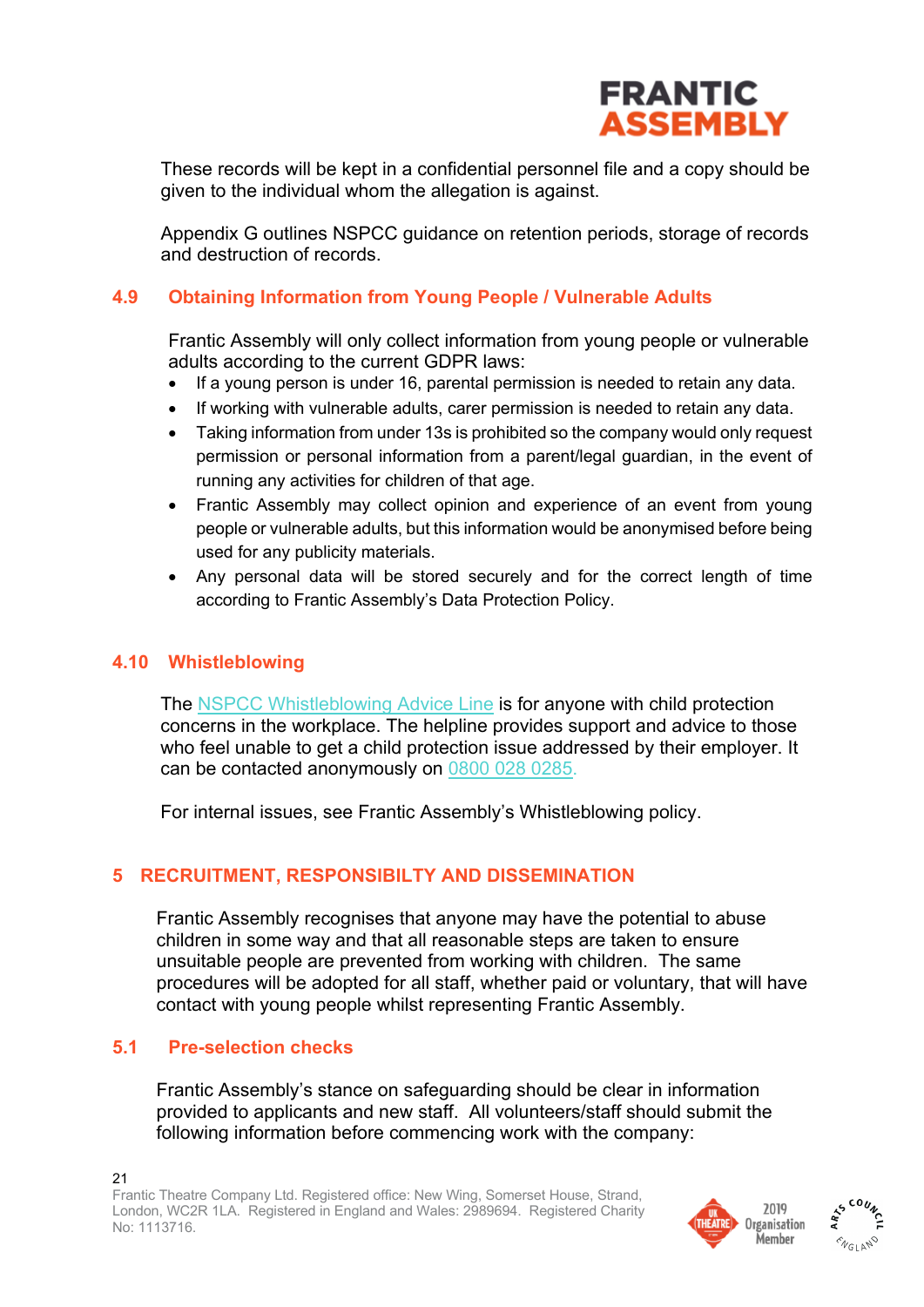

These records will be kept in a confidential personnel file and a copy should be given to the individual whom the allegation is against.

Appendix G outlines NSPCC guidance on retention periods, storage of records and destruction of records.

### **4.9 Obtaining Information from Young People / Vulnerable Adults**

Frantic Assembly will only collect information from young people or vulnerable adults according to the current GDPR laws:

- If a young person is under 16, parental permission is needed to retain any data.
- If working with vulnerable adults, carer permission is needed to retain any data.
- Taking information from under 13s is prohibited so the company would only request permission or personal information from a parent/legal guardian, in the event of running any activities for children of that age.
- Frantic Assembly may collect opinion and experience of an event from young people or vulnerable adults, but this information would be anonymised before being used for any publicity materials.
- Any personal data will be stored securely and for the correct length of time according to Frantic Assembly's Data Protection Policy.

#### **4.10 Whistleblowing**

The NSPCC Whistleblowing Advice Line is for anyone with child protection concerns in the workplace. The helpline provides support and advice to those who feel unable to get a child protection issue addressed by their employer. It can be contacted anonymously on 0800 028 0285.

For internal issues, see Frantic Assembly's Whistleblowing policy.

## **5 RECRUITMENT, RESPONSIBILTY AND DISSEMINATION**

Frantic Assembly recognises that anyone may have the potential to abuse children in some way and that all reasonable steps are taken to ensure unsuitable people are prevented from working with children. The same procedures will be adopted for all staff, whether paid or voluntary, that will have contact with young people whilst representing Frantic Assembly.

#### **5.1 Pre-selection checks**

Frantic Assembly's stance on safeguarding should be clear in information provided to applicants and new staff. All volunteers/staff should submit the following information before commencing work with the company:



**MELANO**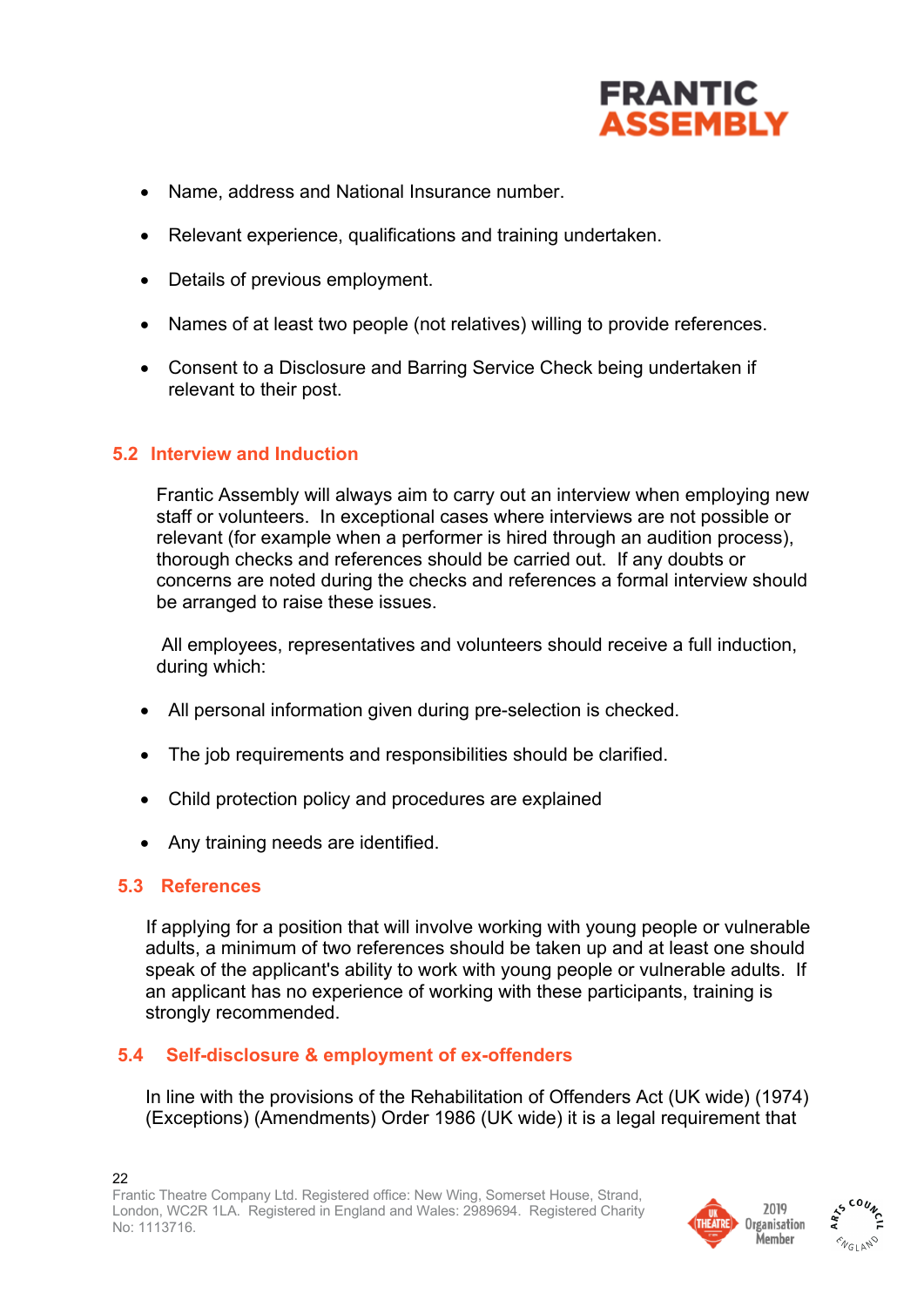

- Name, address and National Insurance number.
- Relevant experience, qualifications and training undertaken.
- Details of previous employment.
- Names of at least two people (not relatives) willing to provide references.
- Consent to a Disclosure and Barring Service Check being undertaken if relevant to their post.

### **5.2 Interview and Induction**

Frantic Assembly will always aim to carry out an interview when employing new staff or volunteers. In exceptional cases where interviews are not possible or relevant (for example when a performer is hired through an audition process), thorough checks and references should be carried out. If any doubts or concerns are noted during the checks and references a formal interview should be arranged to raise these issues.

All employees, representatives and volunteers should receive a full induction, during which:

- All personal information given during pre-selection is checked.
- The job requirements and responsibilities should be clarified.
- Child protection policy and procedures are explained
- Any training needs are identified.

#### **5.3 References**

If applying for a position that will involve working with young people or vulnerable adults, a minimum of two references should be taken up and at least one should speak of the applicant's ability to work with young people or vulnerable adults. If an applicant has no experience of working with these participants, training is strongly recommended.

## **5.4 Self-disclosure & employment of ex-offenders**

In line with the provisions of the Rehabilitation of Offenders Act (UK wide) (1974) (Exceptions) (Amendments) Order 1986 (UK wide) it is a legal requirement that



**ENGLAND**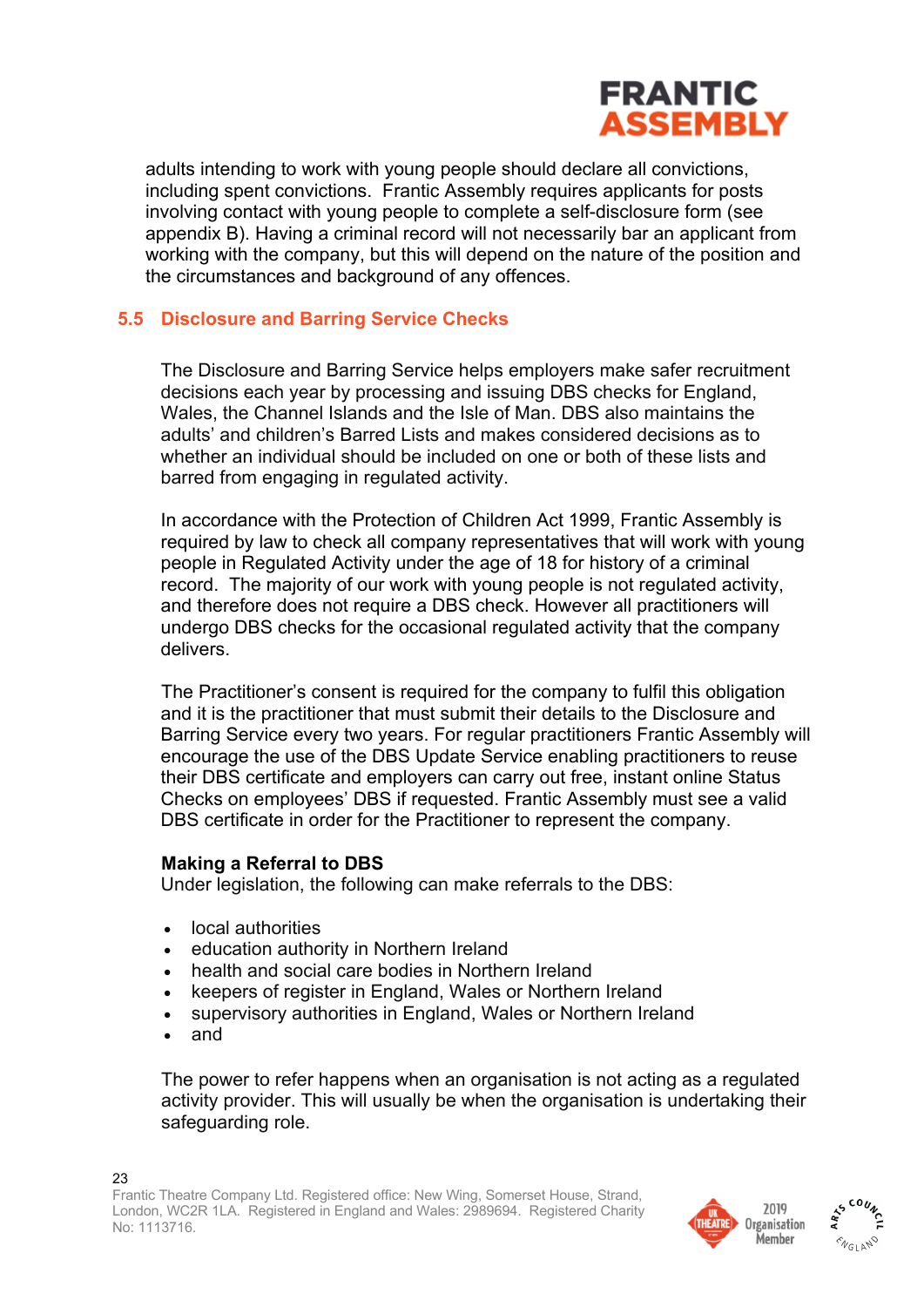

adults intending to work with young people should declare all convictions, including spent convictions. Frantic Assembly requires applicants for posts involving contact with young people to complete a self-disclosure form (see appendix B). Having a criminal record will not necessarily bar an applicant from working with the company, but this will depend on the nature of the position and the circumstances and background of any offences.

### **5.5 Disclosure and Barring Service Checks**

The Disclosure and Barring Service helps employers make safer recruitment decisions each year by processing and issuing DBS checks for England, Wales, the Channel Islands and the Isle of Man. DBS also maintains the adults' and children's Barred Lists and makes considered decisions as to whether an individual should be included on one or both of these lists and barred from engaging in regulated activity.

In accordance with the Protection of Children Act 1999, Frantic Assembly is required by law to check all company representatives that will work with young people in Regulated Activity under the age of 18 for history of a criminal record. The majority of our work with young people is not regulated activity, and therefore does not require a DBS check. However all practitioners will undergo DBS checks for the occasional regulated activity that the company delivers.

The Practitioner's consent is required for the company to fulfil this obligation and it is the practitioner that must submit their details to the Disclosure and Barring Service every two years. For regular practitioners Frantic Assembly will encourage the use of the DBS Update Service enabling practitioners to reuse their DBS certificate and employers can carry out free, instant online Status Checks on employees' DBS if requested. Frantic Assembly must see a valid DBS certificate in order for the Practitioner to represent the company.

#### **Making a Referral to DBS**

Under legislation, the following can make referrals to the DBS:

- local authorities
- education authority in Northern Ireland
- health and social care bodies in Northern Ireland
- keepers of register in England, Wales or Northern Ireland
- supervisory authorities in England, Wales or Northern Ireland
- and

The power to refer happens when an organisation is not acting as a regulated activity provider. This will usually be when the organisation is undertaking their safeguarding role.



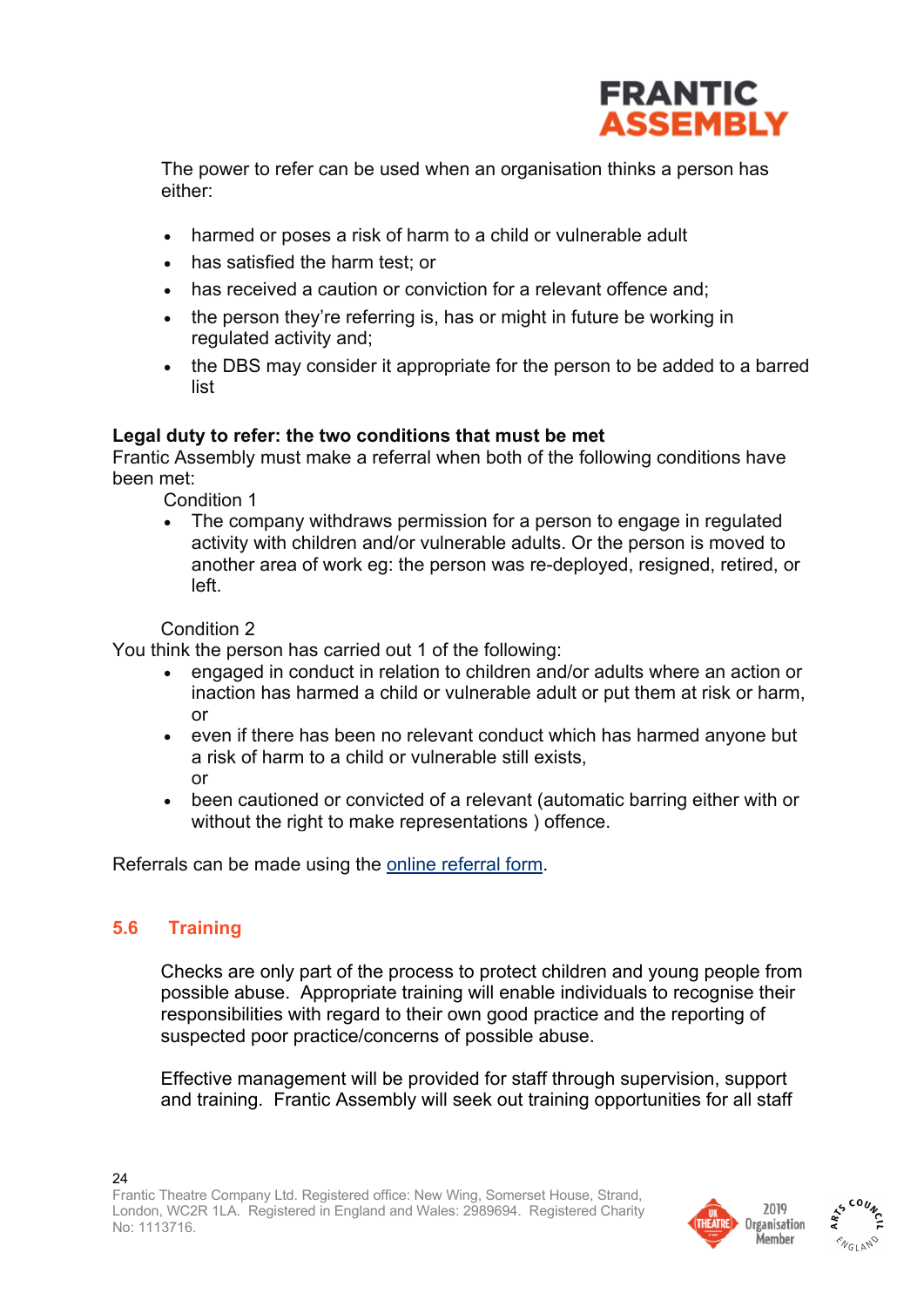

The power to refer can be used when an organisation thinks a person has either:

- harmed or poses a risk of harm to a child or vulnerable adult
- has satisfied the harm test; or
- has received a caution or conviction for a relevant offence and:
- the person they're referring is, has or might in future be working in regulated activity and;
- the DBS may consider it appropriate for the person to be added to a barred list

#### **Legal duty to refer: the two conditions that must be met**

Frantic Assembly must make a referral when both of the following conditions have been met:

Condition 1

The company withdraws permission for a person to engage in regulated activity with children and/or vulnerable adults. Or the person is moved to another area of work eg: the person was re-deployed, resigned, retired, or left.

#### Condition 2

You think the person has carried out 1 of the following:

- engaged in conduct in relation to children and/or adults where an action or inaction has harmed a child or vulnerable adult or put them at risk or harm, or
- even if there has been no relevant conduct which has harmed anyone but a risk of harm to a child or vulnerable still exists, or
- been cautioned or convicted of a relevant (automatic barring either with or without the right to make representations ) offence.

Referrals can be made using the online referral form.

## **5.6 Training**

Checks are only part of the process to protect children and young people from possible abuse. Appropriate training will enable individuals to recognise their responsibilities with regard to their own good practice and the reporting of suspected poor practice/concerns of possible abuse.

Effective management will be provided for staff through supervision, support and training. Frantic Assembly will seek out training opportunities for all staff



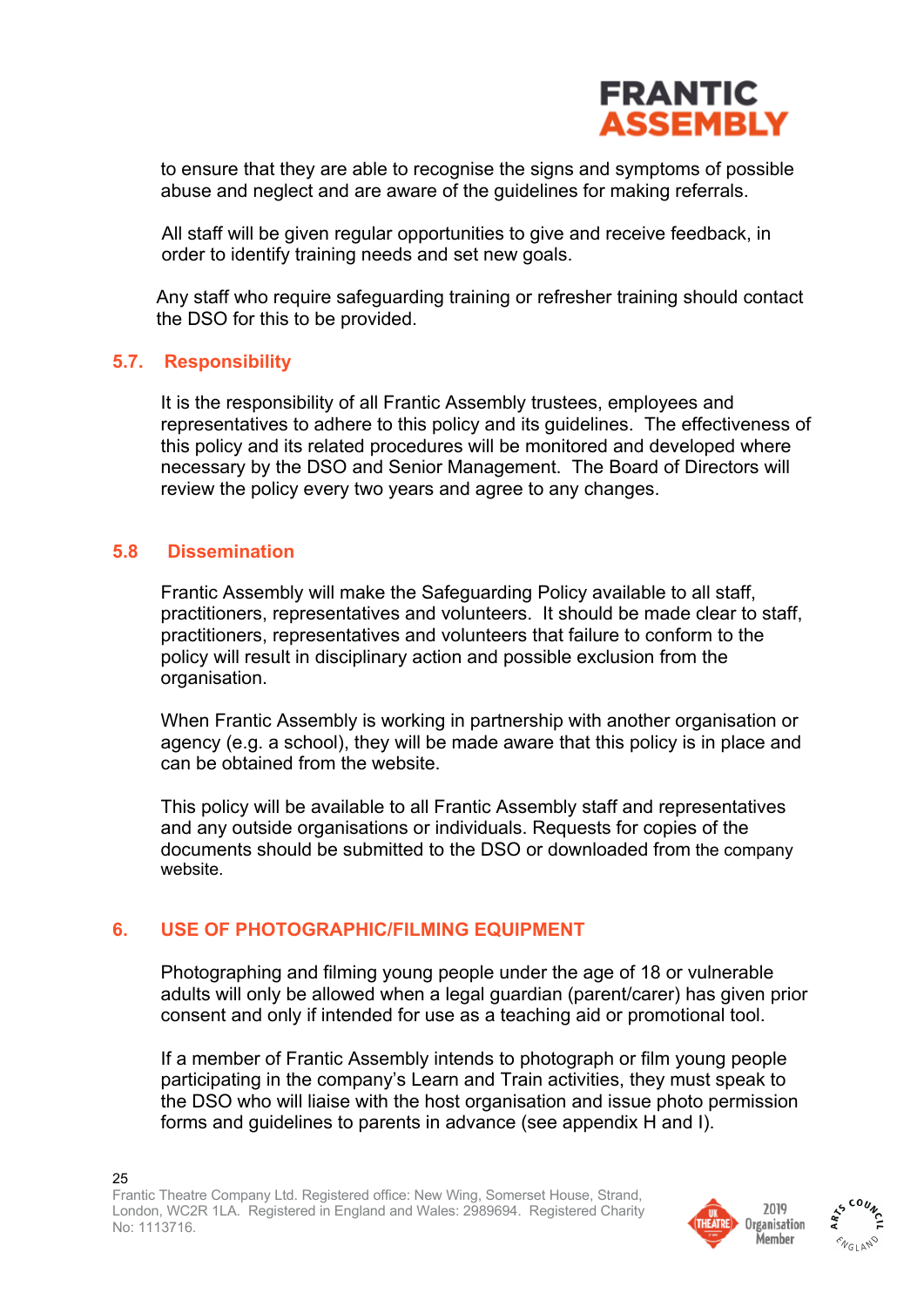

to ensure that they are able to recognise the signs and symptoms of possible abuse and neglect and are aware of the guidelines for making referrals.

All staff will be given regular opportunities to give and receive feedback, in order to identify training needs and set new goals.

Any staff who require safeguarding training or refresher training should contact the DSO for this to be provided.

#### **5.7. Responsibility**

It is the responsibility of all Frantic Assembly trustees, employees and representatives to adhere to this policy and its guidelines. The effectiveness of this policy and its related procedures will be monitored and developed where necessary by the DSO and Senior Management. The Board of Directors will review the policy every two years and agree to any changes.

### **5.8 Dissemination**

Frantic Assembly will make the Safeguarding Policy available to all staff, practitioners, representatives and volunteers. It should be made clear to staff, practitioners, representatives and volunteers that failure to conform to the policy will result in disciplinary action and possible exclusion from the organisation.

When Frantic Assembly is working in partnership with another organisation or agency (e.g. a school), they will be made aware that this policy is in place and can be obtained from the website.

This policy will be available to all Frantic Assembly staff and representatives and any outside organisations or individuals. Requests for copies of the documents should be submitted to the DSO or downloaded from the company website.

#### **6. USE OF PHOTOGRAPHIC/FILMING EQUIPMENT**

Photographing and filming young people under the age of 18 or vulnerable adults will only be allowed when a legal guardian (parent/carer) has given prior consent and only if intended for use as a teaching aid or promotional tool.

If a member of Frantic Assembly intends to photograph or film young people participating in the company's Learn and Train activities, they must speak to the DSO who will liaise with the host organisation and issue photo permission forms and guidelines to parents in advance (see appendix H and I).



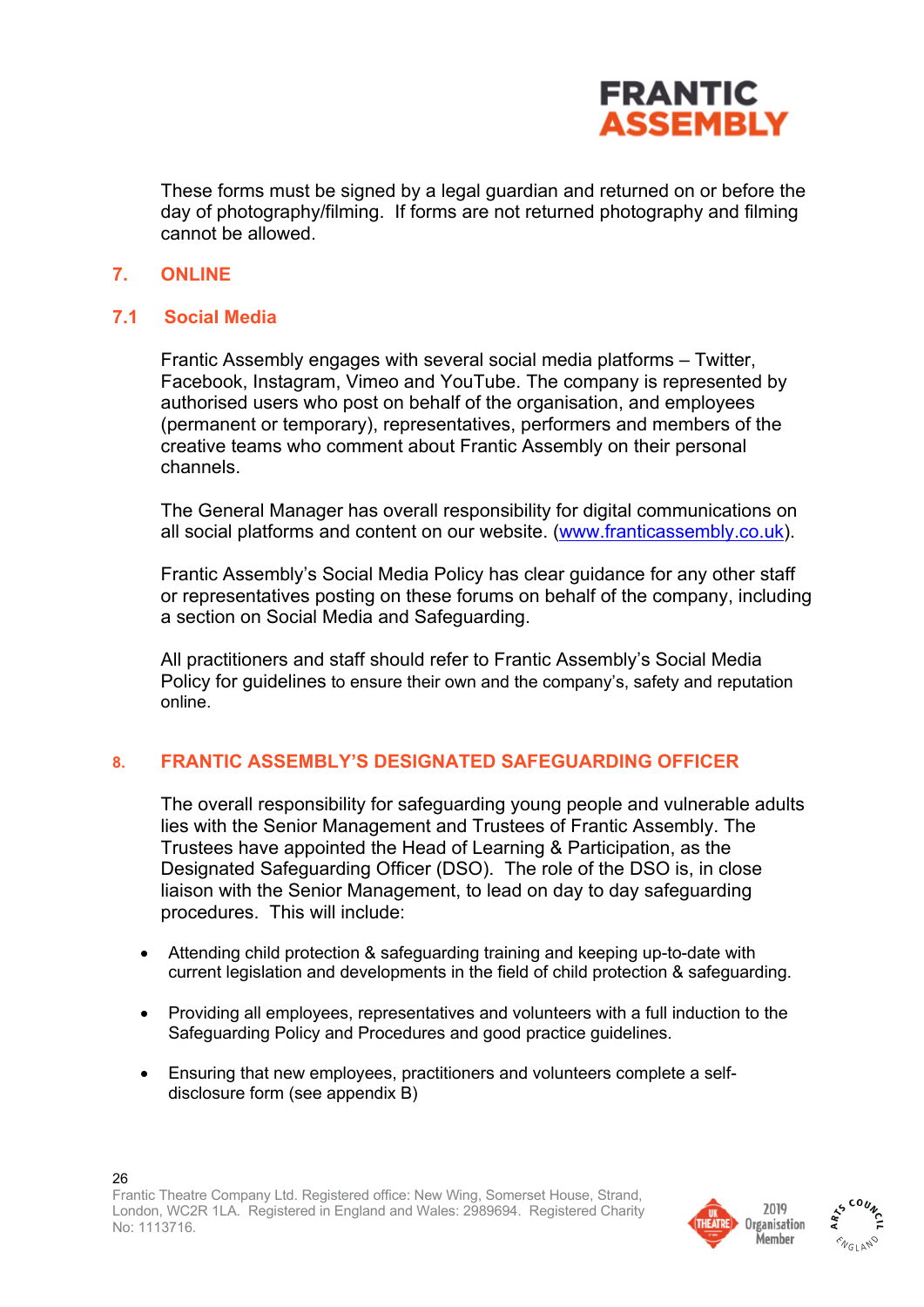

These forms must be signed by a legal guardian and returned on or before the day of photography/filming. If forms are not returned photography and filming cannot be allowed.

### **7. ONLINE**

## **7.1 Social Media**

Frantic Assembly engages with several social media platforms – Twitter, Facebook, Instagram, Vimeo and YouTube. The company is represented by authorised users who post on behalf of the organisation, and employees (permanent or temporary), representatives, performers and members of the creative teams who comment about Frantic Assembly on their personal channels.

The General Manager has overall responsibility for digital communications on all social platforms and content on our website. (www.franticassembly.co.uk).

Frantic Assembly's Social Media Policy has clear guidance for any other staff or representatives posting on these forums on behalf of the company, including a section on Social Media and Safeguarding.

All practitioners and staff should refer to Frantic Assembly's Social Media Policy for guidelines to ensure their own and the company's, safety and reputation online.

#### **8. FRANTIC ASSEMBLY'S DESIGNATED SAFEGUARDING OFFICER**

The overall responsibility for safeguarding young people and vulnerable adults lies with the Senior Management and Trustees of Frantic Assembly. The Trustees have appointed the Head of Learning & Participation, as the Designated Safeguarding Officer (DSO). The role of the DSO is, in close liaison with the Senior Management, to lead on day to day safeguarding procedures. This will include:

- Attending child protection & safeguarding training and keeping up-to-date with current legislation and developments in the field of child protection & safeguarding.
- Providing all employees, representatives and volunteers with a full induction to the Safeguarding Policy and Procedures and good practice guidelines.
- Ensuring that new employees, practitioners and volunteers complete a selfdisclosure form (see appendix B)



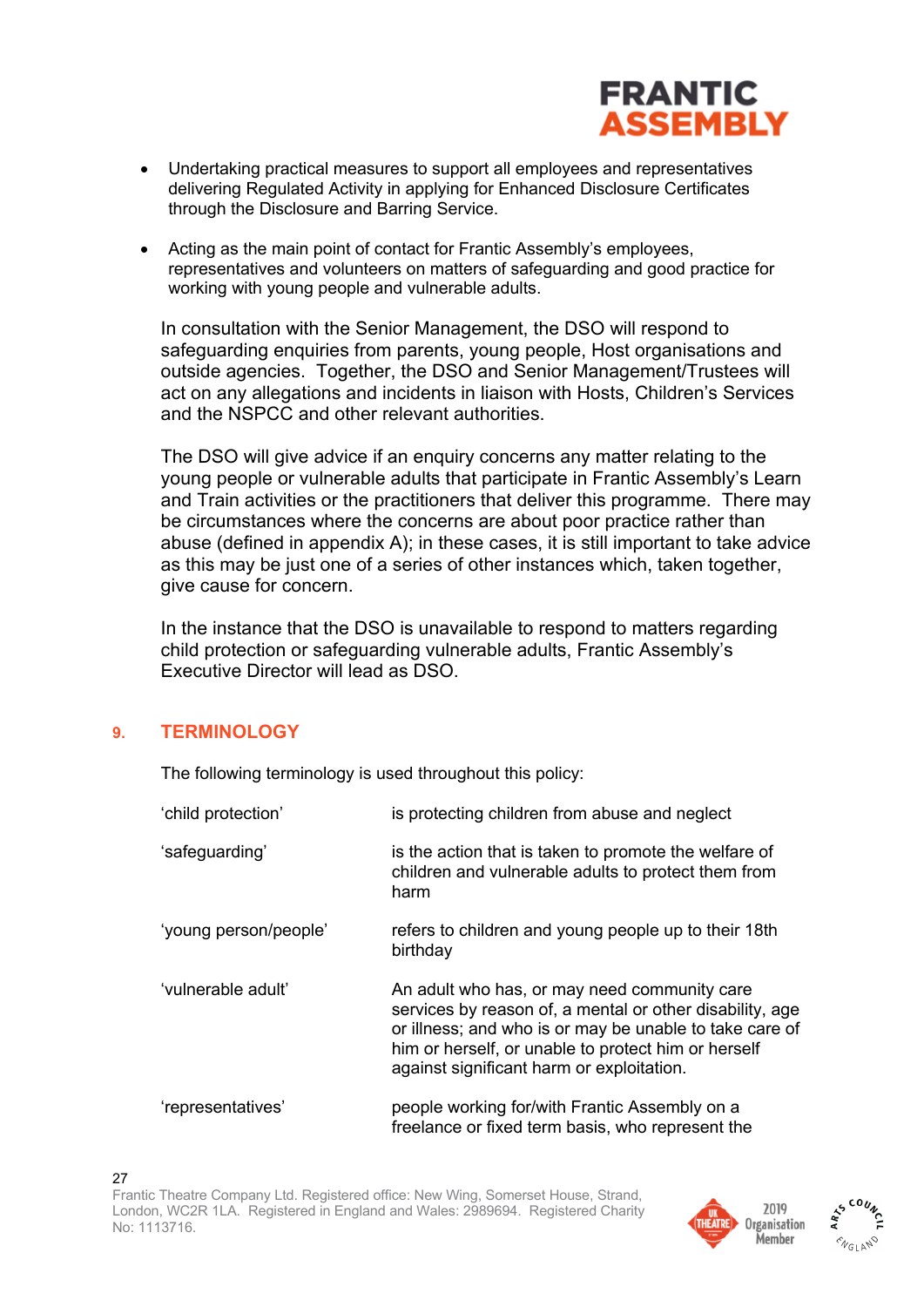

- Undertaking practical measures to support all employees and representatives delivering Regulated Activity in applying for Enhanced Disclosure Certificates through the Disclosure and Barring Service.
- Acting as the main point of contact for Frantic Assembly's employees, representatives and volunteers on matters of safeguarding and good practice for working with young people and vulnerable adults.

In consultation with the Senior Management, the DSO will respond to safeguarding enquiries from parents, young people, Host organisations and outside agencies. Together, the DSO and Senior Management/Trustees will act on any allegations and incidents in liaison with Hosts, Children's Services and the NSPCC and other relevant authorities.

The DSO will give advice if an enquiry concerns any matter relating to the young people or vulnerable adults that participate in Frantic Assembly's Learn and Train activities or the practitioners that deliver this programme. There may be circumstances where the concerns are about poor practice rather than abuse (defined in appendix A); in these cases, it is still important to take advice as this may be just one of a series of other instances which, taken together, give cause for concern.

In the instance that the DSO is unavailable to respond to matters regarding child protection or safeguarding vulnerable adults, Frantic Assembly's Executive Director will lead as DSO.

#### **9. TERMINOLOGY**

The following terminology is used throughout this policy:

| 'child protection'    | is protecting children from abuse and neglect                                                                                                                                                                                                                           |
|-----------------------|-------------------------------------------------------------------------------------------------------------------------------------------------------------------------------------------------------------------------------------------------------------------------|
| 'safeguarding'        | is the action that is taken to promote the welfare of<br>children and vulnerable adults to protect them from<br>harm                                                                                                                                                    |
| 'young person/people' | refers to children and young people up to their 18th<br>birthday                                                                                                                                                                                                        |
| 'vulnerable adult'    | An adult who has, or may need community care<br>services by reason of, a mental or other disability, age<br>or illness; and who is or may be unable to take care of<br>him or herself, or unable to protect him or herself<br>against significant harm or exploitation. |
| 'representatives'     | people working for/with Frantic Assembly on a<br>freelance or fixed term basis, who represent the                                                                                                                                                                       |



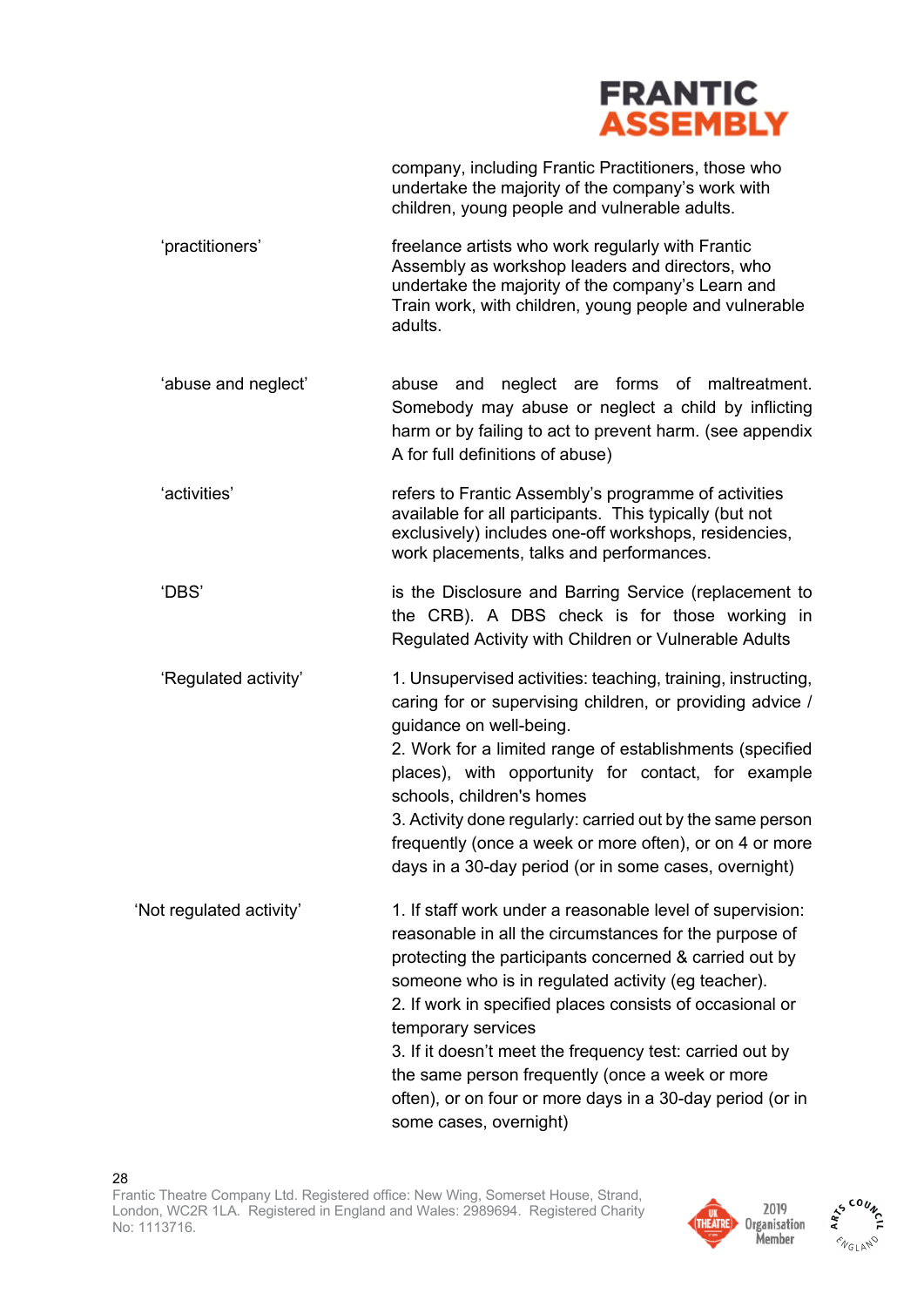

company, including Frantic Practitioners, those who undertake the majority of the company's work with children, young people and vulnerable adults.

- 'practitioners' freelance artists who work regularly with Frantic Assembly as workshop leaders and directors, who undertake the majority of the company's Learn and Train work, with children, young people and vulnerable adults.
- 'abuse and neglect' abuse and neglect are forms of maltreatment. Somebody may abuse or neglect a child by inflicting harm or by failing to act to prevent harm. (see appendix A for full definitions of abuse)
- 'activities' refers to Frantic Assembly's programme of activities available for all participants. This typically (but not exclusively) includes one-off workshops, residencies, work placements, talks and performances.
- 'DBS' is the Disclosure and Barring Service (replacement to the CRB). A DBS check is for those working in Regulated Activity with Children or Vulnerable Adults
- 'Regulated activity' 1. Unsupervised activities: teaching, training, instructing, caring for or supervising children, or providing advice / guidance on well-being.
	- 2. Work for a limited range of establishments (specified places), with opportunity for contact, for example schools, children's homes
	- 3. Activity done regularly: carried out by the same person frequently (once a week or more often), or on 4 or more days in a 30-day period (or in some cases, overnight)
- 'Not regulated activity' 1. If staff work under a reasonable level of supervision: reasonable in all the circumstances for the purpose of protecting the participants concerned & carried out by someone who is in regulated activity (eg teacher). 2. If work in specified places consists of occasional or temporary services 3. If it doesn't meet the frequency test: carried out by

the same person frequently (once a week or more often), or on four or more days in a 30-day period (or in some cases, overnight)



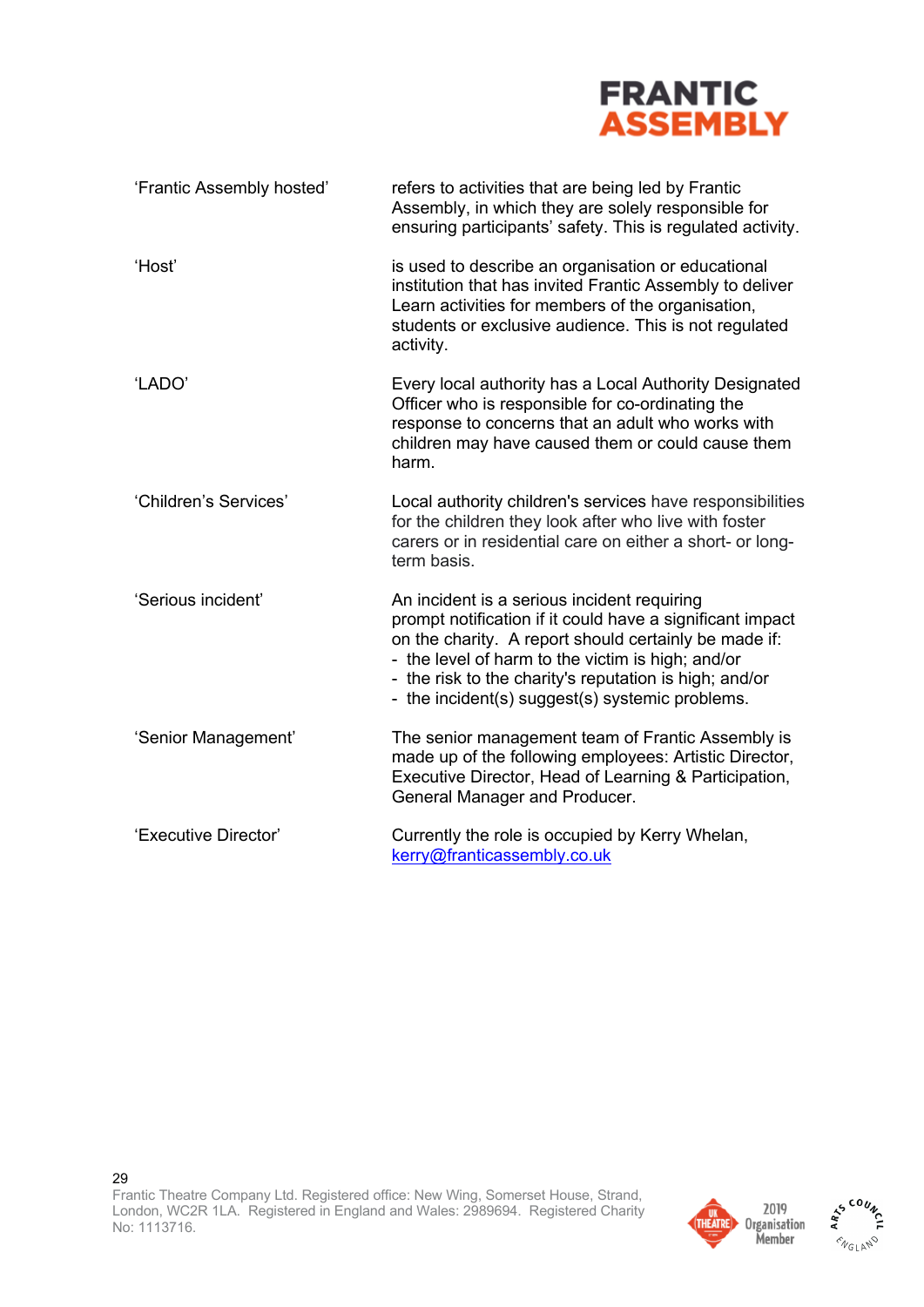

| 'Frantic Assembly hosted' | refers to activities that are being led by Frantic<br>Assembly, in which they are solely responsible for<br>ensuring participants' safety. This is regulated activity.                                                                                                                                                              |
|---------------------------|-------------------------------------------------------------------------------------------------------------------------------------------------------------------------------------------------------------------------------------------------------------------------------------------------------------------------------------|
| 'Host'                    | is used to describe an organisation or educational<br>institution that has invited Frantic Assembly to deliver<br>Learn activities for members of the organisation,<br>students or exclusive audience. This is not regulated<br>activity.                                                                                           |
| 'LADO'                    | Every local authority has a Local Authority Designated<br>Officer who is responsible for co-ordinating the<br>response to concerns that an adult who works with<br>children may have caused them or could cause them<br>harm.                                                                                                       |
| 'Children's Services'     | Local authority children's services have responsibilities<br>for the children they look after who live with foster<br>carers or in residential care on either a short- or long-<br>term basis.                                                                                                                                      |
| 'Serious incident'        | An incident is a serious incident requiring<br>prompt notification if it could have a significant impact<br>on the charity. A report should certainly be made if:<br>- the level of harm to the victim is high; and/or<br>- the risk to the charity's reputation is high; and/or<br>- the incident(s) suggest(s) systemic problems. |
| 'Senior Management'       | The senior management team of Frantic Assembly is<br>made up of the following employees: Artistic Director,<br>Executive Director, Head of Learning & Participation,<br>General Manager and Producer.                                                                                                                               |
| 'Executive Director'      | Currently the role is occupied by Kerry Whelan,<br>kerry@franticassembly.co.uk                                                                                                                                                                                                                                                      |



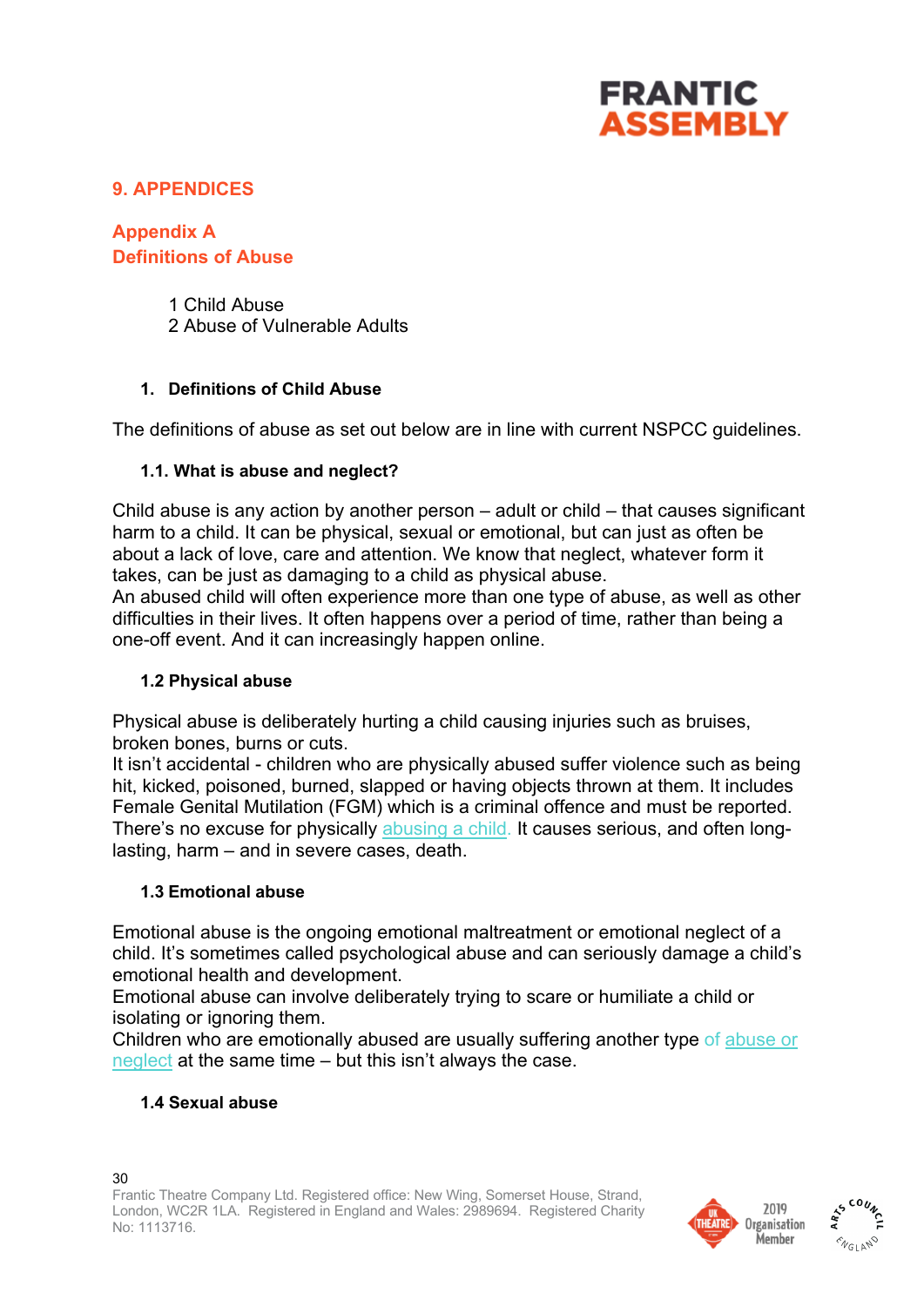

## **9. APPENDICES**

**Appendix A Definitions of Abuse**

> 1 Child Abuse 2 Abuse of Vulnerable Adults

### **1. Definitions of Child Abuse**

The definitions of abuse as set out below are in line with current NSPCC guidelines.

### **1.1. What is abuse and neglect?**

Child abuse is any action by another person – adult or child – that causes significant harm to a child. It can be physical, sexual or emotional, but can just as often be about a lack of love, care and attention. We know that neglect, whatever form it takes, can be just as damaging to a child as physical abuse.

An abused child will often experience more than one type of abuse, as well as other difficulties in their lives. It often happens over a period of time, rather than being a one-off event. And it can increasingly happen online.

#### **1.2 Physical abuse**

Physical abuse is deliberately hurting a child causing injuries such as bruises, broken bones, burns or cuts.

It isn't accidental - children who are physically abused suffer violence such as being hit, kicked, poisoned, burned, slapped or having objects thrown at them. It includes Female Genital Mutilation (FGM) which is a criminal offence and must be reported. There's no excuse for physically abusing a child. It causes serious, and often longlasting, harm – and in severe cases, death.

#### **1.3 Emotional abuse**

Emotional abuse is the ongoing emotional maltreatment or emotional neglect of a child. It's sometimes called psychological abuse and can seriously damage a child's emotional health and development.

Emotional abuse can involve deliberately trying to scare or humiliate a child or isolating or ignoring them.

Children who are emotionally abused are usually suffering another type of abuse or neglect at the same time – but this isn't always the case.

## **1.4 Sexual abuse**



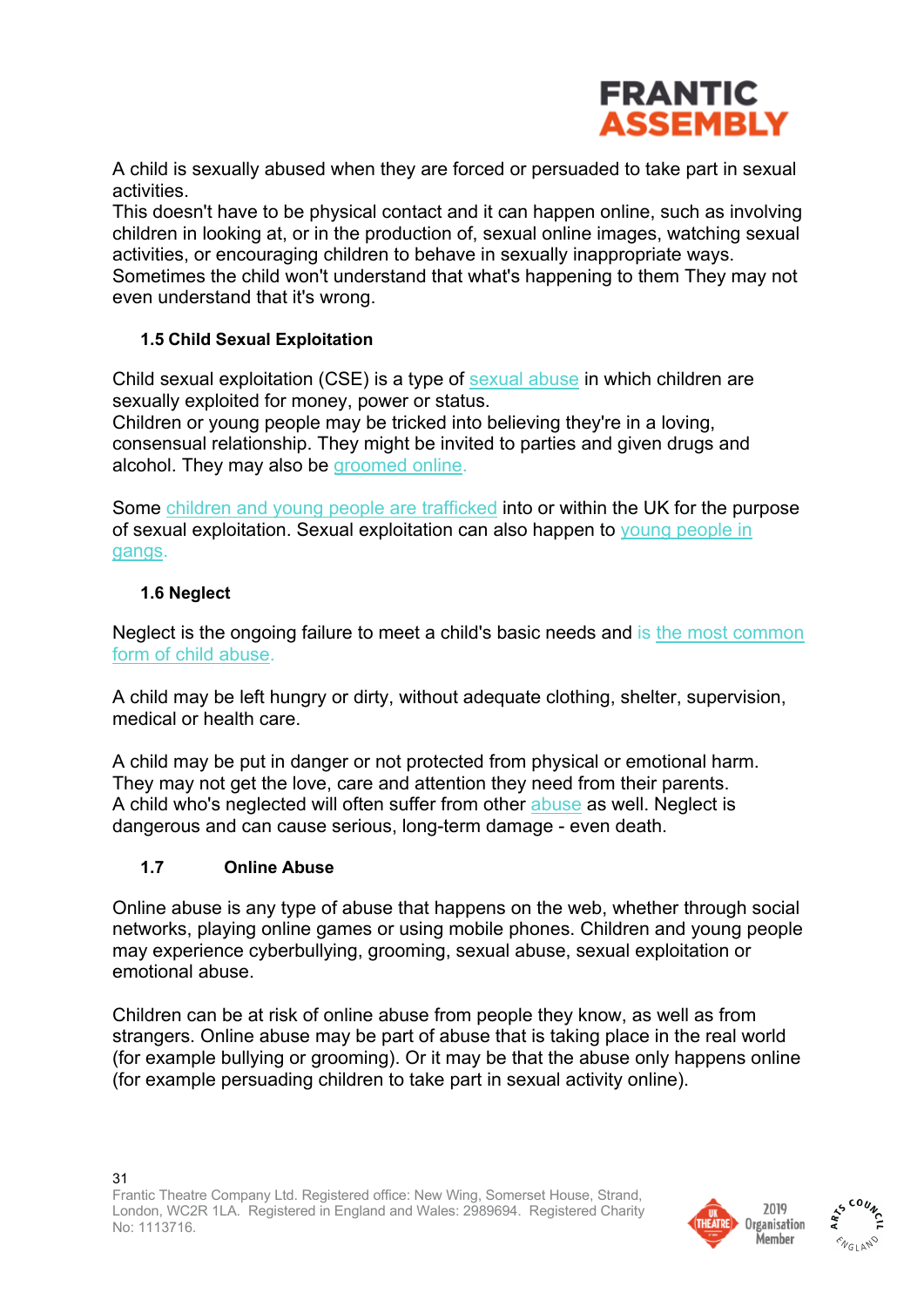

A child is sexually abused when they are forced or persuaded to take part in sexual activities.

This doesn't have to be physical contact and it can happen online, such as involving children in looking at, or in the production of, sexual online images, watching sexual activities, or encouraging children to behave in sexually inappropriate ways. Sometimes the child won't understand that what's happening to them They may not even understand that it's wrong.

#### **1.5 Child Sexual Exploitation**

Child sexual exploitation (CSE) is a type of **sexual abuse** in which children are sexually exploited for money, power or status. Children or young people may be tricked into believing they're in a loving,

consensual relationship. They might be invited to parties and given drugs and alcohol. They may also be groomed online.

Some children and young people are trafficked into or within the UK for the purpose of sexual exploitation. Sexual exploitation can also happen to young people in gangs.

### **1.6 Neglect**

Neglect is the ongoing failure to meet a child's basic needs and is the most common form of child abuse.

A child may be left hungry or dirty, without adequate clothing, shelter, supervision, medical or health care.

A child may be put in danger or not protected from physical or emotional harm. They may not get the love, care and attention they need from their parents. A child who's neglected will often suffer from other abuse as well. Neglect is dangerous and can cause serious, long-term damage - even death.

#### **1.7 Online Abuse**

Online abuse is any type of abuse that happens on the web, whether through social networks, playing online games or using mobile phones. Children and young people may experience cyberbullying, grooming, sexual abuse, sexual exploitation or emotional abuse.

Children can be at risk of online abuse from people they know, as well as from strangers. Online abuse may be part of abuse that is taking place in the real world (for example bullying or grooming). Or it may be that the abuse only happens online (for example persuading children to take part in sexual activity online).



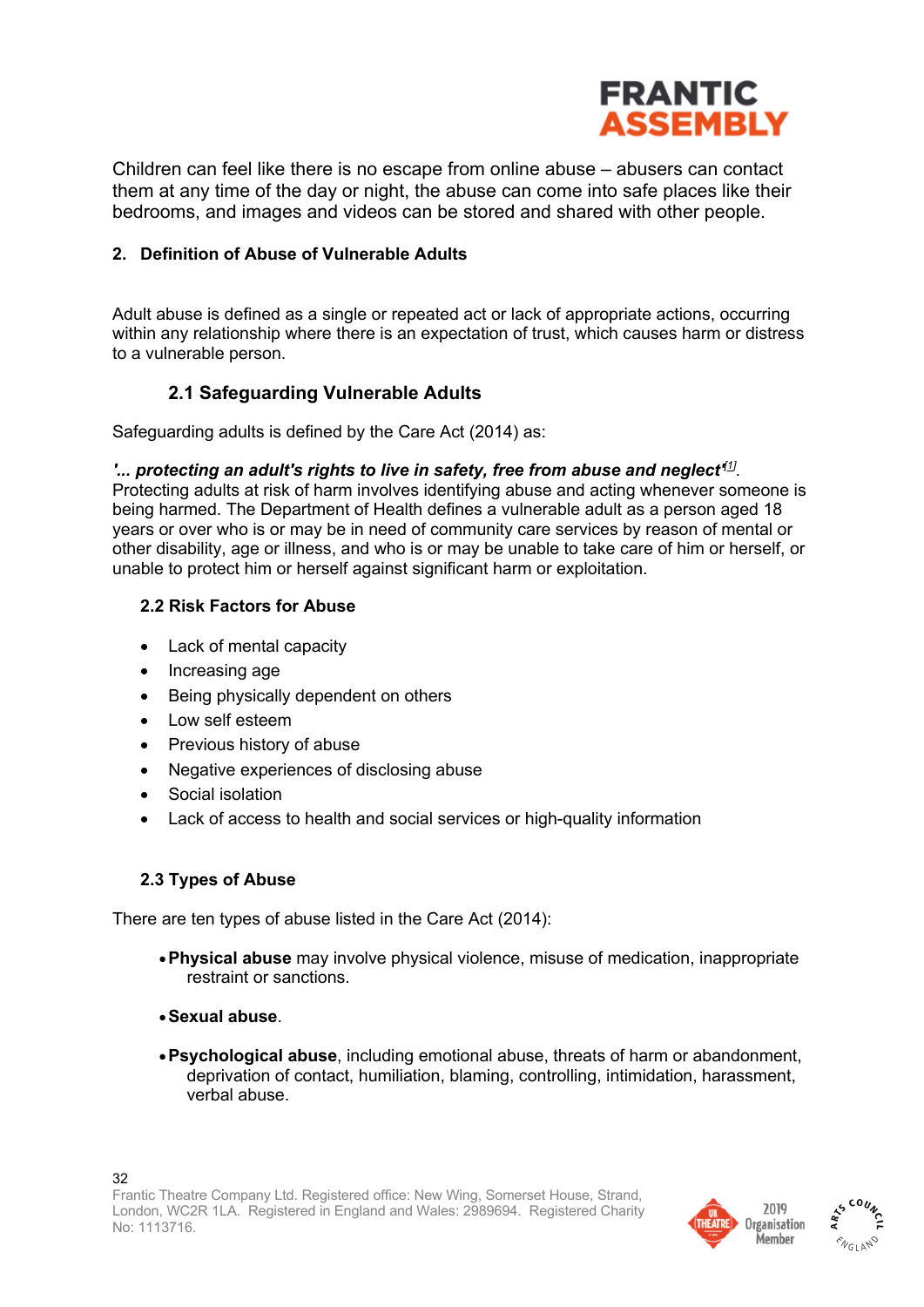

Children can feel like there is no escape from online abuse – abusers can contact them at any time of the day or night, the abuse can come into safe places like their bedrooms, and images and videos can be stored and shared with other people.

#### **2. Definition of Abuse of Vulnerable Adults**

Adult abuse is defined as a single or repeated act or lack of appropriate actions, occurring within any relationship where there is an expectation of trust, which causes harm or distress to a vulnerable person.

## **2.1 Safeguarding Vulnerable Adults**

Safeguarding adults is defined by the Care Act (2014) as:

#### *'... protecting an adult's rights to live in safety, free from abuse and neglect' [1] .*

Protecting adults at risk of harm involves identifying abuse and acting whenever someone is being harmed. The Department of Health defines a vulnerable adult as a person aged 18 years or over who is or may be in need of community care services by reason of mental or other disability, age or illness, and who is or may be unable to take care of him or herself, or unable to protect him or herself against significant harm or exploitation.

#### **2.2 Risk Factors for Abuse**

- Lack of mental capacity
- Increasing age
- Being physically dependent on others
- Low self esteem
- Previous history of abuse
- Negative experiences of disclosing abuse
- Social isolation
- Lack of access to health and social services or high-quality information

#### **2.3 Types of Abuse**

There are ten types of abuse listed in the Care Act (2014):

- •**Physical abuse** may involve physical violence, misuse of medication, inappropriate restraint or sanctions.
- •**Sexual abuse**.
- •**Psychological abuse**, including emotional abuse, threats of harm or abandonment, deprivation of contact, humiliation, blaming, controlling, intimidation, harassment, verbal abuse.



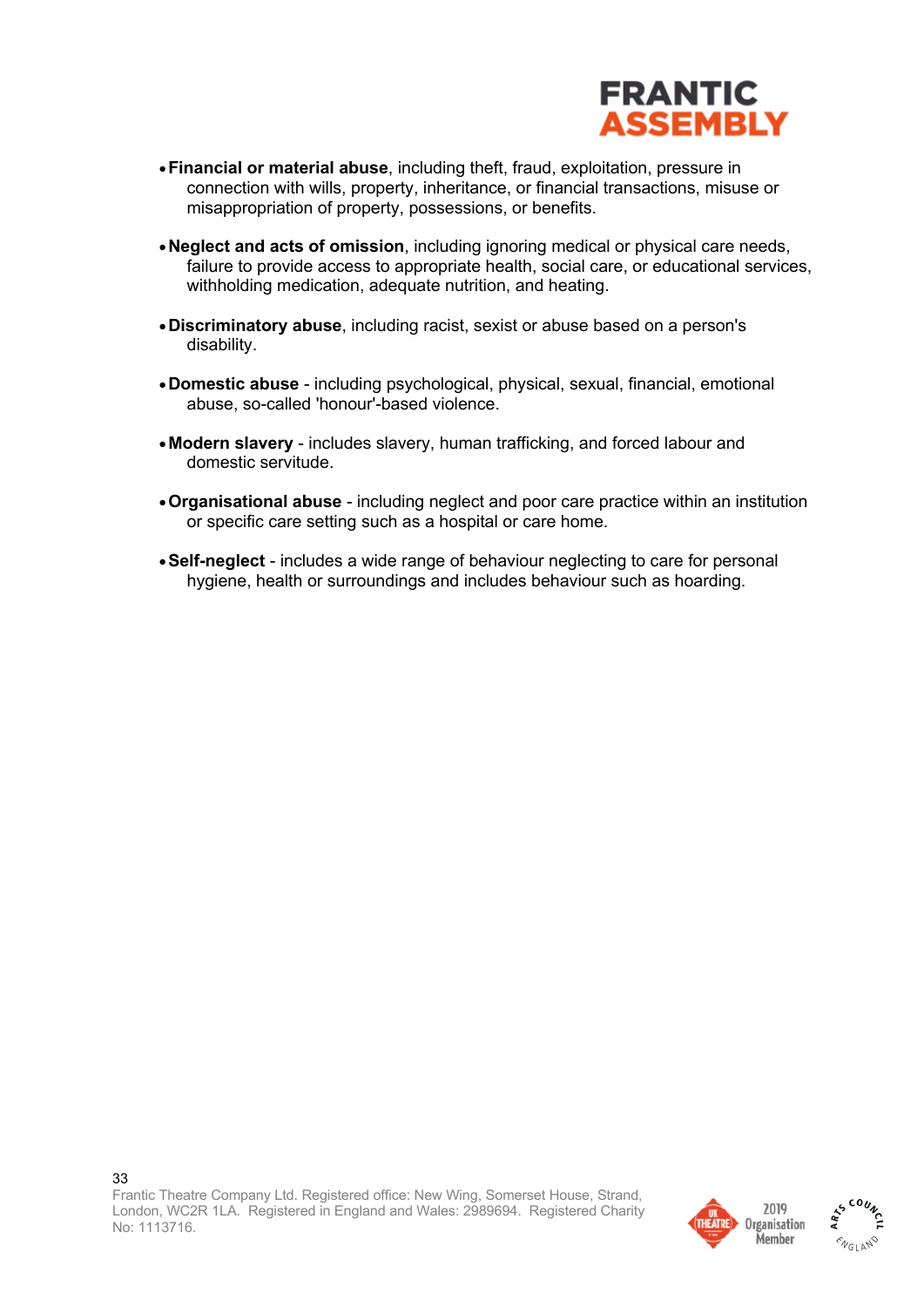

- •**Financial or material abuse**, including theft, fraud, exploitation, pressure in connection with wills, property, inheritance, or financial transactions, misuse or misappropriation of property, possessions, or benefits.
- •**Neglect and acts of omission**, including ignoring medical or physical care needs, failure to provide access to appropriate health, social care, or educational services, withholding medication, adequate nutrition, and heating.
- •**Discriminatory abuse**, including racist, sexist or abuse based on a person's disability.
- •**Domestic abuse** including psychological, physical, sexual, financial, emotional abuse, so-called 'honour'-based violence.
- •**Modern slavery** includes slavery, human trafficking, and forced labour and domestic servitude.
- •**Organisational abuse** including neglect and poor care practice within an institution or specific care setting such as a hospital or care home.
- •**Self-neglect** includes a wide range of behaviour neglecting to care for personal hygiene, health or surroundings and includes behaviour such as hoarding.



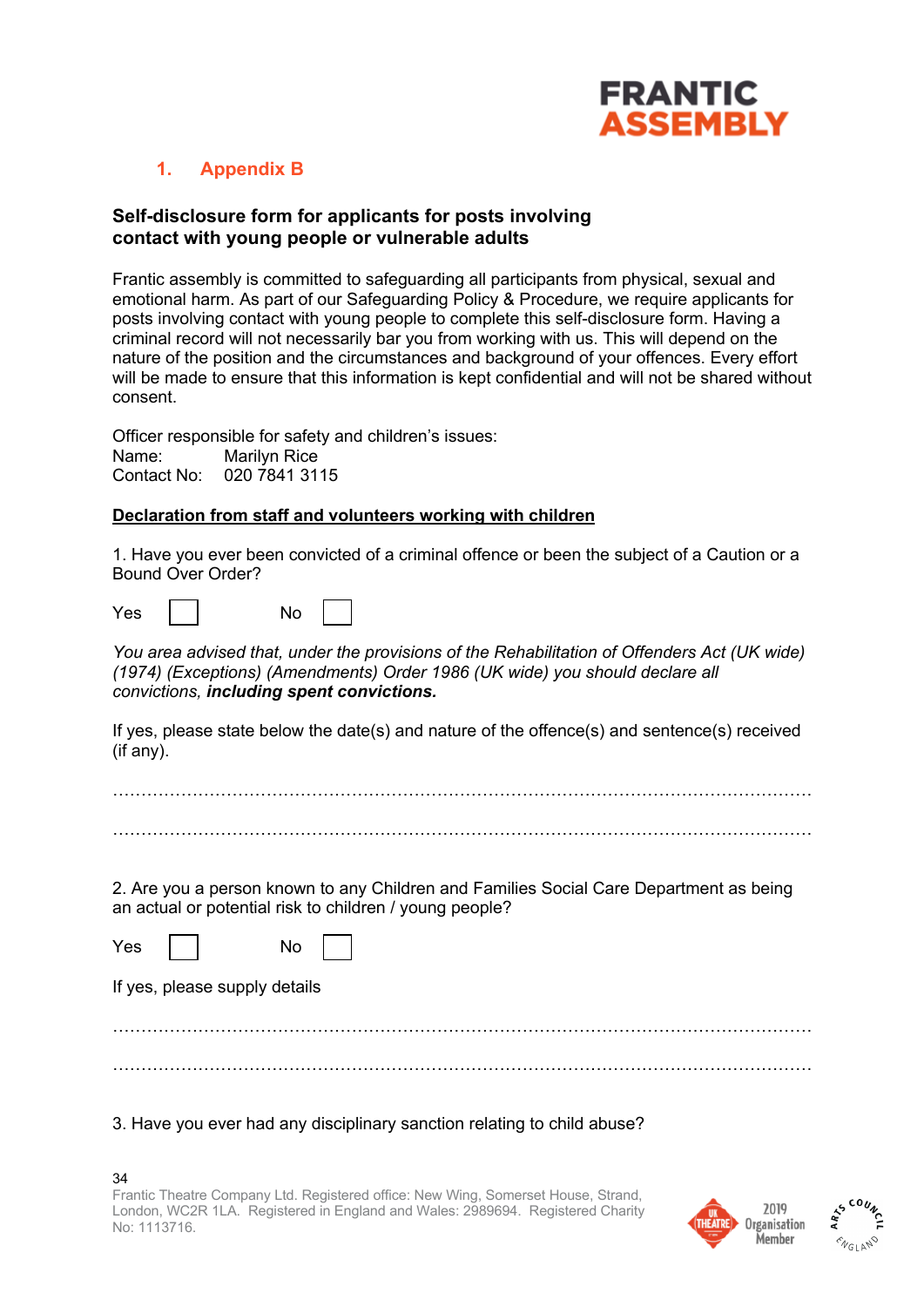

## **1. Appendix B**

#### **Self-disclosure form for applicants for posts involving contact with young people or vulnerable adults**

Frantic assembly is committed to safeguarding all participants from physical, sexual and emotional harm. As part of our Safeguarding Policy & Procedure, we require applicants for posts involving contact with young people to complete this self-disclosure form. Having a criminal record will not necessarily bar you from working with us. This will depend on the nature of the position and the circumstances and background of your offences. Every effort will be made to ensure that this information is kept confidential and will not be shared without consent.

Officer responsible for safety and children's issues: Name: Marilyn Rice Contact No: 020 7841 3115

#### **Declaration from staff and volunteers working with children**

1. Have you ever been convicted of a criminal offence or been the subject of a Caution or a Bound Over Order?

| Yes | No |  |
|-----|----|--|
|     |    |  |

*You area advised that, under the provisions of the Rehabilitation of Offenders Act (UK wide) (1974) (Exceptions) (Amendments) Order 1986 (UK wide) you should declare all convictions, including spent convictions.*

If yes, please state below the date(s) and nature of the offence(s) and sentence(s) received (if any).

2. Are you a person known to any Children and Families Social Care Department as being an actual or potential risk to children / young people?

| Yes |                               | No |  |
|-----|-------------------------------|----|--|
|     | If yes, please supply details |    |  |
|     |                               |    |  |
|     |                               |    |  |

#### 3. Have you ever had any disciplinary sanction relating to child abuse?



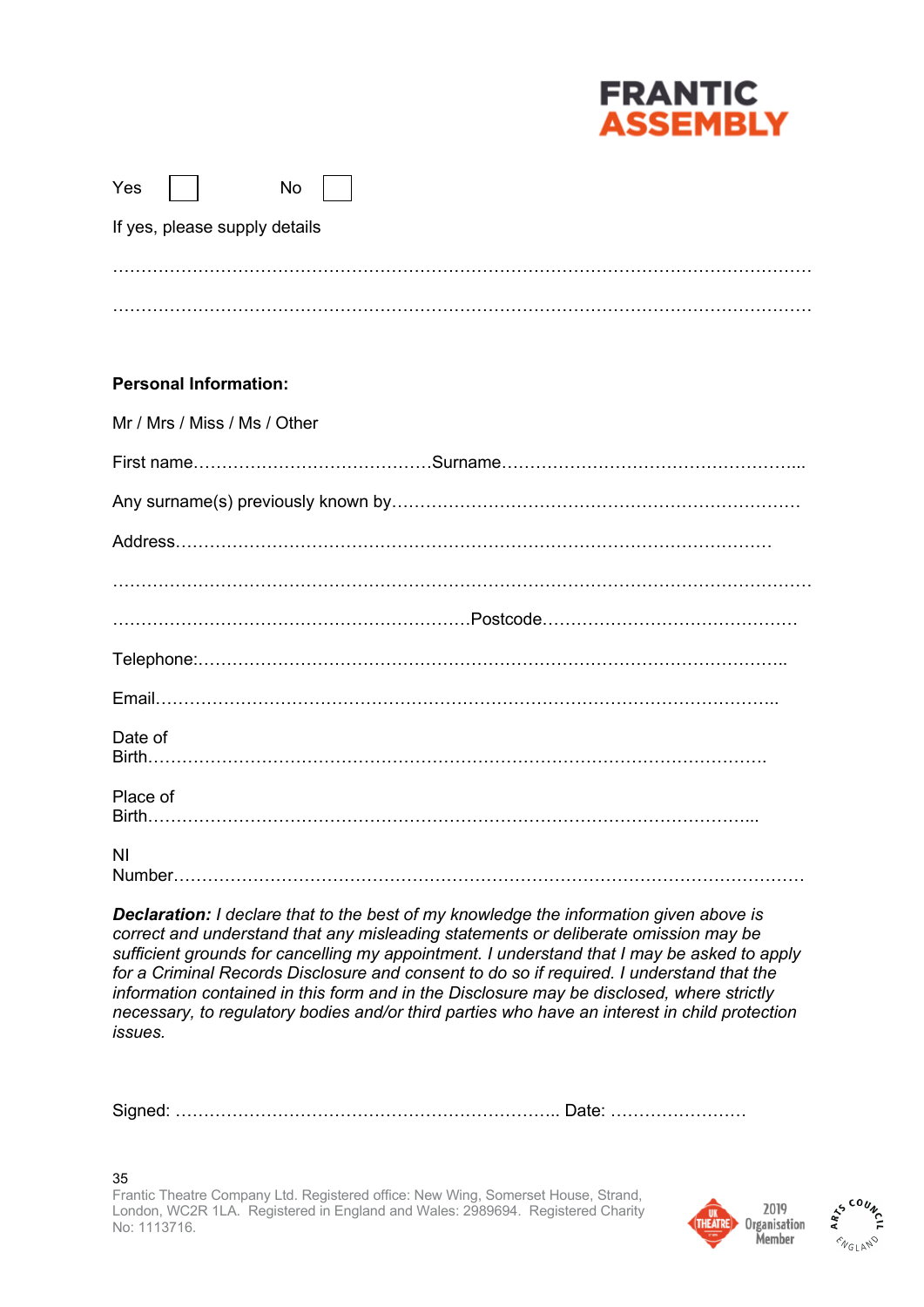

| Yes |                               | No |  |  |  |
|-----|-------------------------------|----|--|--|--|
|     | If yes, please supply details |    |  |  |  |
|     |                               |    |  |  |  |
|     |                               |    |  |  |  |

#### **Personal Information:**

| Mr / Mrs / Miss / Ms / Other |
|------------------------------|
|                              |
|                              |
|                              |
|                              |
|                              |
|                              |
|                              |
| Date of                      |
| Place of                     |
| ΝI                           |

*Declaration: I declare that to the best of my knowledge the information given above is correct and understand that any misleading statements or deliberate omission may be sufficient grounds for cancelling my appointment. I understand that I may be asked to apply for a Criminal Records Disclosure and consent to do so if required. I understand that the information contained in this form and in the Disclosure may be disclosed, where strictly necessary, to regulatory bodies and/or third parties who have an interest in child protection issues.*

Signed: ………………………………………………………….. Date: ……………………

35 Frantic Theatre Company Ltd. Registered office: New Wing, Somerset House, Strand, London, WC2R 1LA. Registered in England and Wales: 2989694. Registered Charity No: 1113716.



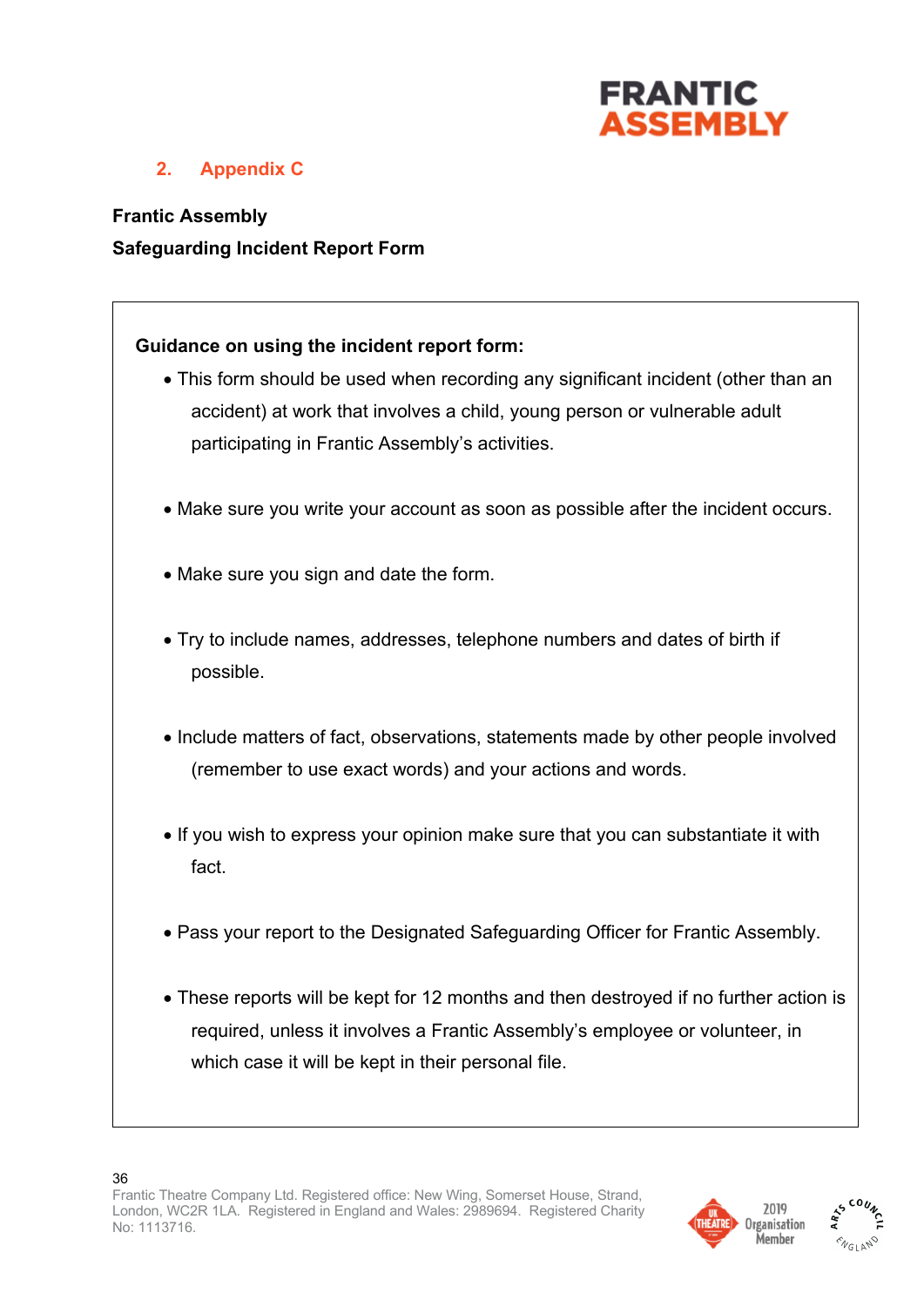

## **2. Appendix C**

**Frantic Assembly Safeguarding Incident Report Form**

## **Guidance on using the incident report form:**

- This form should be used when recording any significant incident (other than an accident) at work that involves a child, young person or vulnerable adult participating in Frantic Assembly's activities.
- Make sure you write your account as soon as possible after the incident occurs.
- Make sure you sign and date the form.
- Try to include names, addresses, telephone numbers and dates of birth if possible.
- Include matters of fact, observations, statements made by other people involved (remember to use exact words) and your actions and words.
- If you wish to express your opinion make sure that you can substantiate it with fact.
- Pass your report to the Designated Safeguarding Officer for Frantic Assembly.
- These reports will be kept for 12 months and then destroyed if no further action is required, unless it involves a Frantic Assembly's employee or volunteer, in which case it will be kept in their personal file.



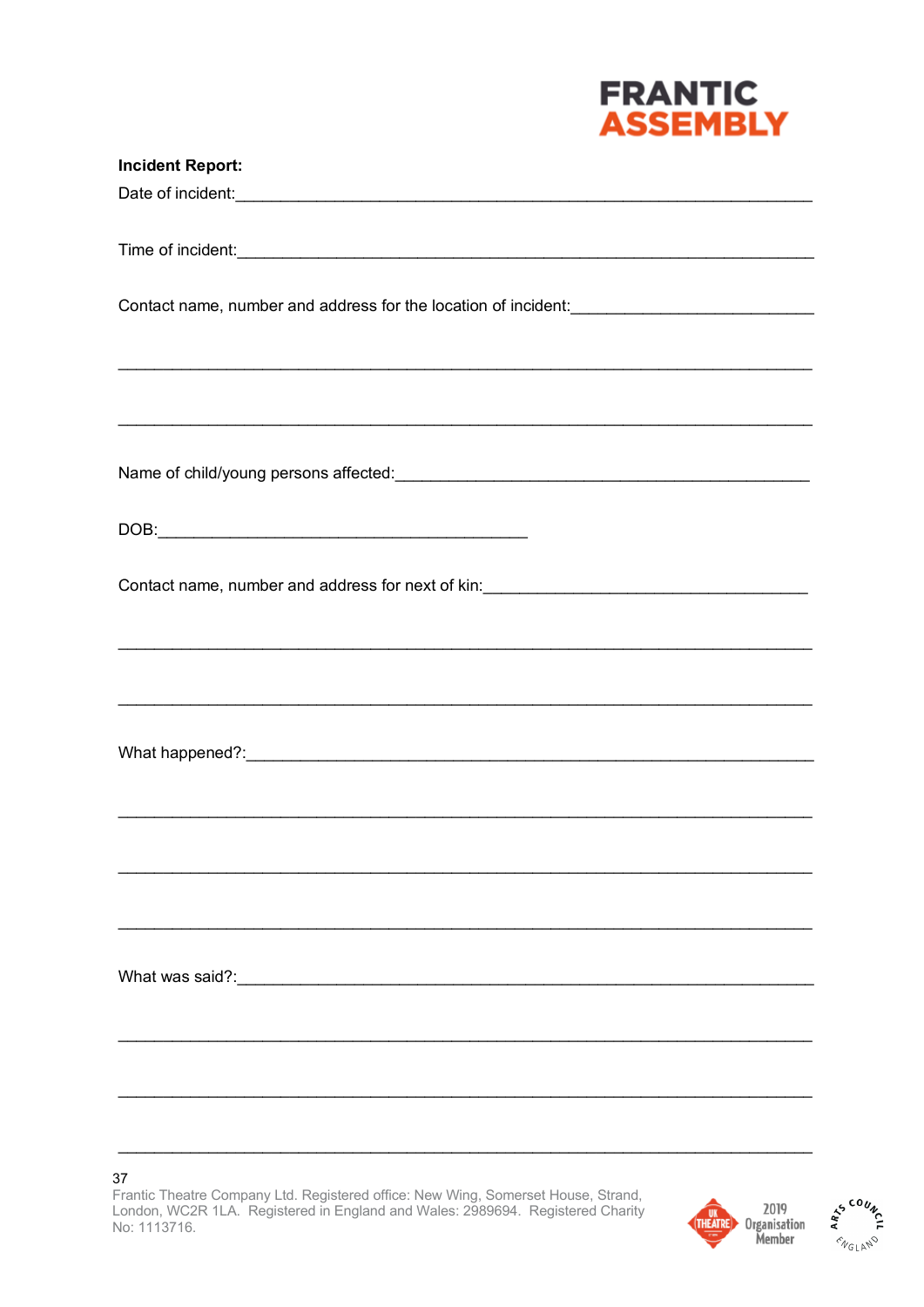

| <b>Incident Report:</b>                                                                                                                                                         |
|---------------------------------------------------------------------------------------------------------------------------------------------------------------------------------|
|                                                                                                                                                                                 |
|                                                                                                                                                                                 |
|                                                                                                                                                                                 |
|                                                                                                                                                                                 |
| Contact name, number and address for the location of incident:<br>Latin Latin Latin Latin Latin Latin Latin Latin Latin Latin Latin Latin Latin Latin Latin Latin Latin Latin L |
|                                                                                                                                                                                 |
| ,我们也不能在这里的时候,我们也不能在这里的时候,我们也不能会在这里,我们也不能会在这里的时候,我们也不能会在这里的时候,我们也不能会在这里的时候,我们也不能会                                                                                                |
|                                                                                                                                                                                 |
| ,我们也不能在这里的时候,我们也不能在这里的时候,我们也不能会在这里的时候,我们也不能会在这里的时候,我们也不能会在这里的时候,我们也不能会在这里的时候,我们也                                                                                                |
|                                                                                                                                                                                 |
|                                                                                                                                                                                 |
|                                                                                                                                                                                 |
|                                                                                                                                                                                 |
| Contact name, number and address for next of kin: _______________________________                                                                                               |
|                                                                                                                                                                                 |
|                                                                                                                                                                                 |
|                                                                                                                                                                                 |
|                                                                                                                                                                                 |
|                                                                                                                                                                                 |
|                                                                                                                                                                                 |
|                                                                                                                                                                                 |
|                                                                                                                                                                                 |
|                                                                                                                                                                                 |
|                                                                                                                                                                                 |
|                                                                                                                                                                                 |
|                                                                                                                                                                                 |
|                                                                                                                                                                                 |
|                                                                                                                                                                                 |
|                                                                                                                                                                                 |
|                                                                                                                                                                                 |
|                                                                                                                                                                                 |
|                                                                                                                                                                                 |

 $37\,$ 

Frantic Theatre Company Ltd. Registered office: New Wing, Somerset House, Strand, London, WC2R 1LA. Registered in England and Wales: 2989694. Registered Charity No: 1113716.



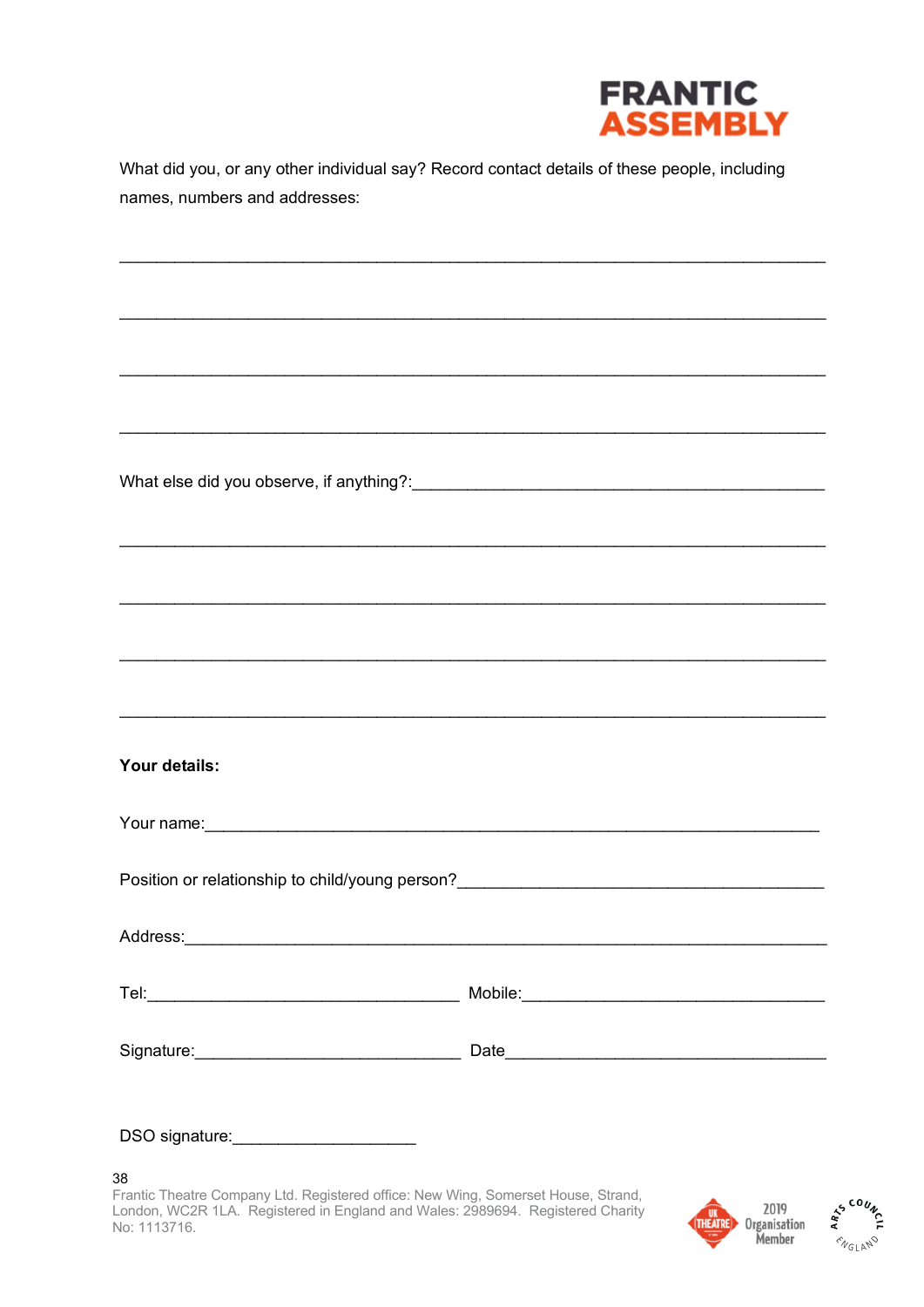

What did you, or any other individual say? Record contact details of these people, including names, numbers and addresses:

What else did you observe, if anything?:\_\_\_\_\_\_\_\_\_\_\_

| Your details:                                                                                                                                                                                                                        |  |
|--------------------------------------------------------------------------------------------------------------------------------------------------------------------------------------------------------------------------------------|--|
| Your name: Note of the contract of the contract of the contract of the contract of the contract of the contract of the contract of the contract of the contract of the contract of the contract of the contract of the contrac       |  |
|                                                                                                                                                                                                                                      |  |
|                                                                                                                                                                                                                                      |  |
|                                                                                                                                                                                                                                      |  |
|                                                                                                                                                                                                                                      |  |
| DSO signature: <u>contract and the set of the set of the set of the set of the set of the set of the set of the set of the set of the set of the set of the set of the set of the set of the set of the set of the set of the se</u> |  |

38

Frantic Theatre Company Ltd. Registered office: New Wing, Somerset House, Strand, London, WC2R 1LA. Registered in England and Wales: 2989694. Registered Charity No: 1113716.



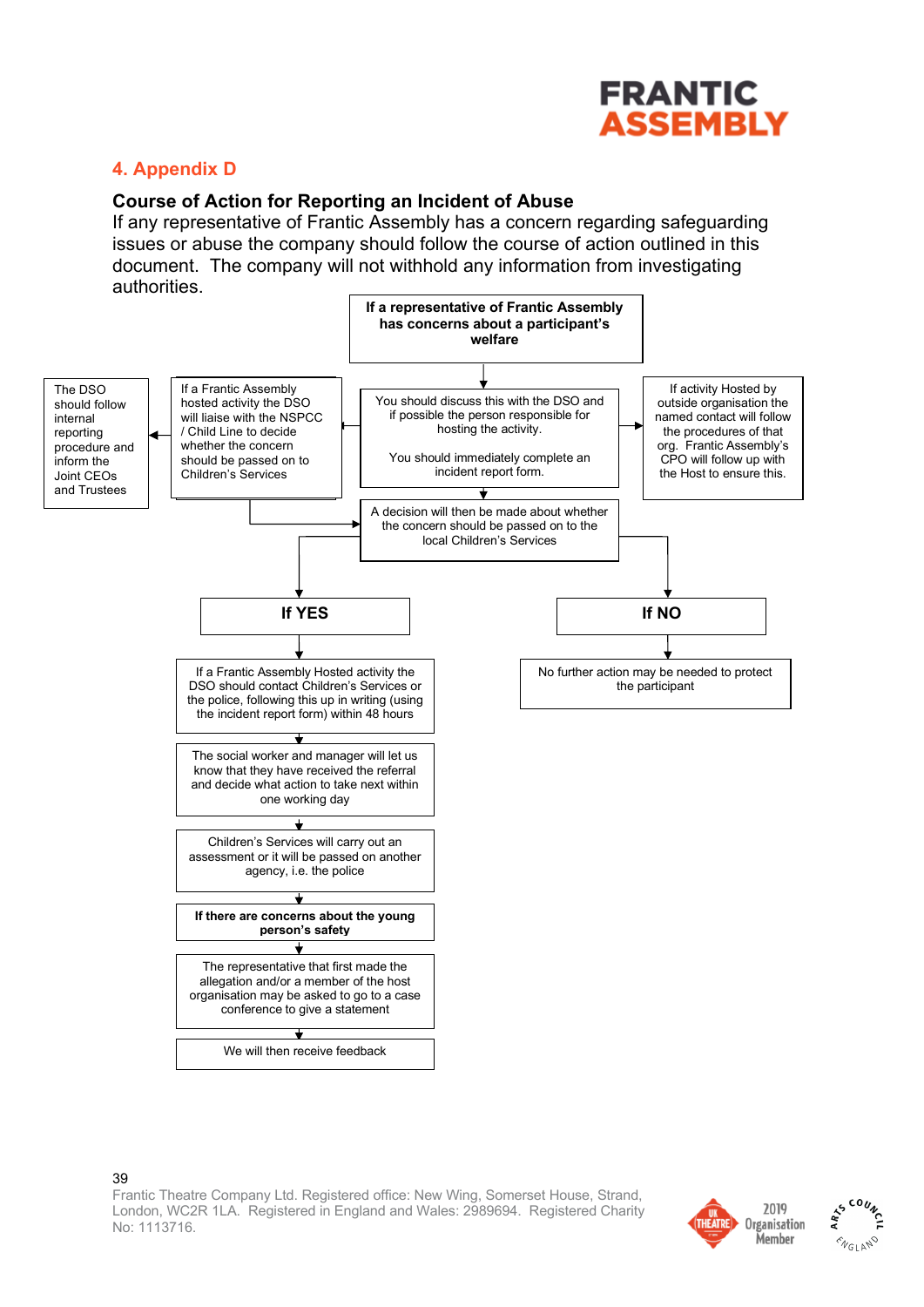

## **4. Appendix D**

#### **Course of Action for Reporting an Incident of Abuse**

If any representative of Frantic Assembly has a concern regarding safeguarding issues or abuse the company should follow the course of action outlined in this document. The company will not withhold any information  $FRANTIC$ authorities.



39 Frantic Theatre Company Ltd. Registered office: New Wing, Somerset House, Strand, London, WC2R 1LA. Registered in England and Wales: 2989694. Registered Charity No: 1113716. 34

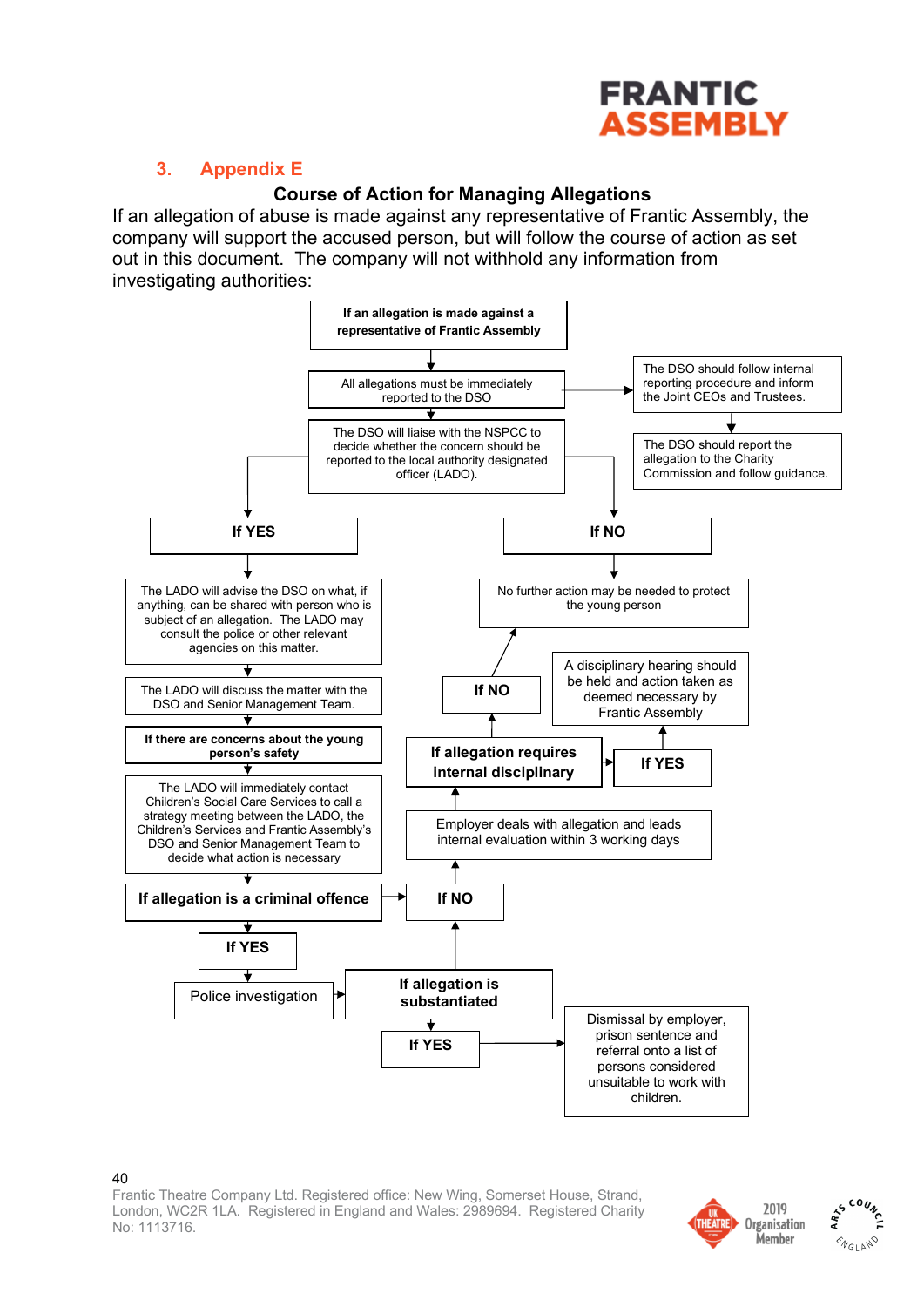

## **3. Appendix E**

## **Course of Action for Managing Allegations**

If an allegation of abuse is made against any representative of Frantic Assembly, the company will support the accused person, but will follow the course of action as set out in this document. The company will not withhold any information from investigating authorities: will not will not will not will not withhold any investigating authorities:



#### $40$

Frantic Theatre Company Ltd. Registered office: New Wing, Somerset House, Strand, London, WC2R 1LA. Registered in England and Wales: 2989694. Registered Charity No: 1113716.



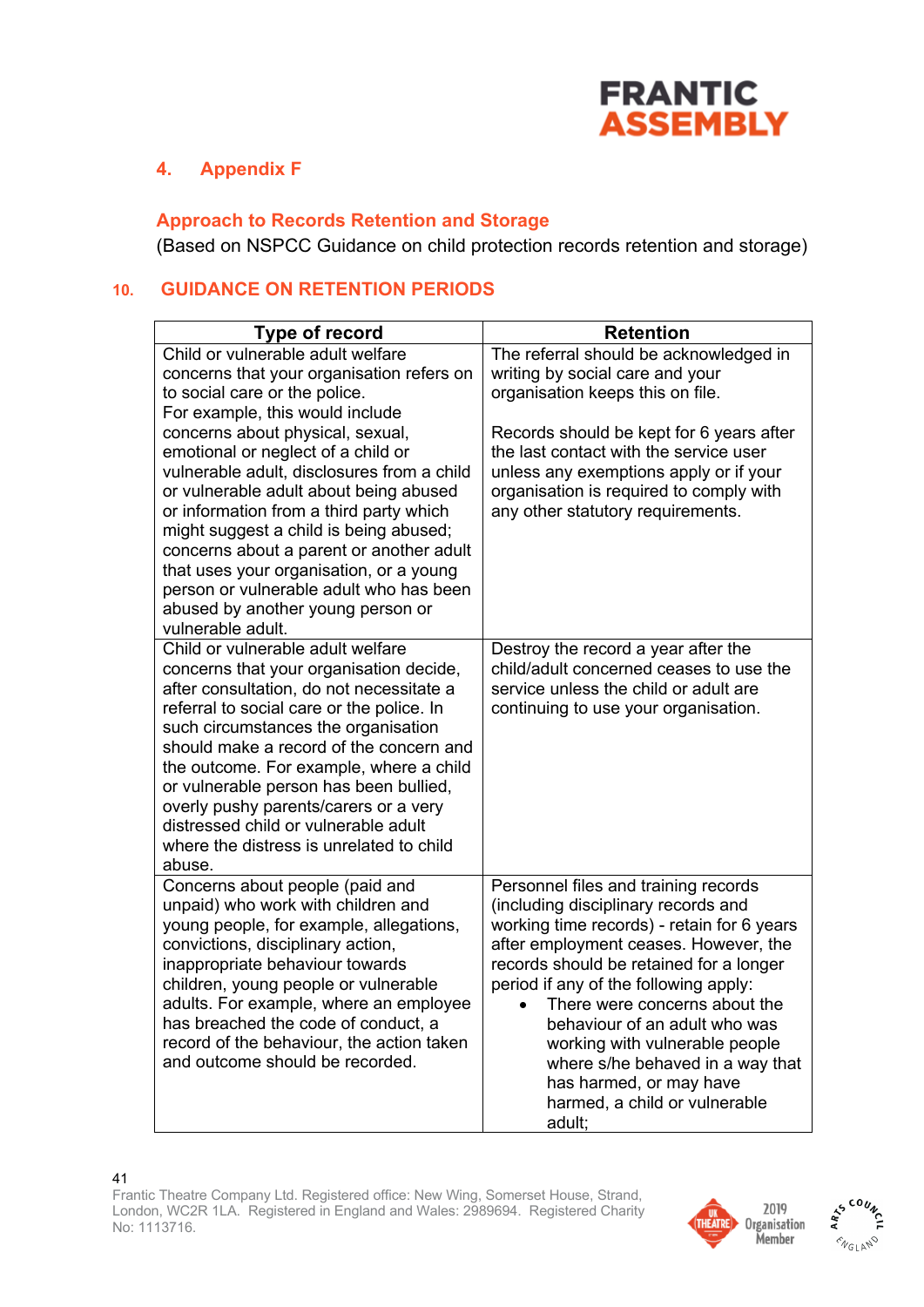

## **4. Appendix F**

## **Approach to Records Retention and Storage**

(Based on NSPCC Guidance on child protection records retention and storage)

## **10. GUIDANCE ON RETENTION PERIODS**

| <b>Type of record</b>                                                                                                                                                                                                                                                                                                                                                                                                                                                               | <b>Retention</b>                                                                                                                                                                                                                                                                                                                                                                                                                                                     |
|-------------------------------------------------------------------------------------------------------------------------------------------------------------------------------------------------------------------------------------------------------------------------------------------------------------------------------------------------------------------------------------------------------------------------------------------------------------------------------------|----------------------------------------------------------------------------------------------------------------------------------------------------------------------------------------------------------------------------------------------------------------------------------------------------------------------------------------------------------------------------------------------------------------------------------------------------------------------|
| Child or vulnerable adult welfare<br>concerns that your organisation refers on<br>to social care or the police.<br>For example, this would include                                                                                                                                                                                                                                                                                                                                  | The referral should be acknowledged in<br>writing by social care and your<br>organisation keeps this on file.                                                                                                                                                                                                                                                                                                                                                        |
| concerns about physical, sexual,<br>emotional or neglect of a child or<br>vulnerable adult, disclosures from a child<br>or vulnerable adult about being abused<br>or information from a third party which<br>might suggest a child is being abused;<br>concerns about a parent or another adult<br>that uses your organisation, or a young<br>person or vulnerable adult who has been<br>abused by another young person or<br>vulnerable adult.                                     | Records should be kept for 6 years after<br>the last contact with the service user<br>unless any exemptions apply or if your<br>organisation is required to comply with<br>any other statutory requirements.                                                                                                                                                                                                                                                         |
| Child or vulnerable adult welfare<br>concerns that your organisation decide,<br>after consultation, do not necessitate a<br>referral to social care or the police. In<br>such circumstances the organisation<br>should make a record of the concern and<br>the outcome. For example, where a child<br>or vulnerable person has been bullied,<br>overly pushy parents/carers or a very<br>distressed child or vulnerable adult<br>where the distress is unrelated to child<br>abuse. | Destroy the record a year after the<br>child/adult concerned ceases to use the<br>service unless the child or adult are<br>continuing to use your organisation.                                                                                                                                                                                                                                                                                                      |
| Concerns about people (paid and<br>unpaid) who work with children and<br>young people, for example, allegations,<br>convictions, disciplinary action,<br>inappropriate behaviour towards<br>children, young people or vulnerable<br>adults. For example, where an employee<br>has breached the code of conduct, a<br>record of the behaviour, the action taken<br>and outcome should be recorded.                                                                                   | Personnel files and training records<br>(including disciplinary records and<br>working time records) - retain for 6 years<br>after employment ceases. However, the<br>records should be retained for a longer<br>period if any of the following apply:<br>There were concerns about the<br>behaviour of an adult who was<br>working with vulnerable people<br>where s/he behaved in a way that<br>has harmed, or may have<br>harmed, a child or vulnerable<br>adult; |



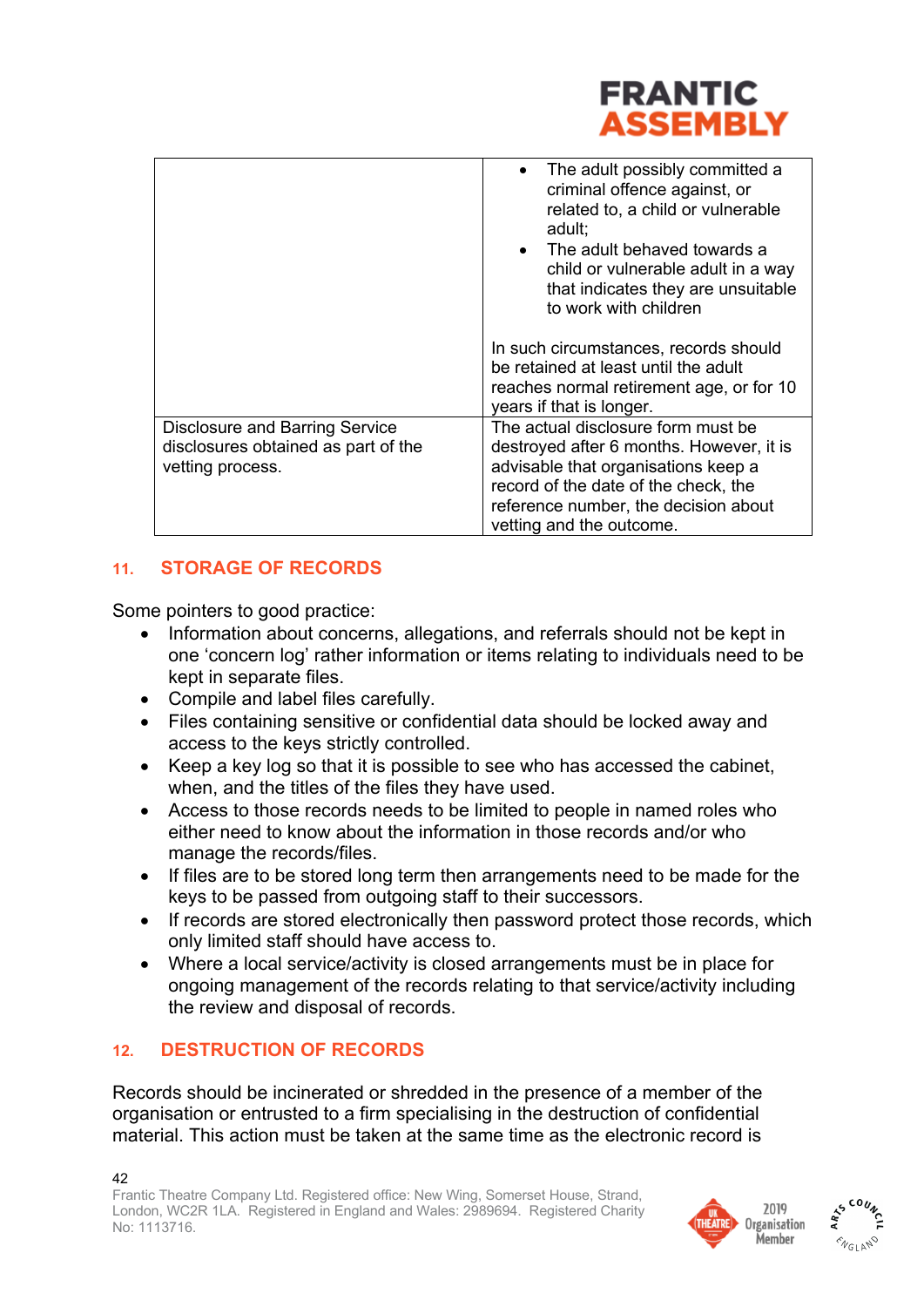

|                                                                                                  | The adult possibly committed a<br>$\bullet$<br>criminal offence against, or<br>related to, a child or vulnerable<br>adult;<br>The adult behaved towards a<br>child or vulnerable adult in a way<br>that indicates they are unsuitable<br>to work with children |
|--------------------------------------------------------------------------------------------------|----------------------------------------------------------------------------------------------------------------------------------------------------------------------------------------------------------------------------------------------------------------|
|                                                                                                  | In such circumstances, records should<br>be retained at least until the adult<br>reaches normal retirement age, or for 10<br>years if that is longer.                                                                                                          |
| <b>Disclosure and Barring Service</b><br>disclosures obtained as part of the<br>vetting process. | The actual disclosure form must be<br>destroyed after 6 months. However, it is<br>advisable that organisations keep a<br>record of the date of the check, the<br>reference number, the decision about<br>vetting and the outcome.                              |

## **11. STORAGE OF RECORDS**

Some pointers to good practice:

- Information about concerns, allegations, and referrals should not be kept in one 'concern log' rather information or items relating to individuals need to be kept in separate files.
- Compile and label files carefully.
- Files containing sensitive or confidential data should be locked away and access to the keys strictly controlled.
- Keep a key log so that it is possible to see who has accessed the cabinet, when, and the titles of the files they have used.
- Access to those records needs to be limited to people in named roles who either need to know about the information in those records and/or who manage the records/files.
- If files are to be stored long term then arrangements need to be made for the keys to be passed from outgoing staff to their successors.
- If records are stored electronically then password protect those records, which only limited staff should have access to.
- Where a local service/activity is closed arrangements must be in place for ongoing management of the records relating to that service/activity including the review and disposal of records.

## **12. DESTRUCTION OF RECORDS**

Records should be incinerated or shredded in the presence of a member of the organisation or entrusted to a firm specialising in the destruction of confidential material. This action must be taken at the same time as the electronic record is



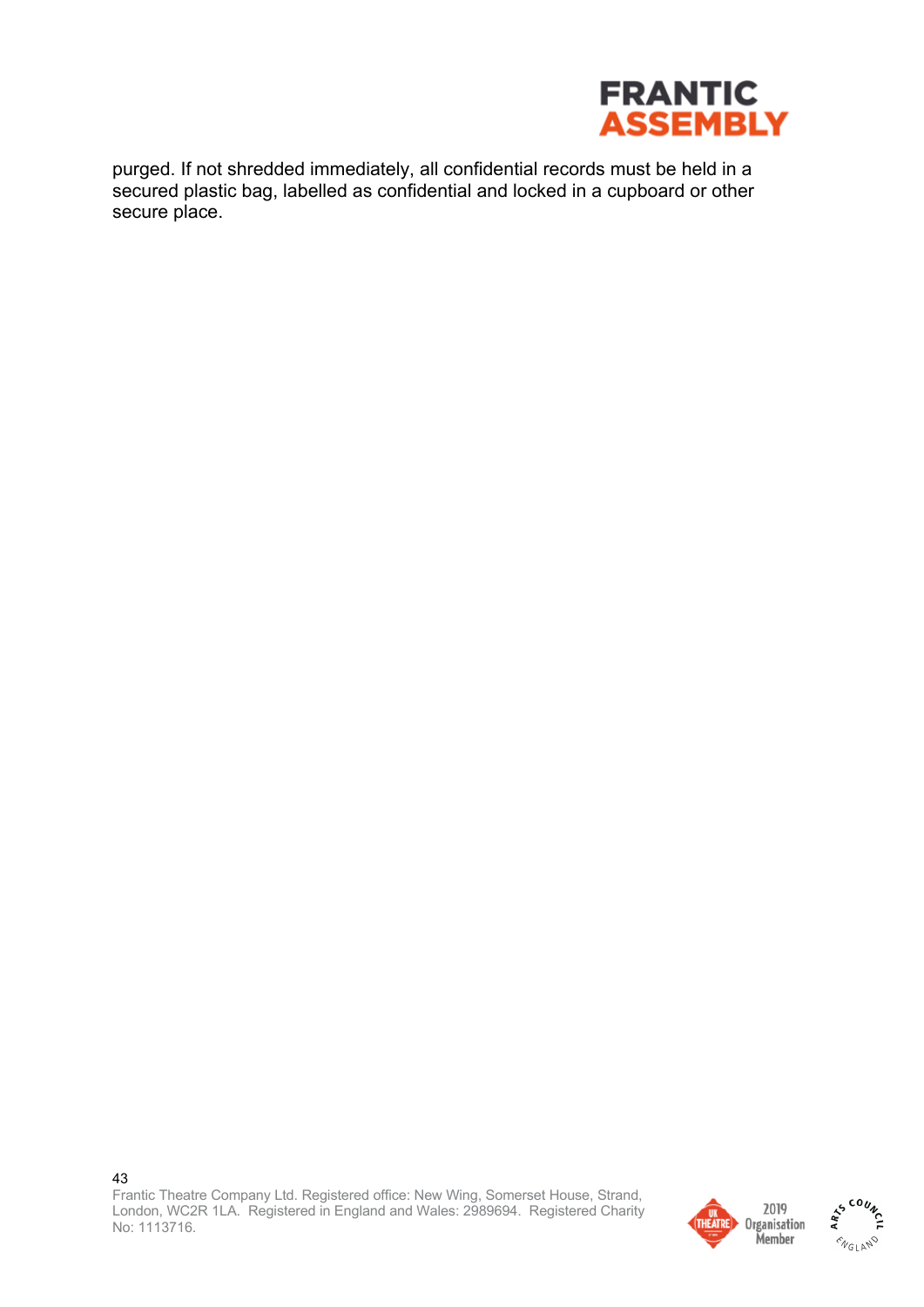

purged. If not shredded immediately, all confidential records must be held in a secured plastic bag, labelled as confidential and locked in a cupboard or other secure place.

43 Frantic Theatre Company Ltd. Registered office: New Wing, Somerset House, Strand, London, WC2R 1LA. Registered in England and Wales: 2989694. Registered Charity No: 1113716.





AS COUNC  $\hat{\gamma}_{G\text{LAPV}}$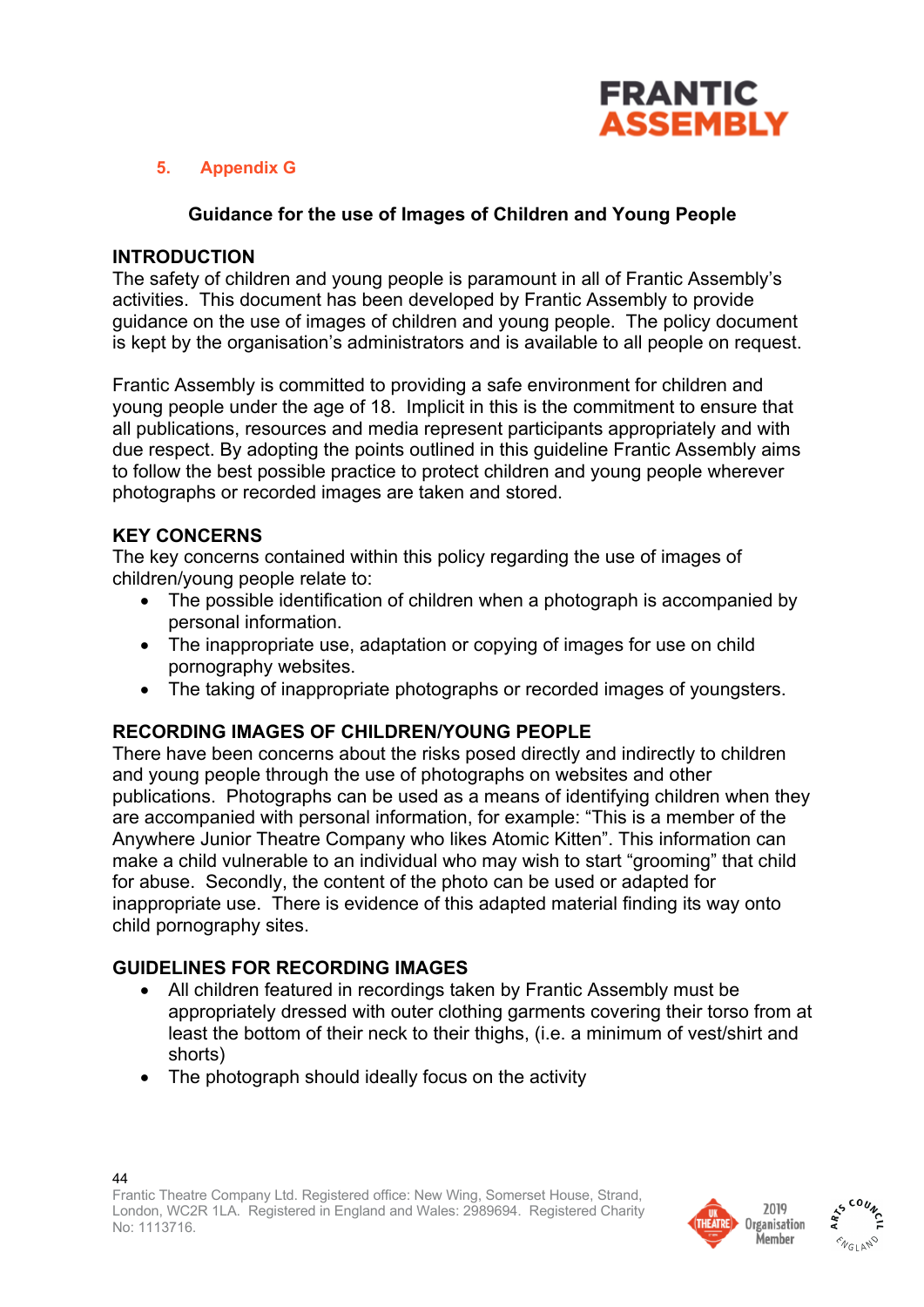

## **5. Appendix G**

### **Guidance for the use of Images of Children and Young People**

#### **INTRODUCTION**

The safety of children and young people is paramount in all of Frantic Assembly's activities. This document has been developed by Frantic Assembly to provide guidance on the use of images of children and young people. The policy document is kept by the organisation's administrators and is available to all people on request.

Frantic Assembly is committed to providing a safe environment for children and young people under the age of 18. Implicit in this is the commitment to ensure that all publications, resources and media represent participants appropriately and with due respect. By adopting the points outlined in this guideline Frantic Assembly aims to follow the best possible practice to protect children and young people wherever photographs or recorded images are taken and stored.

### **KEY CONCERNS**

The key concerns contained within this policy regarding the use of images of children/young people relate to:

- The possible identification of children when a photograph is accompanied by personal information.
- The inappropriate use, adaptation or copying of images for use on child pornography websites.
- The taking of inappropriate photographs or recorded images of youngsters.

#### **RECORDING IMAGES OF CHILDREN/YOUNG PEOPLE**

There have been concerns about the risks posed directly and indirectly to children and young people through the use of photographs on websites and other publications. Photographs can be used as a means of identifying children when they are accompanied with personal information, for example: "This is a member of the Anywhere Junior Theatre Company who likes Atomic Kitten". This information can make a child vulnerable to an individual who may wish to start "grooming" that child for abuse. Secondly, the content of the photo can be used or adapted for inappropriate use. There is evidence of this adapted material finding its way onto child pornography sites.

## **GUIDELINES FOR RECORDING IMAGES**

- All children featured in recordings taken by Frantic Assembly must be appropriately dressed with outer clothing garments covering their torso from at least the bottom of their neck to their thighs, (i.e. a minimum of vest/shirt and shorts)
- The photograph should ideally focus on the activity



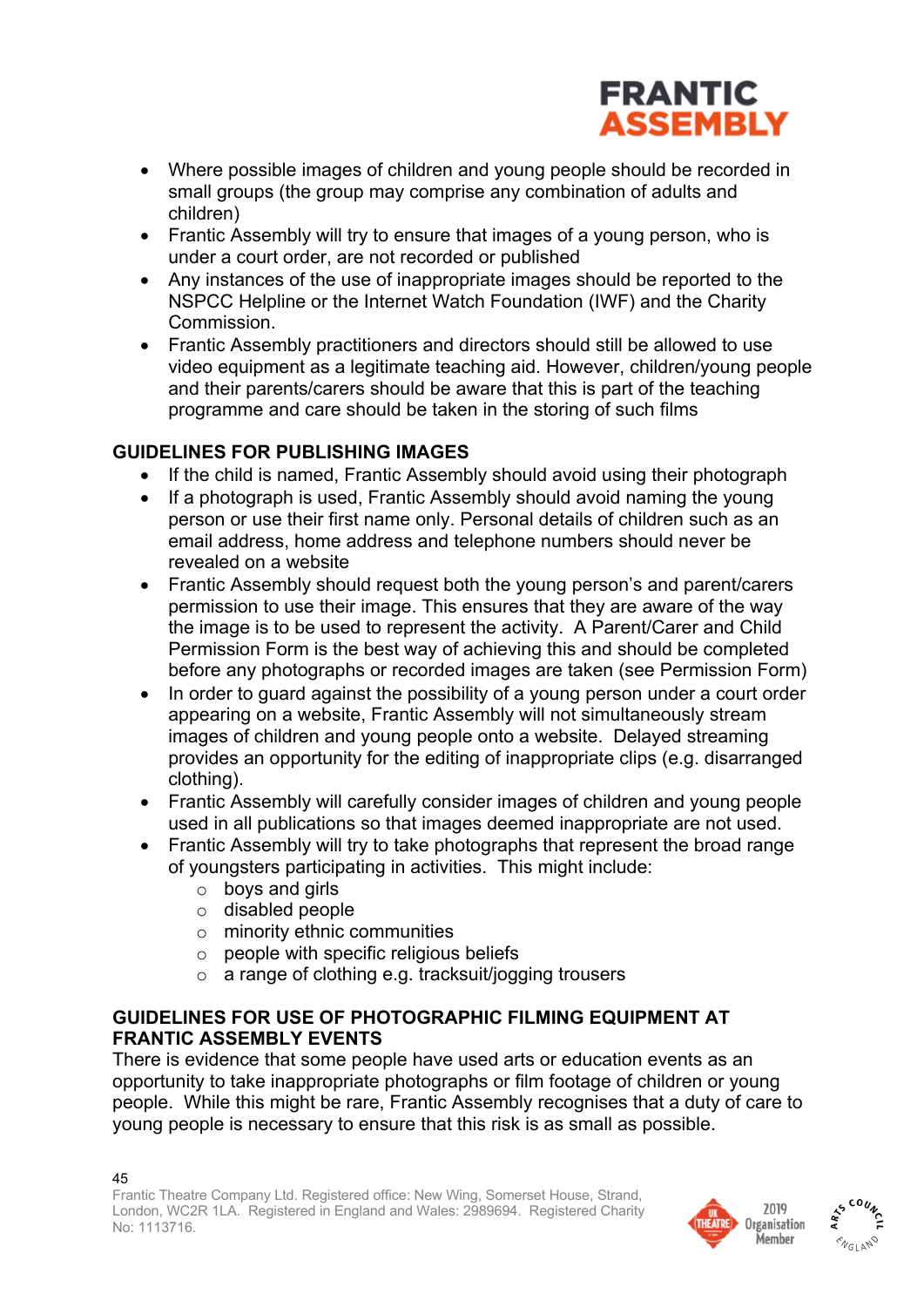

- Where possible images of children and young people should be recorded in small groups (the group may comprise any combination of adults and children)
- Frantic Assembly will try to ensure that images of a young person, who is under a court order, are not recorded or published
- Any instances of the use of inappropriate images should be reported to the NSPCC Helpline or the Internet Watch Foundation (IWF) and the Charity Commission.
- Frantic Assembly practitioners and directors should still be allowed to use video equipment as a legitimate teaching aid. However, children/young people and their parents/carers should be aware that this is part of the teaching programme and care should be taken in the storing of such films

## **GUIDELINES FOR PUBLISHING IMAGES**

- If the child is named, Frantic Assembly should avoid using their photograph
- If a photograph is used, Frantic Assembly should avoid naming the young person or use their first name only. Personal details of children such as an email address, home address and telephone numbers should never be revealed on a website
- Frantic Assembly should request both the young person's and parent/carers permission to use their image. This ensures that they are aware of the way the image is to be used to represent the activity. A Parent/Carer and Child Permission Form is the best way of achieving this and should be completed before any photographs or recorded images are taken (see Permission Form)
- In order to quard against the possibility of a young person under a court order appearing on a website, Frantic Assembly will not simultaneously stream images of children and young people onto a website. Delayed streaming provides an opportunity for the editing of inappropriate clips (e.g. disarranged clothing).
- Frantic Assembly will carefully consider images of children and young people used in all publications so that images deemed inappropriate are not used.
- Frantic Assembly will try to take photographs that represent the broad range of youngsters participating in activities. This might include:
	- $\circ$  boys and girls
	- o disabled people
	- o minority ethnic communities
	- $\circ$  people with specific religious beliefs
	- o a range of clothing e.g. tracksuit/jogging trousers

## **GUIDELINES FOR USE OF PHOTOGRAPHIC FILMING EQUIPMENT AT FRANTIC ASSEMBLY EVENTS**

There is evidence that some people have used arts or education events as an opportunity to take inappropriate photographs or film footage of children or young people. While this might be rare, Frantic Assembly recognises that a duty of care to young people is necessary to ensure that this risk is as small as possible.



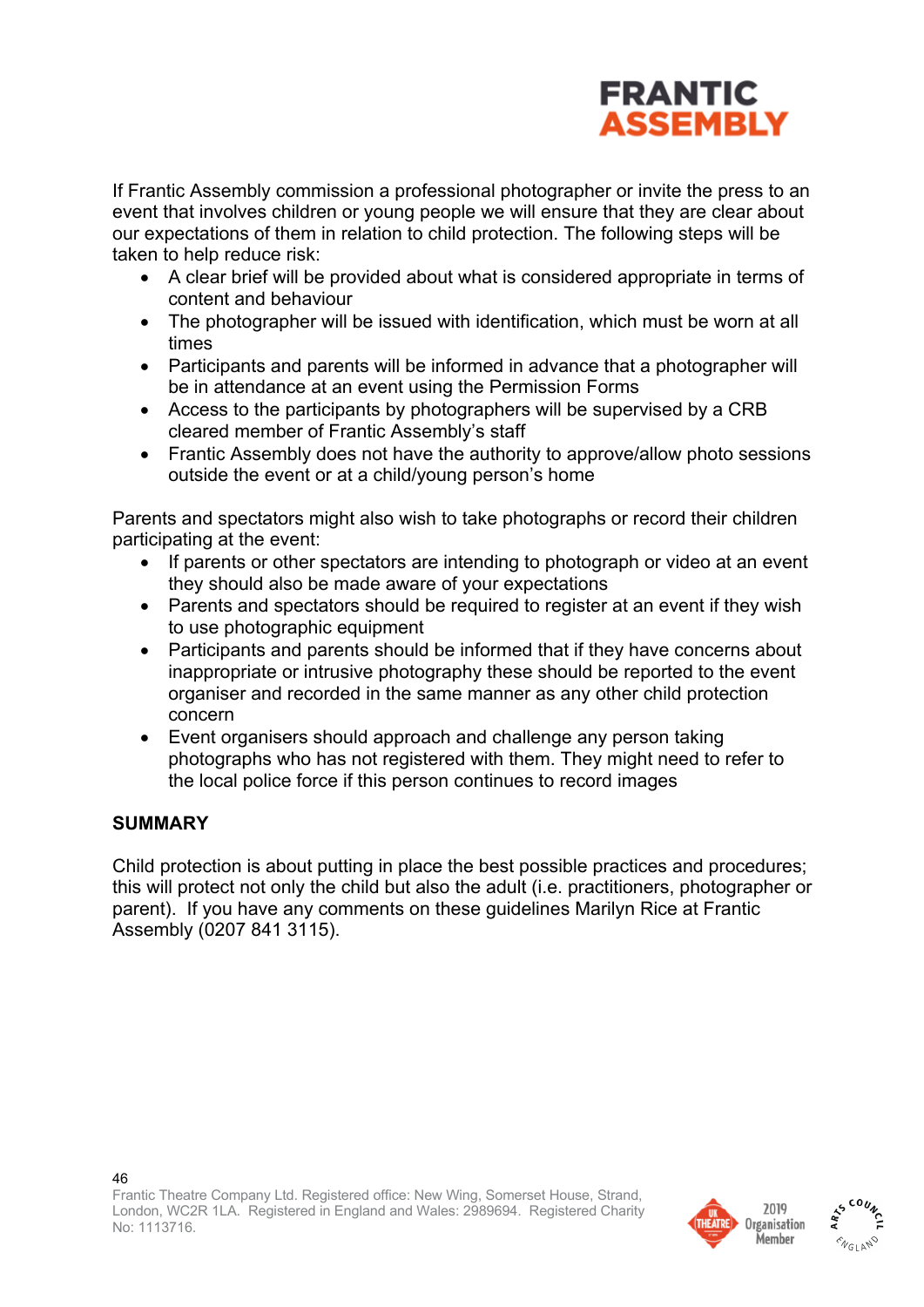

If Frantic Assembly commission a professional photographer or invite the press to an event that involves children or young people we will ensure that they are clear about our expectations of them in relation to child protection. The following steps will be taken to help reduce risk:

- A clear brief will be provided about what is considered appropriate in terms of content and behaviour
- The photographer will be issued with identification, which must be worn at all times
- Participants and parents will be informed in advance that a photographer will be in attendance at an event using the Permission Forms
- Access to the participants by photographers will be supervised by a CRB cleared member of Frantic Assembly's staff
- Frantic Assembly does not have the authority to approve/allow photo sessions outside the event or at a child/young person's home

Parents and spectators might also wish to take photographs or record their children participating at the event:

- If parents or other spectators are intending to photograph or video at an event they should also be made aware of your expectations
- Parents and spectators should be required to register at an event if they wish to use photographic equipment
- Participants and parents should be informed that if they have concerns about inappropriate or intrusive photography these should be reported to the event organiser and recorded in the same manner as any other child protection concern
- Event organisers should approach and challenge any person taking photographs who has not registered with them. They might need to refer to the local police force if this person continues to record images

## **SUMMARY**

Child protection is about putting in place the best possible practices and procedures; this will protect not only the child but also the adult (i.e. practitioners, photographer or parent). If you have any comments on these guidelines Marilyn Rice at Frantic Assembly (0207 841 3115).



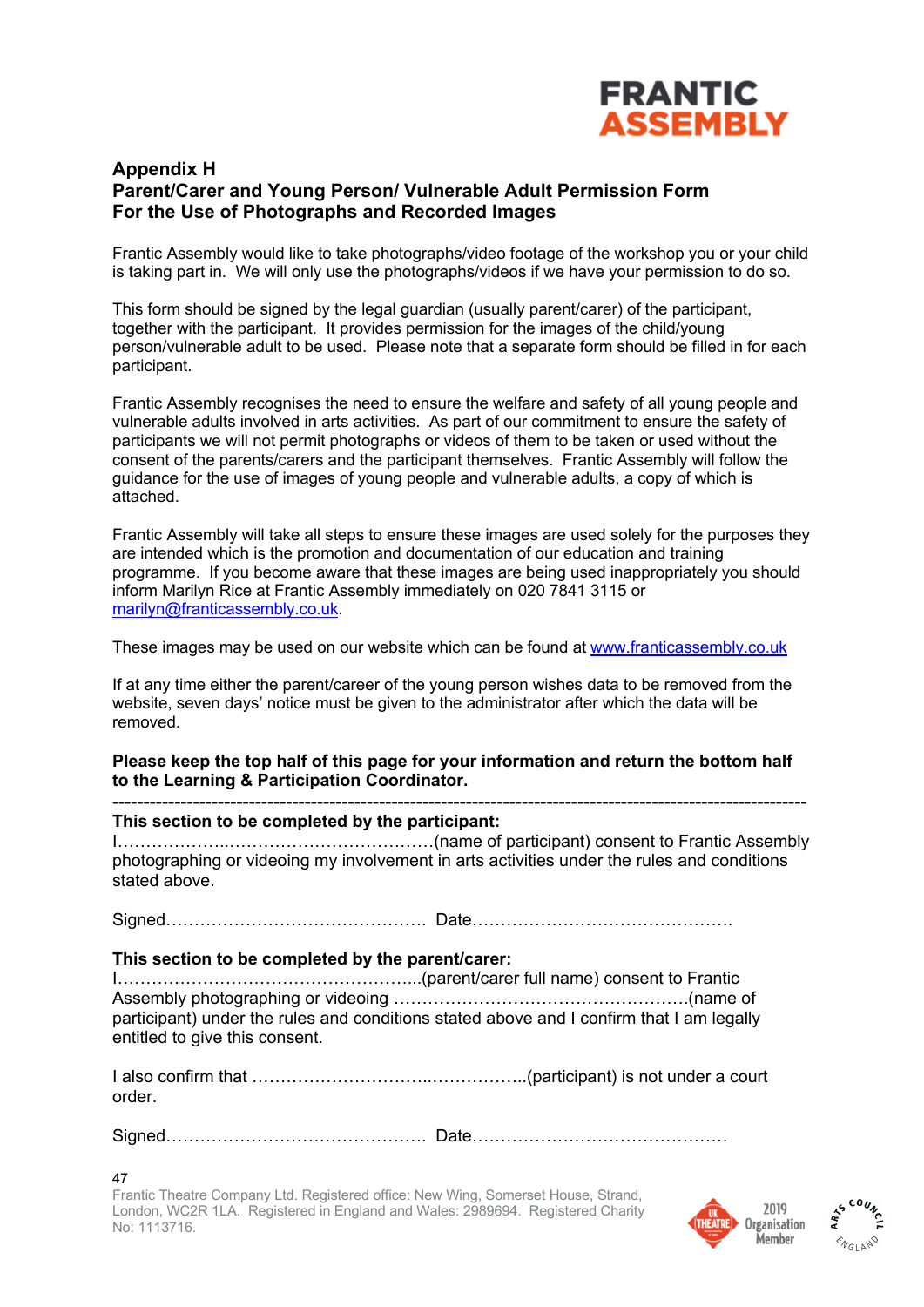

#### **Appendix H Parent/Carer and Young Person/ Vulnerable Adult Permission Form For the Use of Photographs and Recorded Images**

Frantic Assembly would like to take photographs/video footage of the workshop you or your child is taking part in. We will only use the photographs/videos if we have your permission to do so.

This form should be signed by the legal guardian (usually parent/carer) of the participant, together with the participant. It provides permission for the images of the child/young person/vulnerable adult to be used. Please note that a separate form should be filled in for each participant.

Frantic Assembly recognises the need to ensure the welfare and safety of all young people and vulnerable adults involved in arts activities. As part of our commitment to ensure the safety of participants we will not permit photographs or videos of them to be taken or used without the consent of the parents/carers and the participant themselves. Frantic Assembly will follow the guidance for the use of images of young people and vulnerable adults, a copy of which is attached.

Frantic Assembly will take all steps to ensure these images are used solely for the purposes they are intended which is the promotion and documentation of our education and training programme. If you become aware that these images are being used inappropriately you should inform Marilyn Rice at Frantic Assembly immediately on 020 7841 3115 or marilyn@franticassembly.co.uk.

These images may be used on our website which can be found at www.franticassembly.co.uk

If at any time either the parent/career of the young person wishes data to be removed from the website, seven days' notice must be given to the administrator after which the data will be removed.

#### **Please keep the top half of this page for your information and return the bottom half to the Learning & Participation Coordinator.**

#### ---------------------------------------------------------------------------------------------------------------- **This section to be completed by the participant:**

I………………..………………………………(name of participant) consent to Frantic Assembly photographing or videoing my involvement in arts activities under the rules and conditions stated above.

Signed………………………………………. Date……………………………………….

#### **This section to be completed by the parent/carer:**

I……………………………………………...(parent/carer full name) consent to Frantic Assembly photographing or videoing …………………………………………….(name of participant) under the rules and conditions stated above and I confirm that I am legally entitled to give this consent.

I also confirm that …………………………..……………..(participant) is not under a court order.

Signed………………………………………. Date………………………………………

#### 47

Frantic Theatre Company Ltd. Registered office: New Wing, Somerset House, Strand, London, WC2R 1LA. Registered in England and Wales: 2989694. Registered Charity No: 1113716.



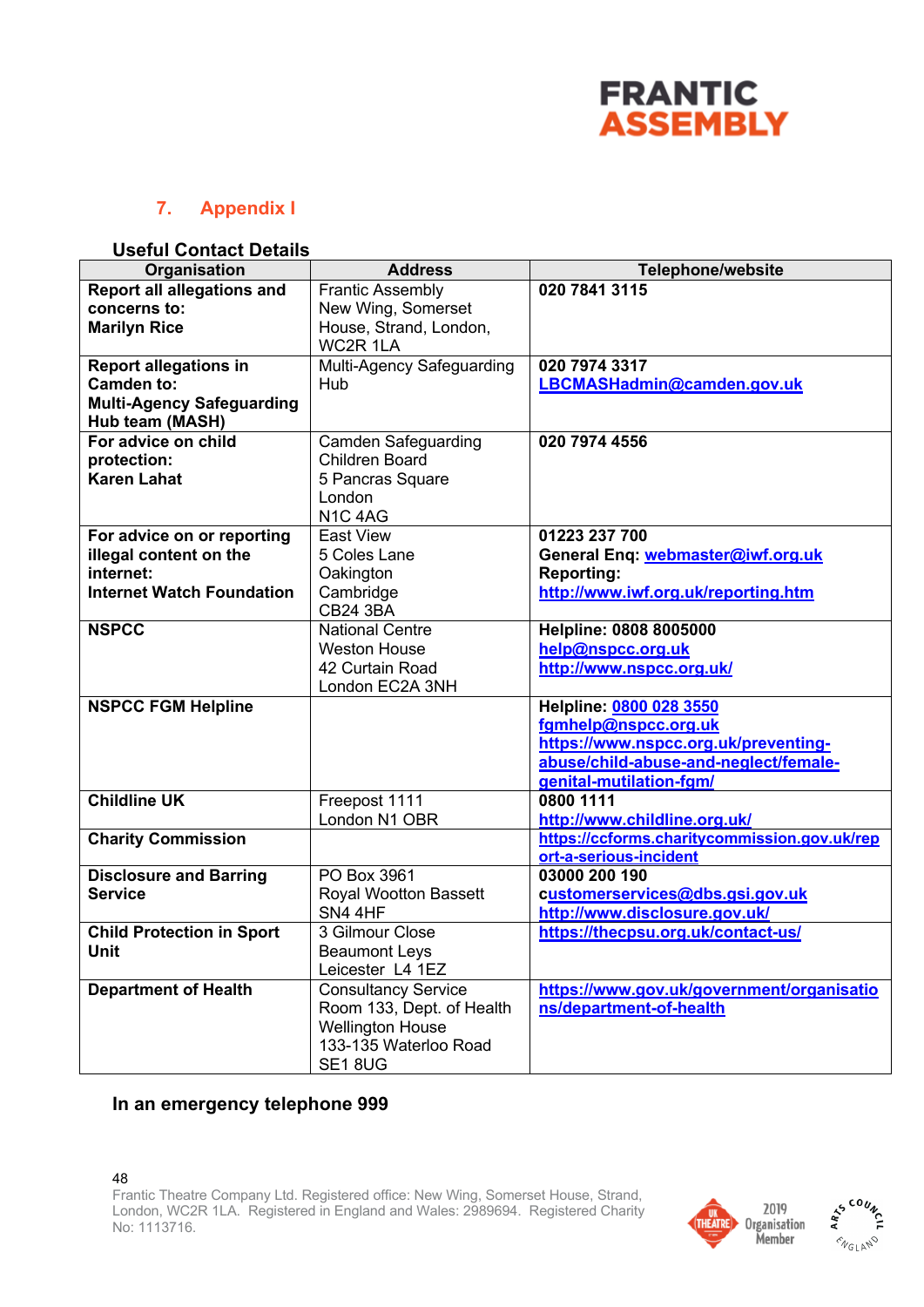

## **7. Appendix I**

#### **Useful Contact Details**

| Organisation                      | <b>Address</b>             | <b>Telephone/website</b>                     |
|-----------------------------------|----------------------------|----------------------------------------------|
| <b>Report all allegations and</b> | <b>Frantic Assembly</b>    | 020 7841 3115                                |
| concerns to:                      | New Wing, Somerset         |                                              |
| <b>Marilyn Rice</b>               | House, Strand, London,     |                                              |
|                                   | <b>WC2R 1LA</b>            |                                              |
| <b>Report allegations in</b>      | Multi-Agency Safeguarding  | 020 7974 3317                                |
| <b>Camden to:</b>                 | Hub                        | LBCMASHadmin@camden.gov.uk                   |
| <b>Multi-Agency Safeguarding</b>  |                            |                                              |
| Hub team (MASH)                   |                            |                                              |
| For advice on child               | <b>Camden Safeguarding</b> | 020 7974 4556                                |
| protection:                       | <b>Children Board</b>      |                                              |
| <b>Karen Lahat</b>                | 5 Pancras Square           |                                              |
|                                   | London                     |                                              |
|                                   | N1C <sub>4AG</sub>         |                                              |
| For advice on or reporting        | East View                  | 01223 237 700                                |
| illegal content on the            | 5 Coles Lane               | General Enq: webmaster@iwf.org.uk            |
| internet:                         | Oakington                  | <b>Reporting:</b>                            |
| <b>Internet Watch Foundation</b>  | Cambridge                  | http://www.iwf.org.uk/reporting.htm          |
|                                   | <b>CB24 3BA</b>            |                                              |
| <b>NSPCC</b>                      | <b>National Centre</b>     | Helpline: 0808 8005000                       |
|                                   | <b>Weston House</b>        | help@nspcc.org.uk                            |
|                                   | 42 Curtain Road            | http://www.nspcc.org.uk/                     |
|                                   | London EC2A 3NH            |                                              |
| <b>NSPCC FGM Helpline</b>         |                            | Helpline: 0800 028 3550                      |
|                                   |                            | fgmhelp@nspcc.org.uk                         |
|                                   |                            | https://www.nspcc.org.uk/preventing-         |
|                                   |                            | abuse/child-abuse-and-neglect/female-        |
|                                   |                            | genital-mutilation-fgm/                      |
| <b>Childline UK</b>               | Freepost 1111              | 0800 1111                                    |
|                                   | London N1 OBR              | http://www.childline.org.uk/                 |
| <b>Charity Commission</b>         |                            | https://ccforms.charitycommission.gov.uk/rep |
|                                   |                            | ort-a-serious-incident                       |
| <b>Disclosure and Barring</b>     | PO Box 3961                | 03000 200 190                                |
| <b>Service</b>                    | Royal Wootton Bassett      | customerservices@dbs.gsi.gov.uk              |
|                                   | SN4 4HF                    | http://www.disclosure.gov.uk/                |
| <b>Child Protection in Sport</b>  | 3 Gilmour Close            | https://thecpsu.org.uk/contact-us/           |
| Unit                              | <b>Beaumont Leys</b>       |                                              |
|                                   | Leicester L4 1EZ           |                                              |
| <b>Department of Health</b>       | <b>Consultancy Service</b> | https://www.gov.uk/government/organisatio    |
|                                   | Room 133, Dept. of Health  | ns/department-of-health                      |
|                                   | <b>Wellington House</b>    |                                              |
|                                   | 133-135 Waterloo Road      |                                              |
|                                   | SE18UG                     |                                              |

## **In an emergency telephone 999**



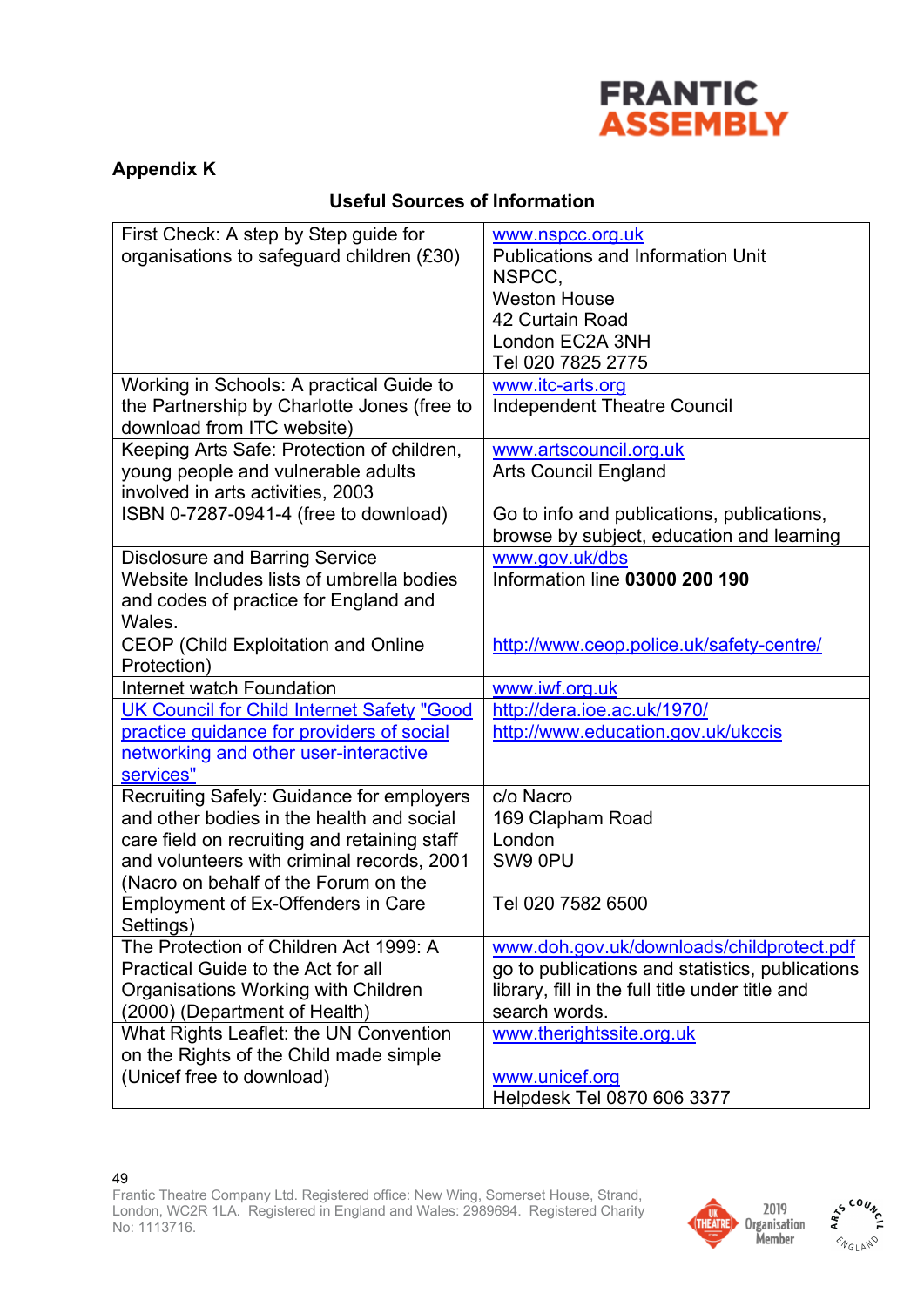

## **Appendix K**

## **Useful Sources of Information**

| First Check: A step by Step guide for             | www.nspcc.org.uk                                |
|---------------------------------------------------|-------------------------------------------------|
| organisations to safeguard children (£30)         | <b>Publications and Information Unit</b>        |
|                                                   | NSPCC,                                          |
|                                                   | <b>Weston House</b>                             |
|                                                   | 42 Curtain Road                                 |
|                                                   | London EC2A 3NH                                 |
|                                                   | Tel 020 7825 2775                               |
| Working in Schools: A practical Guide to          | www.itc-arts.org                                |
| the Partnership by Charlotte Jones (free to       | <b>Independent Theatre Council</b>              |
| download from ITC website)                        |                                                 |
| Keeping Arts Safe: Protection of children,        | www.artscouncil.org.uk                          |
| young people and vulnerable adults                | <b>Arts Council England</b>                     |
| involved in arts activities, 2003                 |                                                 |
| ISBN 0-7287-0941-4 (free to download)             | Go to info and publications, publications,      |
|                                                   | browse by subject, education and learning       |
| <b>Disclosure and Barring Service</b>             | www.gov.uk/dbs                                  |
| Website Includes lists of umbrella bodies         | Information line 03000 200 190                  |
| and codes of practice for England and             |                                                 |
| Wales.                                            |                                                 |
| <b>CEOP (Child Exploitation and Online</b>        | http://www.ceop.police.uk/safety-centre/        |
| Protection)                                       |                                                 |
| Internet watch Foundation                         | www.iwf.org.uk                                  |
| <b>UK Council for Child Internet Safety "Good</b> | http://dera.ioe.ac.uk/1970/                     |
| practice guidance for providers of social         | http://www.education.gov.uk/ukccis              |
| networking and other user-interactive             |                                                 |
| services"                                         |                                                 |
| Recruiting Safely: Guidance for employers         | c/o Nacro                                       |
| and other bodies in the health and social         | 169 Clapham Road                                |
| care field on recruiting and retaining staff      | London                                          |
| and volunteers with criminal records, 2001        | SW9 0PU                                         |
| (Nacro on behalf of the Forum on the              |                                                 |
| <b>Employment of Ex-Offenders in Care</b>         | Tel 020 7582 6500                               |
| Settings)                                         |                                                 |
| The Protection of Children Act 1999: A            | www.doh.gov.uk/downloads/childprotect.pdf       |
| Practical Guide to the Act for all                | go to publications and statistics, publications |
| Organisations Working with Children               | library, fill in the full title under title and |
| (2000) (Department of Health)                     | search words.                                   |
| What Rights Leaflet: the UN Convention            | www.therightssite.org.uk                        |
| on the Rights of the Child made simple            |                                                 |
| (Unicef free to download)                         | www.unicef.org                                  |
|                                                   | Helpdesk Tel 0870 606 3377                      |